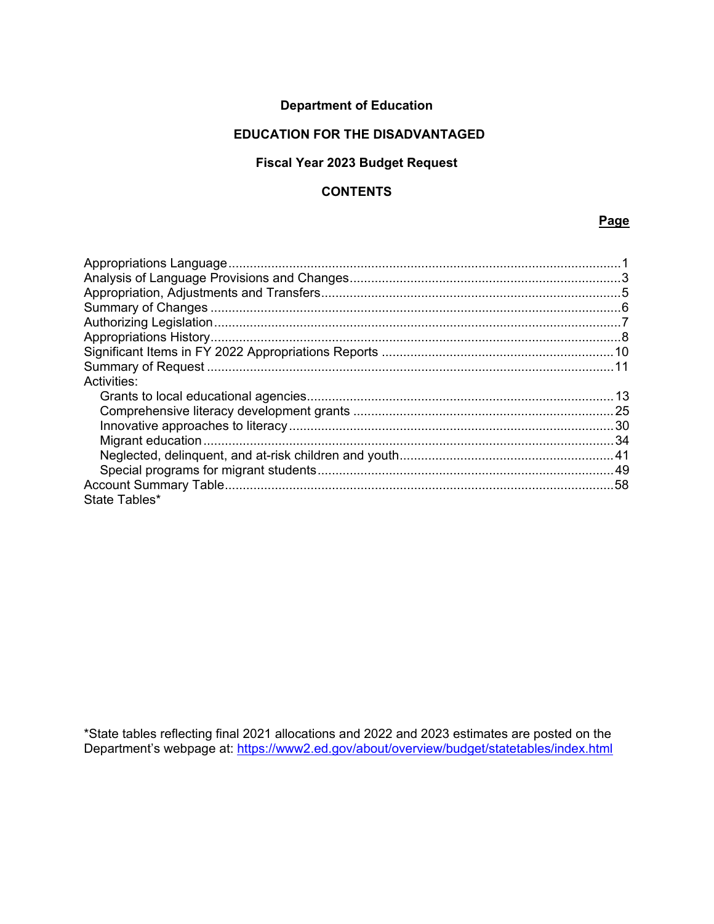## **Department of Education**

### **EDUCATION FOR THE DISADVANTAGED**

## **Fiscal Year 2023 Budget Request**

### **CONTENTS**

#### **Page**

| Activities:   |  |
|---------------|--|
|               |  |
|               |  |
|               |  |
|               |  |
|               |  |
|               |  |
|               |  |
| State Tables* |  |

\*State tables reflecting final 2021 allocations and 2022 and 2023 estimates are posted on the Department's webpage at:<https://www2.ed.gov/about/overview/budget/statetables/index.html>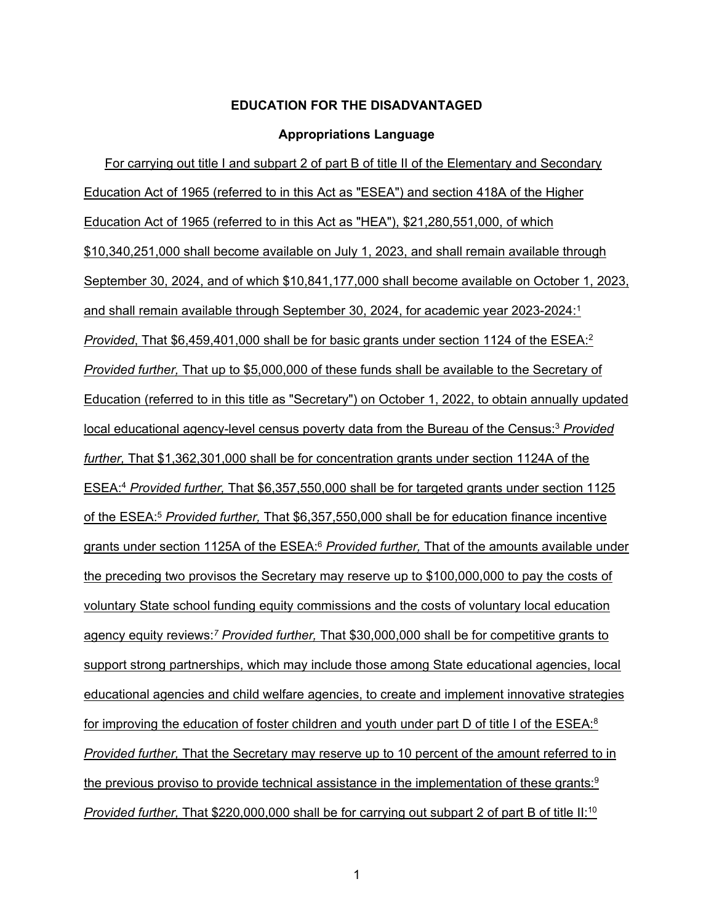#### <span id="page-1-9"></span><span id="page-1-8"></span><span id="page-1-7"></span><span id="page-1-5"></span><span id="page-1-3"></span><span id="page-1-2"></span>**Appropriations Language**

<span id="page-1-6"></span><span id="page-1-4"></span><span id="page-1-1"></span><span id="page-1-0"></span>For carrying out title I and subpart 2 of part B of title II of the Elementary and Secondary Education Act of 1965 (referred to in this Act as "ESEA") and section 418A of the Higher Education Act of 1965 (referred to in this Act as "HEA"), \$21,280,551,000, of which \$10,340,251,000 shall become available on July 1, 2023, and shall remain available through September 30, 2024, and of which \$10,841,177,000 shall become available on October 1, 2023, and shall remain available through September 30, 2024, for academic year 2023-2024[:1](#page-3-1) *Provided*, That \$6,459,401,000 shall be for basic grants under section 1124 of the ESEA:<sup>2</sup> *Provided further,* That up to \$5,000,000 of these funds shall be available to the Secretary of Education (referred to in this title as "Secretary") on October 1, 2022, to obtain annually updated local educational agency-level census poverty data from the Bureau of the Census[:3](#page-1-1) *Provided further,* That \$1,362,301,000 shall be for concentration grants under section 1124A of the ESEA[:4](#page-3-3) *Provided further,* That \$6,357,550,000 shall be for targeted grants under section 1125 of the ESEA[:5](#page-3-4) *Provided further,* That \$6,357,550,000 shall be for education finance incentive grants under section 1125A of the ESEA[:](#page-3-5) <sup>6</sup> *Provided further,* That of the amounts available under the preceding two provisos the Secretary may reserve up to \$100,000,000 to pay the costs of voluntary State school funding equity commissions and the costs of voluntary local education agency equity reviews:*[7](#page-4-0) Provided further,* That \$30,000,000 shall be for competitive grants to support strong partnerships, which may include those among State educational agencies, local educational agencies and child welfare agencies, to create and implement innovative strategies for improving the education of foster children and youth under part D of title I of the  $ESEA$ :<sup>8</sup> *Provided further,* That the Secretary may reserve up to 10 percent of the amount referred to in the previous proviso to provide technical assistance in the implementation of these grants:<sup>9</sup> *Provided further,* That \$220,000,000 shall be for carrying out subpart 2 of part B of title II[:10](#page-4-3)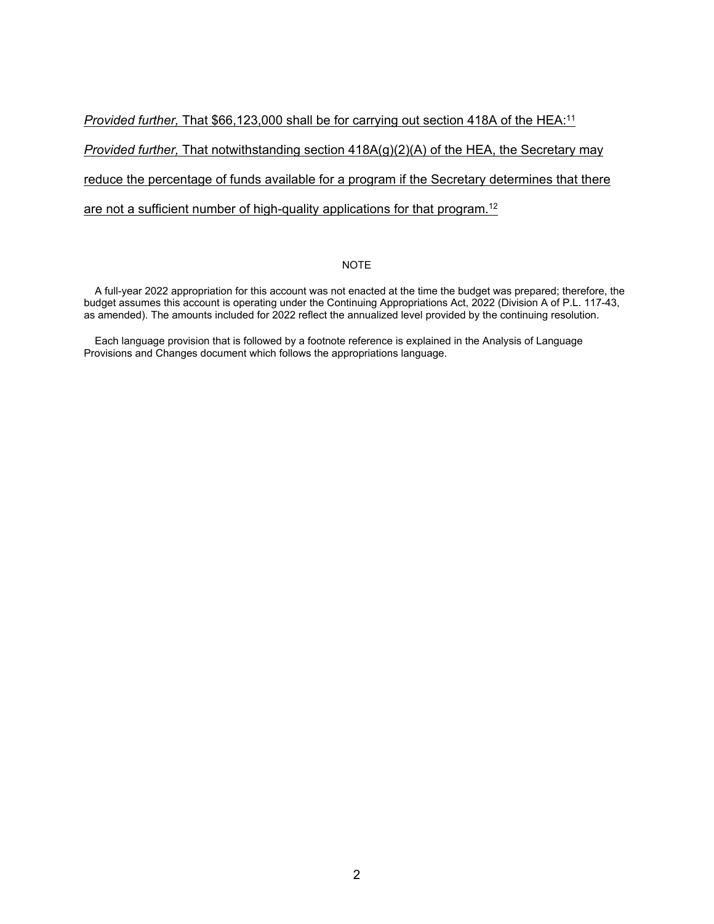*Provided further,* That \$66,123,000 shall be for carrying out section 418A of the HEA[:11](#page-4-4) *Provided further,* That notwithstanding section 418A(g)(2)(A) of the HEA, the Secretary may reduce the percentage of funds available for a program if the Secretary determines that there are not a sufficient number of high-quality applications for that program.<sup>12</sup>

#### <span id="page-2-1"></span><span id="page-2-0"></span>NOTE

A full-year 2022 appropriation for this account was not enacted at the time the budget was prepared; therefore, the budget assumes this account is operating under the Continuing Appropriations Act, 2022 (Division A of P.L. 117-43, as amended). The amounts included for 2022 reflect the annualized level provided by the continuing resolution.

Each language provision that is followed by a footnote reference is explained in the Analysis of Language Provisions and Changes document which follows the appropriations language.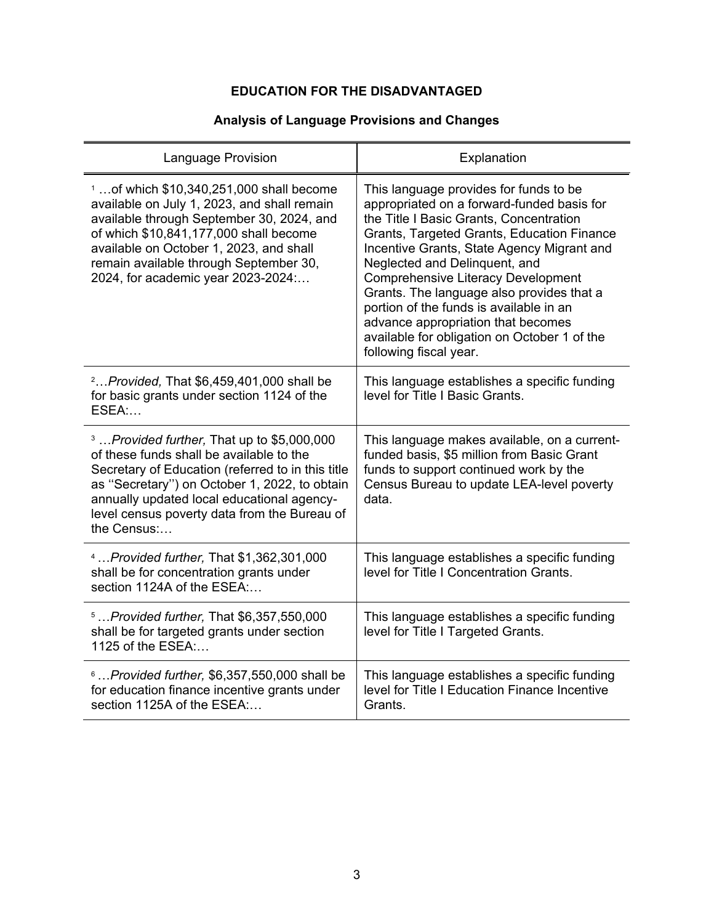## **Analysis of Language Provisions and Changes**

<span id="page-3-5"></span><span id="page-3-4"></span><span id="page-3-3"></span><span id="page-3-2"></span><span id="page-3-1"></span><span id="page-3-0"></span>

| Language Provision                                                                                                                                                                                                                                                                                                           | Explanation                                                                                                                                                                                                                                                                                                                                                                                                                                                                                                       |
|------------------------------------------------------------------------------------------------------------------------------------------------------------------------------------------------------------------------------------------------------------------------------------------------------------------------------|-------------------------------------------------------------------------------------------------------------------------------------------------------------------------------------------------------------------------------------------------------------------------------------------------------------------------------------------------------------------------------------------------------------------------------------------------------------------------------------------------------------------|
| $1$ of which \$10,340,251,000 shall become<br>available on July 1, 2023, and shall remain<br>available through September 30, 2024, and<br>of which \$10,841,177,000 shall become<br>available on October 1, 2023, and shall<br>remain available through September 30,<br>2024, for academic year 2023-2024:                  | This language provides for funds to be<br>appropriated on a forward-funded basis for<br>the Title I Basic Grants, Concentration<br>Grants, Targeted Grants, Education Finance<br>Incentive Grants, State Agency Migrant and<br>Neglected and Delinquent, and<br><b>Comprehensive Literacy Development</b><br>Grants. The language also provides that a<br>portion of the funds is available in an<br>advance appropriation that becomes<br>available for obligation on October 1 of the<br>following fiscal year. |
| $2$ Provided, That $$6,459,401,000$ shall be<br>for basic grants under section 1124 of the<br>ESEA:                                                                                                                                                                                                                          | This language establishes a specific funding<br>level for Title I Basic Grants.                                                                                                                                                                                                                                                                                                                                                                                                                                   |
| <sup>3</sup> <i>Provided further</i> , That up to \$5,000,000<br>of these funds shall be available to the<br>Secretary of Education (referred to in this title<br>as "Secretary") on October 1, 2022, to obtain<br>annually updated local educational agency-<br>level census poverty data from the Bureau of<br>the Census: | This language makes available, on a current-<br>funded basis, \$5 million from Basic Grant<br>funds to support continued work by the<br>Census Bureau to update LEA-level poverty<br>data.                                                                                                                                                                                                                                                                                                                        |
| <sup>4</sup> Provided further, That \$1,362,301,000<br>shall be for concentration grants under<br>section 1124A of the ESEA:                                                                                                                                                                                                 | This language establishes a specific funding<br>level for Title I Concentration Grants.                                                                                                                                                                                                                                                                                                                                                                                                                           |
| <sup>5</sup> Provided further, That \$6,357,550,000<br>shall be for targeted grants under section<br>1125 of the ESEA:                                                                                                                                                                                                       | This language establishes a specific funding<br>level for Title I Targeted Grants.                                                                                                                                                                                                                                                                                                                                                                                                                                |
| $6$ Provided further, \$6,357,550,000 shall be<br>for education finance incentive grants under<br>section 1125A of the ESEA:                                                                                                                                                                                                 | This language establishes a specific funding<br>level for Title I Education Finance Incentive<br>Grants.                                                                                                                                                                                                                                                                                                                                                                                                          |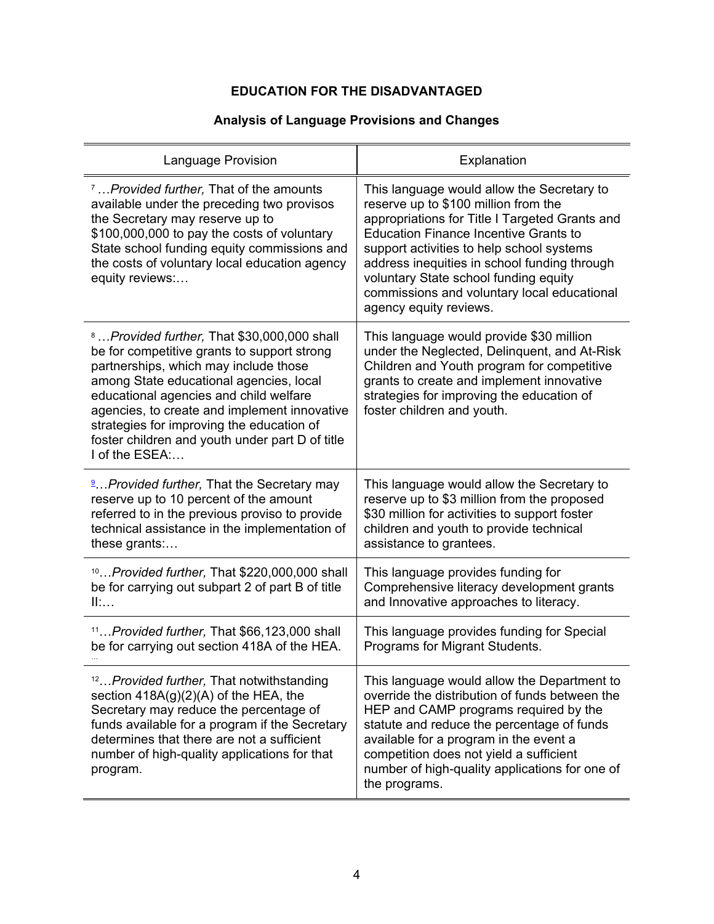## **Analysis of Language Provisions and Changes**

<span id="page-4-5"></span><span id="page-4-4"></span><span id="page-4-3"></span><span id="page-4-2"></span><span id="page-4-1"></span><span id="page-4-0"></span>

| Language Provision                                                                                                                                                                                                                                                                                                                                                                                    | Explanation                                                                                                                                                                                                                                                                                                                                                                                         |
|-------------------------------------------------------------------------------------------------------------------------------------------------------------------------------------------------------------------------------------------------------------------------------------------------------------------------------------------------------------------------------------------------------|-----------------------------------------------------------------------------------------------------------------------------------------------------------------------------------------------------------------------------------------------------------------------------------------------------------------------------------------------------------------------------------------------------|
| <sup>7</sup> <i>Provided further</i> , That of the amounts<br>available under the preceding two provisos<br>the Secretary may reserve up to<br>\$100,000,000 to pay the costs of voluntary<br>State school funding equity commissions and<br>the costs of voluntary local education agency<br>equity reviews:                                                                                         | This language would allow the Secretary to<br>reserve up to \$100 million from the<br>appropriations for Title I Targeted Grants and<br><b>Education Finance Incentive Grants to</b><br>support activities to help school systems<br>address inequities in school funding through<br>voluntary State school funding equity<br>commissions and voluntary local educational<br>agency equity reviews. |
| <sup>8</sup> Provided further, That \$30,000,000 shall<br>be for competitive grants to support strong<br>partnerships, which may include those<br>among State educational agencies, local<br>educational agencies and child welfare<br>agencies, to create and implement innovative<br>strategies for improving the education of<br>foster children and youth under part D of title<br>I of the ESEA: | This language would provide \$30 million<br>under the Neglected, Delinquent, and At-Risk<br>Children and Youth program for competitive<br>grants to create and implement innovative<br>strategies for improving the education of<br>foster children and youth.                                                                                                                                      |
| <sup>9</sup> Provided further, That the Secretary may<br>reserve up to 10 percent of the amount<br>referred to in the previous proviso to provide<br>technical assistance in the implementation of<br>these grants:                                                                                                                                                                                   | This language would allow the Secretary to<br>reserve up to \$3 million from the proposed<br>\$30 million for activities to support foster<br>children and youth to provide technical<br>assistance to grantees.                                                                                                                                                                                    |
| $10$ Provided further, That \$220,000,000 shall<br>be for carrying out subpart 2 of part B of title<br>II:                                                                                                                                                                                                                                                                                            | This language provides funding for<br>Comprehensive literacy development grants<br>and Innovative approaches to literacy.                                                                                                                                                                                                                                                                           |
| <sup>11</sup> <i>Provided further</i> , That \$66,123,000 shall<br>be for carrying out section 418A of the HEA.                                                                                                                                                                                                                                                                                       | This language provides funding for Special<br>Programs for Migrant Students.                                                                                                                                                                                                                                                                                                                        |
| <sup>12</sup> <i>Provided further</i> , That notwithstanding<br>section $418A(g)(2)(A)$ of the HEA, the<br>Secretary may reduce the percentage of<br>funds available for a program if the Secretary<br>determines that there are not a sufficient<br>number of high-quality applications for that<br>program.                                                                                         | This language would allow the Department to<br>override the distribution of funds between the<br>HEP and CAMP programs required by the<br>statute and reduce the percentage of funds<br>available for a program in the event a<br>competition does not yield a sufficient<br>number of high-quality applications for one of<br>the programs.                                                        |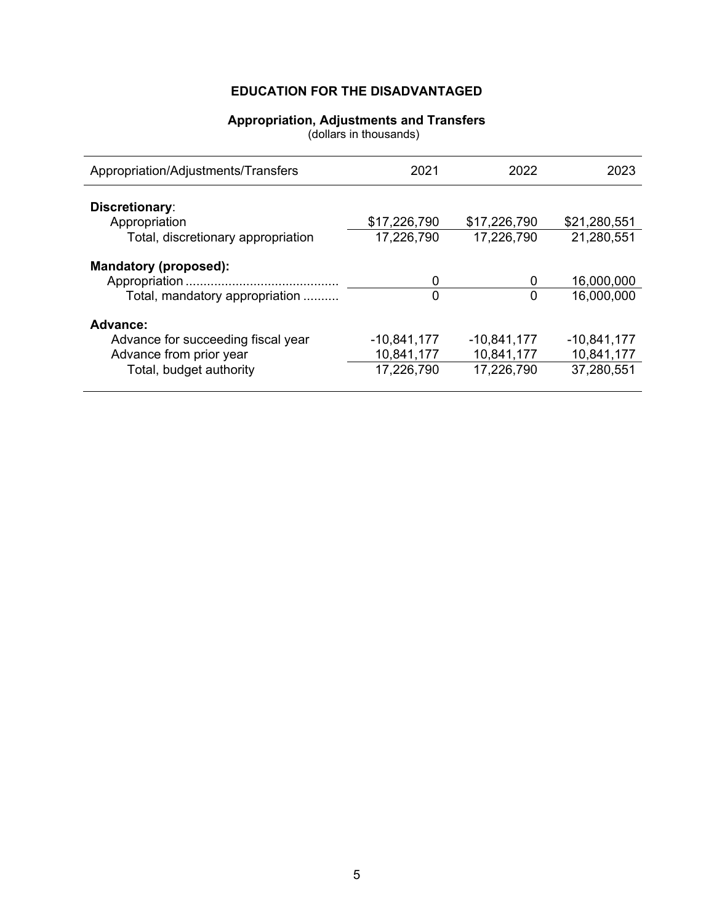#### **Appropriation, Adjustments and Transfers**

(dollars in thousands)

<span id="page-5-0"></span>

| Appropriation/Adjustments/Transfers | 2021          | 2022          | 2023          |
|-------------------------------------|---------------|---------------|---------------|
| Discretionary:                      |               |               |               |
| Appropriation                       | \$17,226,790  | \$17,226,790  | \$21,280,551  |
| Total, discretionary appropriation  | 17,226,790    | 17,226,790    | 21,280,551    |
| <b>Mandatory (proposed):</b>        |               |               |               |
|                                     | 0             | 0             | 16,000,000    |
| Total, mandatory appropriation      | 0             | 0             | 16,000,000    |
| Advance:                            |               |               |               |
| Advance for succeeding fiscal year  | $-10,841,177$ | $-10,841,177$ | $-10,841,177$ |
| Advance from prior year             | 10,841,177    | 10,841,177    | 10,841,177    |
| Total, budget authority             | 17,226,790    | 17,226,790    | 37,280,551    |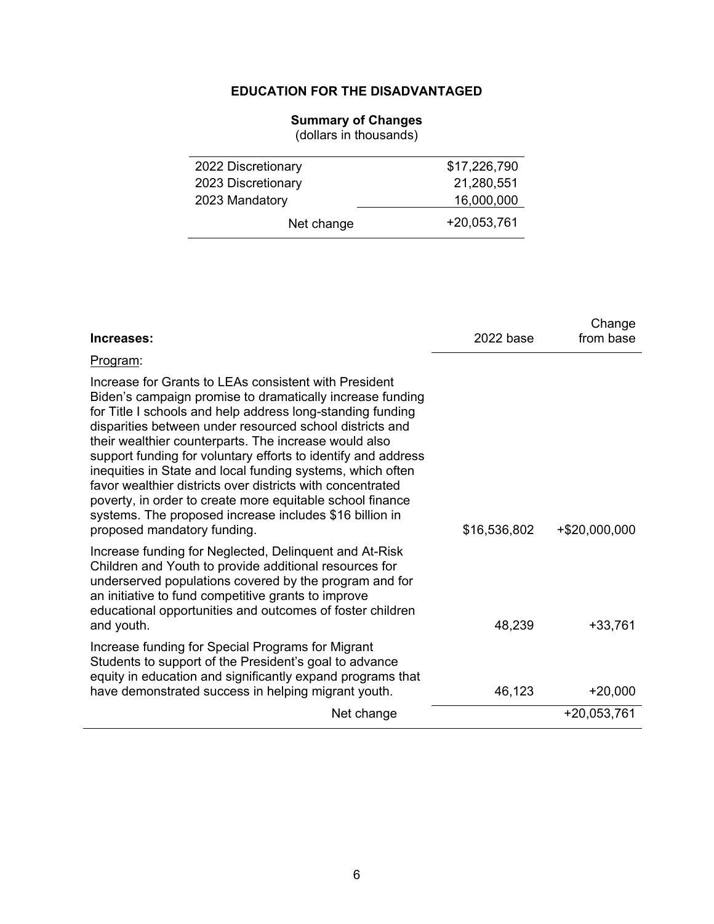#### **Summary of Changes**

(dollars in thousands)

<span id="page-6-0"></span>

| 2022 Discretionary | \$17,226,790 |
|--------------------|--------------|
| 2023 Discretionary | 21,280,551   |
| 2023 Mandatory     | 16,000,000   |
| Net change         | +20,053,761  |

| Increases:                                                                                                                                                                                                                                                                                                                                                                                                                                                                                                                                                                                                                                                | 2022 base    | Change<br>from base |
|-----------------------------------------------------------------------------------------------------------------------------------------------------------------------------------------------------------------------------------------------------------------------------------------------------------------------------------------------------------------------------------------------------------------------------------------------------------------------------------------------------------------------------------------------------------------------------------------------------------------------------------------------------------|--------------|---------------------|
| Program:                                                                                                                                                                                                                                                                                                                                                                                                                                                                                                                                                                                                                                                  |              |                     |
| Increase for Grants to LEAs consistent with President<br>Biden's campaign promise to dramatically increase funding<br>for Title I schools and help address long-standing funding<br>disparities between under resourced school districts and<br>their wealthier counterparts. The increase would also<br>support funding for voluntary efforts to identify and address<br>inequities in State and local funding systems, which often<br>favor wealthier districts over districts with concentrated<br>poverty, in order to create more equitable school finance<br>systems. The proposed increase includes \$16 billion in<br>proposed mandatory funding. | \$16,536,802 | +\$20,000,000       |
| Increase funding for Neglected, Delinquent and At-Risk<br>Children and Youth to provide additional resources for<br>underserved populations covered by the program and for<br>an initiative to fund competitive grants to improve<br>educational opportunities and outcomes of foster children<br>and youth.                                                                                                                                                                                                                                                                                                                                              | 48,239       | $+33,761$           |
| Increase funding for Special Programs for Migrant<br>Students to support of the President's goal to advance<br>equity in education and significantly expand programs that<br>have demonstrated success in helping migrant youth.                                                                                                                                                                                                                                                                                                                                                                                                                          | 46,123       | $+20,000$           |
| Net change                                                                                                                                                                                                                                                                                                                                                                                                                                                                                                                                                                                                                                                |              | $+20,053,761$       |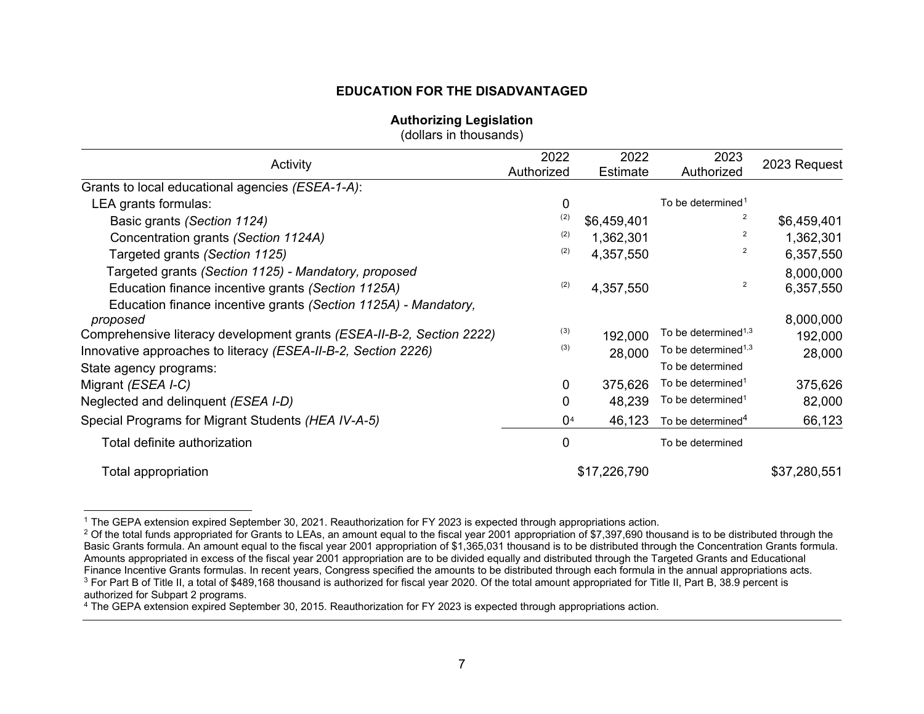#### <span id="page-7-8"></span><span id="page-7-7"></span><span id="page-7-6"></span><span id="page-7-5"></span>**Authorizing Legislation**

<span id="page-7-4"></span><span id="page-7-3"></span><span id="page-7-2"></span><span id="page-7-1"></span>(dollars in thousands)

<span id="page-7-0"></span>

| Activity                                                              | 2022                  | 2022         | 2023                                         | 2023 Request |
|-----------------------------------------------------------------------|-----------------------|--------------|----------------------------------------------|--------------|
|                                                                       | Authorized            | Estimate     | Authorized                                   |              |
| Grants to local educational agencies (ESEA-1-A):                      |                       |              |                                              |              |
| LEA grants formulas:                                                  | 0                     |              | To be determined <sup>1</sup>                |              |
| Basic grants (Section 1124)                                           | (2)                   | \$6,459,401  | 2                                            | \$6,459,401  |
| Concentration grants (Section 1124A)                                  | (2)                   | 1,362,301    | 2                                            | 1,362,301    |
| Targeted grants (Section 1125)                                        | (2)                   | 4,357,550    | 2                                            | 6,357,550    |
| Targeted grants (Section 1125) - Mandatory, proposed                  |                       |              |                                              | 8,000,000    |
| Education finance incentive grants (Section 1125A)                    | (2)                   | 4,357,550    | 2                                            | 6,357,550    |
| Education finance incentive grants (Section 1125A) - Mandatory,       |                       |              |                                              |              |
| proposed                                                              |                       |              |                                              | 8,000,000    |
| Comprehensive literacy development grants (ESEA-II-B-2, Section 2222) | (3)                   | 192,000      | To be determined <sup>1,3</sup>              | 192,000      |
| Innovative approaches to literacy (ESEA-II-B-2, Section 2226)         | (3)                   | 28,000       | To be determined <sup><math>1,3</math></sup> | 28,000       |
| State agency programs:                                                |                       |              | To be determined                             |              |
| Migrant (ESEA I-C)                                                    | 0                     | 375,626      | To be determined <sup>1</sup>                | 375,626      |
| Neglected and delinquent (ESEA I-D)                                   | 0                     | 48,239       | To be determined <sup>1</sup>                | 82,000       |
| Special Programs for Migrant Students (HEA IV-A-5)                    | $\Omega$ <sup>4</sup> | 46,123       | To be determined <sup>4</sup>                | 66,123       |
| Total definite authorization                                          | 0                     |              | To be determined                             |              |
| Total appropriation                                                   |                       | \$17,226,790 |                                              | \$37,280,551 |

<sup>1</sup> The GEPA extension expired September 30, 2021. Reauthorization for FY 2023 is expected through appropriations action.

 $2$  Of the total funds appropriated for Grants to LEAs, an amount equal to the fiscal year 2001 appropriation of \$7,397,690 thousand is to be distributed through the Basic Grants formula. An amount equal to the fiscal year 2001 appropriation of \$1,365,031 thousand is to be distributed through the Concentration Grants formula. Amounts appropriated in excess of the fiscal year 2001 appropriation are to be divided equally and distributed through the Targeted Grants and Educational Finance Incentive Grants formulas. In recent years, Congress specified the amounts to be distributed through each formula in the annual appropriations acts. <sup>3</sup> For Part B of Title II, a total of \$489,168 thousand is authorized for fiscal year 2020. Of the total amount appropriated for Title II, Part B, 38.9 percent is authorized for Subpart 2 programs.

<sup>4</sup> The GEPA extension expired September 30, 2015. Reauthorization for FY 2023 is expected through appropriations action.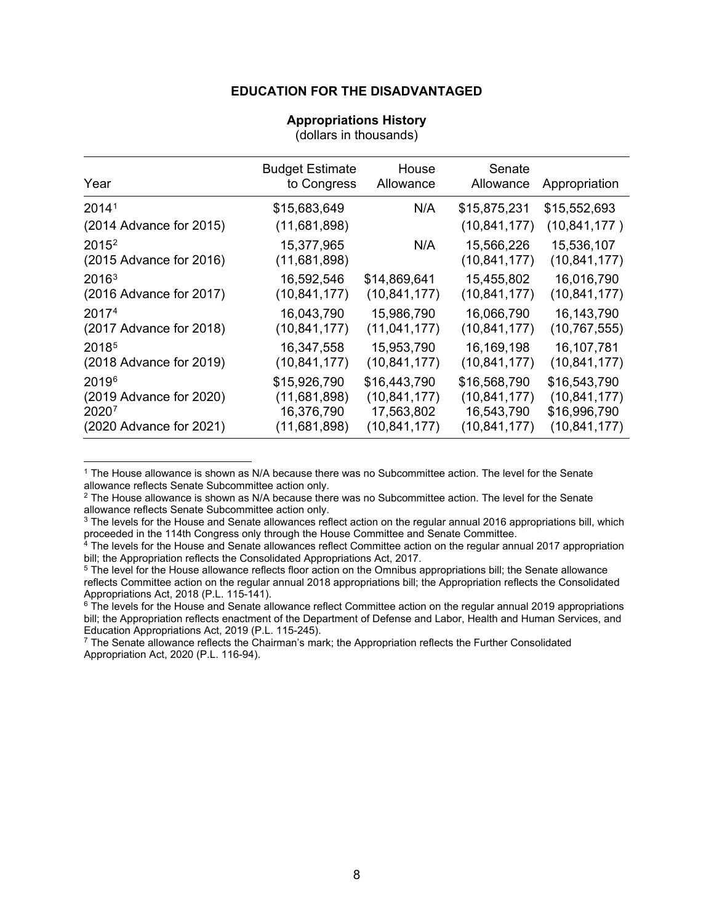#### **Appropriations History**

(dollars in thousands)

<span id="page-8-0"></span>

| Year                    | <b>Budget Estimate</b><br>to Congress | House<br>Allowance | Senate<br>Allowance | Appropriation  |
|-------------------------|---------------------------------------|--------------------|---------------------|----------------|
| 2014 <sup>1</sup>       | \$15,683,649                          | N/A                | \$15,875,231        | \$15,552,693   |
| (2014 Advance for 2015) | (11,681,898)                          |                    | (10, 841, 177)      | (10, 841, 177) |
| 2015 <sup>2</sup>       | 15,377,965                            | N/A                | 15,566,226          | 15,536,107     |
| (2015 Advance for 2016) | (11,681,898)                          |                    | (10, 841, 177)      | (10, 841, 177) |
| 2016 <sup>3</sup>       | 16,592,546                            | \$14,869,641       | 15,455,802          | 16,016,790     |
| (2016 Advance for 2017) | (10, 841, 177)                        | (10, 841, 177)     | (10, 841, 177)      | (10, 841, 177) |
| 20174                   | 16,043,790                            | 15,986,790         | 16,066,790          | 16, 143, 790   |
| (2017 Advance for 2018) | (10, 841, 177)                        | (11, 041, 177)     | (10, 841, 177)      | (10, 767, 555) |
| 2018 <sup>5</sup>       | 16,347,558                            | 15,953,790         | 16, 169, 198        | 16,107,781     |
| (2018 Advance for 2019) | (10, 841, 177)                        | (10, 841, 177)     | (10, 841, 177)      | (10, 841, 177) |
| 20196                   | \$15,926,790                          | \$16,443,790       | \$16,568,790        | \$16,543,790   |
| (2019 Advance for 2020) | (11,681,898)                          | (10, 841, 177)     | (10, 841, 177)      | (10, 841, 177) |
| 20207                   | 16,376,790                            | 17,563,802         | 16,543,790          | \$16,996,790   |
| (2020 Advance for 2021) | (11,681,898)                          | (10, 841, 177)     | (10, 841, 177)      | (10, 841, 177) |

<span id="page-8-1"></span><sup>1</sup> The House allowance is shown as N/A because there was no Subcommittee action. The level for the Senate allowance reflects Senate Subcommittee action only.

<span id="page-8-2"></span> $2$  The House allowance is shown as N/A because there was no Subcommittee action. The level for the Senate allowance reflects Senate Subcommittee action only.

<span id="page-8-3"></span><sup>3</sup> The levels for the House and Senate allowances reflect action on the regular annual 2016 appropriations bill, which proceeded in the 114th Congress only through the House Committee and Senate Committee.

<span id="page-8-4"></span><sup>4</sup> The levels for the House and Senate allowances reflect Committee action on the regular annual 2017 appropriation bill; the Appropriation reflects the Consolidated Appropriations Act, 2017.

<span id="page-8-5"></span><sup>5</sup> The level for the House allowance reflects floor action on the Omnibus appropriations bill; the Senate allowance reflects Committee action on the regular annual 2018 appropriations bill; the Appropriation reflects the Consolidated Appropriations Act, 2018 (P.L. 115-141).

<span id="page-8-6"></span><sup>6</sup> The levels for the House and Senate allowance reflect Committee action on the regular annual 2019 appropriations bill; the Appropriation reflects enactment of the Department of Defense and Labor, Health and Human Services, and Education Appropriations Act, 2019 (P.L. 115-245).

<span id="page-8-7"></span> $7$  The Senate allowance reflects the Chairman's mark; the Appropriation reflects the Further Consolidated Appropriation Act, 2020 (P.L. 116-94).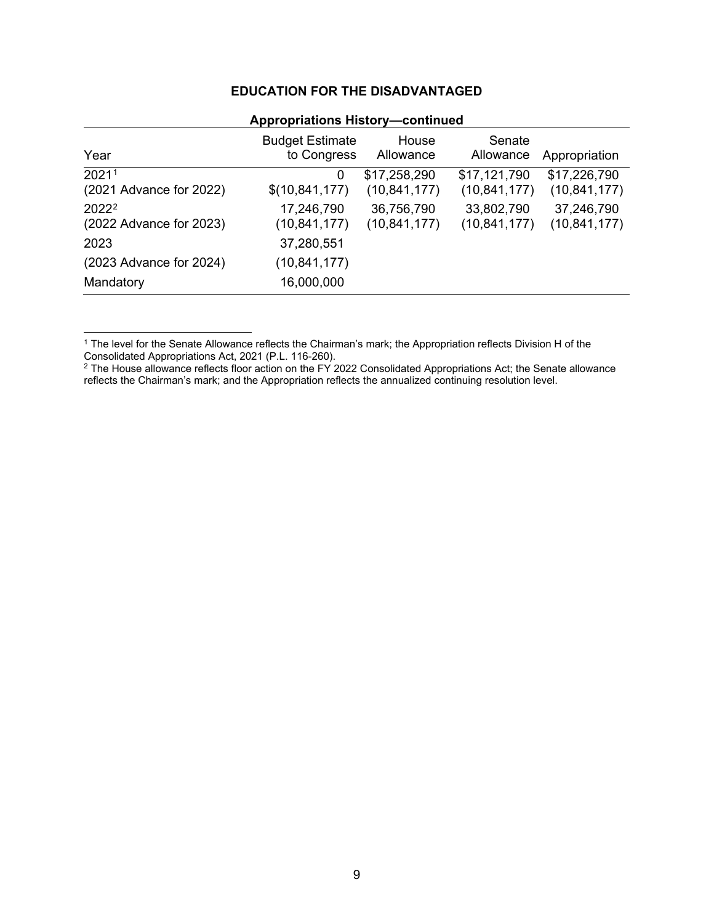| <b>Appropriations History-continued</b>                 |                                       |                                |                                |                                |
|---------------------------------------------------------|---------------------------------------|--------------------------------|--------------------------------|--------------------------------|
| Year                                                    | <b>Budget Estimate</b><br>to Congress | House<br>Allowance             | Senate<br>Allowance            | Appropriation                  |
| 20211<br>$(2021$ Advance for $2022)$                    | 0<br>\$(10,841,177)                   | \$17,258,290<br>(10, 841, 177) | \$17,121,790<br>(10, 841, 177) | \$17,226,790<br>(10, 841, 177) |
| 2022 <sup>2</sup><br>$(2022 \text{ Advance for } 2023)$ | 17,246,790<br>(10,841,177)            | 36,756,790<br>(10, 841, 177)   | 33,802,790<br>(10, 841, 177)   | 37,246,790<br>(10, 841, 177)   |
| 2023                                                    | 37,280,551                            |                                |                                |                                |
| (2023 Advance for 2024)                                 | (10,841,177)                          |                                |                                |                                |
| Mandatory                                               | 16,000,000                            |                                |                                |                                |

<span id="page-9-0"></span><sup>1</sup> The level for the Senate Allowance reflects the Chairman's mark; the Appropriation reflects Division H of the Consolidated Appropriations Act, 2021 (P.L. 116-260).

<span id="page-9-1"></span> $^2$  The House allowance reflects floor action on the FY 2022 Consolidated Appropriations Act; the Senate allowance reflects the Chairman's mark; and the Appropriation reflects the annualized continuing resolution level.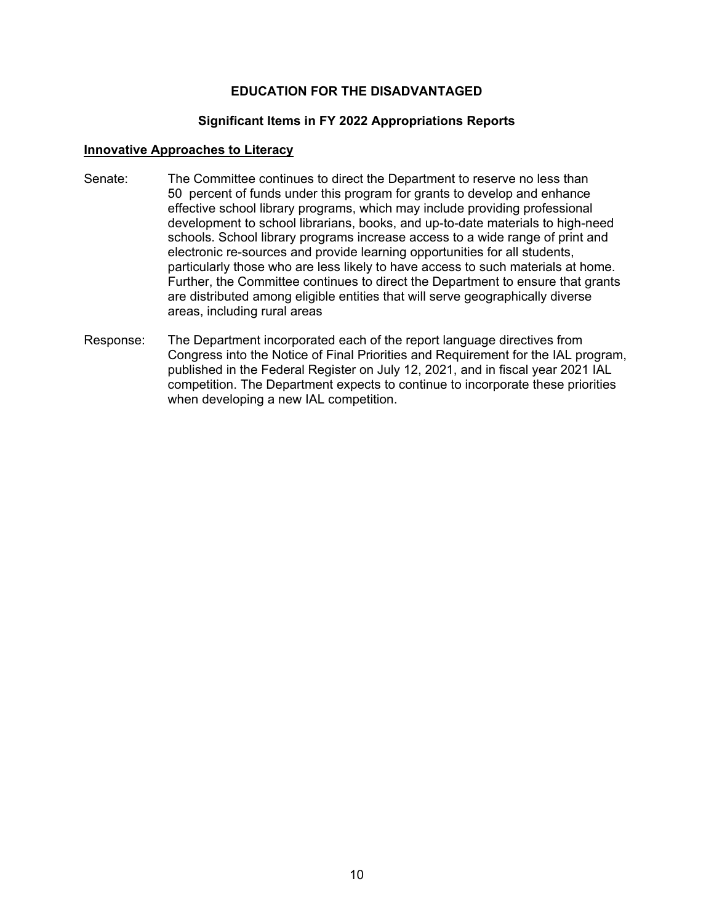#### **Significant Items in FY 2022 Appropriations Reports**

#### <span id="page-10-0"></span>**Innovative Approaches to Literacy**

- Senate: The Committee continues to direct the Department to reserve no less than 50 percent of funds under this program for grants to develop and enhance effective school library programs, which may include providing professional development to school librarians, books, and up-to-date materials to high-need schools. School library programs increase access to a wide range of print and electronic re-sources and provide learning opportunities for all students, particularly those who are less likely to have access to such materials at home. Further, the Committee continues to direct the Department to ensure that grants are distributed among eligible entities that will serve geographically diverse areas, including rural areas
- Response: The Department incorporated each of the report language directives from Congress into the Notice of Final Priorities and Requirement for the IAL program, published in the Federal Register on July 12, 2021, and in fiscal year 2021 IAL competition. The Department expects to continue to incorporate these priorities when developing a new IAL competition.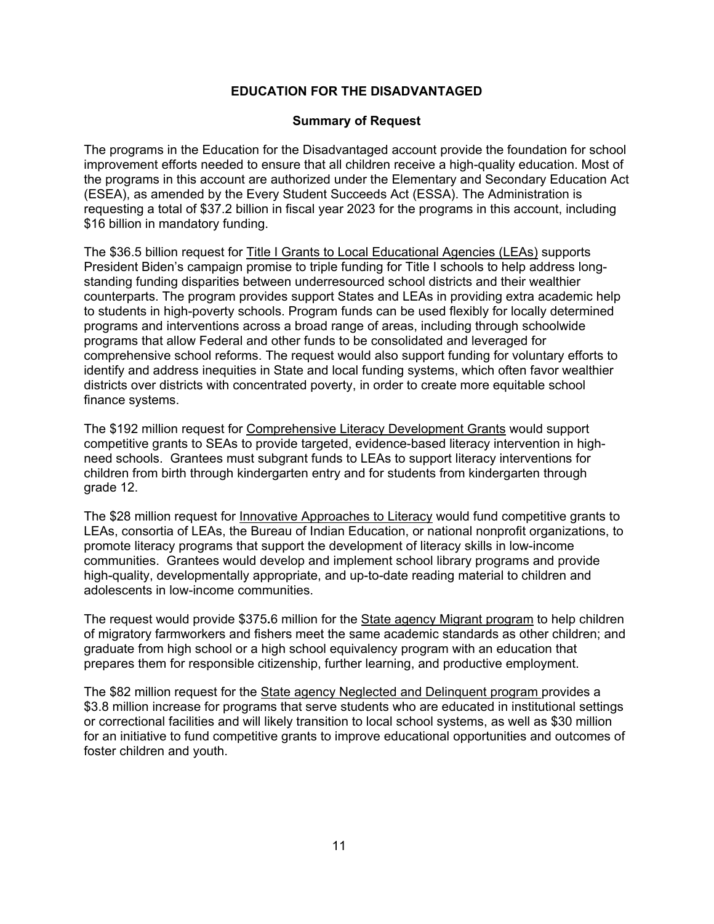#### **Summary of Request**

<span id="page-11-0"></span>The programs in the Education for the Disadvantaged account provide the foundation for school improvement efforts needed to ensure that all children receive a high-quality education. Most of the programs in this account are authorized under the Elementary and Secondary Education Act (ESEA), as amended by the Every Student Succeeds Act (ESSA). The Administration is requesting a total of \$37.2 billion in fiscal year 2023 for the programs in this account, including \$16 billion in mandatory funding.

The \$36.5 billion request for Title I Grants to Local Educational Agencies (LEAs) supports President Biden's campaign promise to triple funding for Title I schools to help address longstanding funding disparities between underresourced school districts and their wealthier counterparts. The program provides support States and LEAs in providing extra academic help to students in high-poverty schools. Program funds can be used flexibly for locally determined programs and interventions across a broad range of areas, including through schoolwide programs that allow Federal and other funds to be consolidated and leveraged for comprehensive school reforms. The request would also support funding for voluntary efforts to identify and address inequities in State and local funding systems, which often favor wealthier districts over districts with concentrated poverty, in order to create more equitable school finance systems.

The \$192 million request for Comprehensive Literacy Development Grants would support competitive grants to SEAs to provide targeted, evidence-based literacy intervention in highneed schools. Grantees must subgrant funds to LEAs to support literacy interventions for children from birth through kindergarten entry and for students from kindergarten through grade 12.

The \$28 million request for Innovative Approaches to Literacy would fund competitive grants to LEAs, consortia of LEAs, the Bureau of Indian Education, or national nonprofit organizations, to promote literacy programs that support the development of literacy skills in low-income communities. Grantees would develop and implement school library programs and provide high-quality, developmentally appropriate, and up-to-date reading material to children and adolescents in low-income communities.

The request would provide \$375**.**6 million for the State agency Migrant program to help children of migratory farmworkers and fishers meet the same academic standards as other children; and graduate from high school or a high school equivalency program with an education that prepares them for responsible citizenship, further learning, and productive employment.

The \$82 million request for the State agency Neglected and Delinquent program provides a \$3.8 million increase for programs that serve students who are educated in institutional settings or correctional facilities and will likely transition to local school systems, as well as \$30 million for an initiative to fund competitive grants to improve educational opportunities and outcomes of foster children and youth.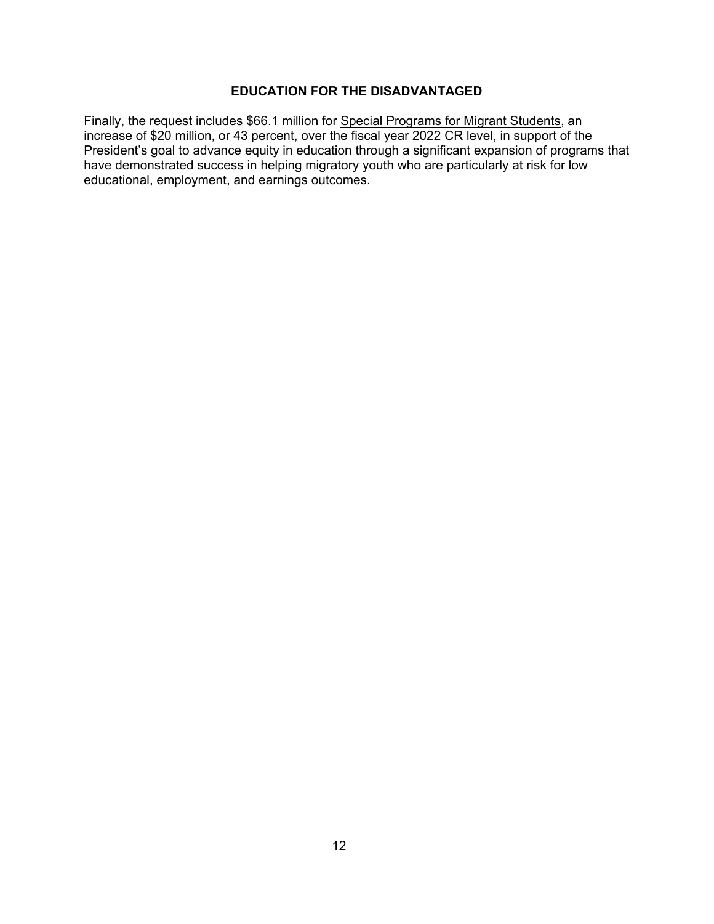Finally, the request includes \$66.1 million for Special Programs for Migrant Students, an increase of \$20 million, or 43 percent, over the fiscal year 2022 CR level, in support of the President's goal to advance equity in education through a significant expansion of programs that have demonstrated success in helping migratory youth who are particularly at risk for low educational, employment, and earnings outcomes.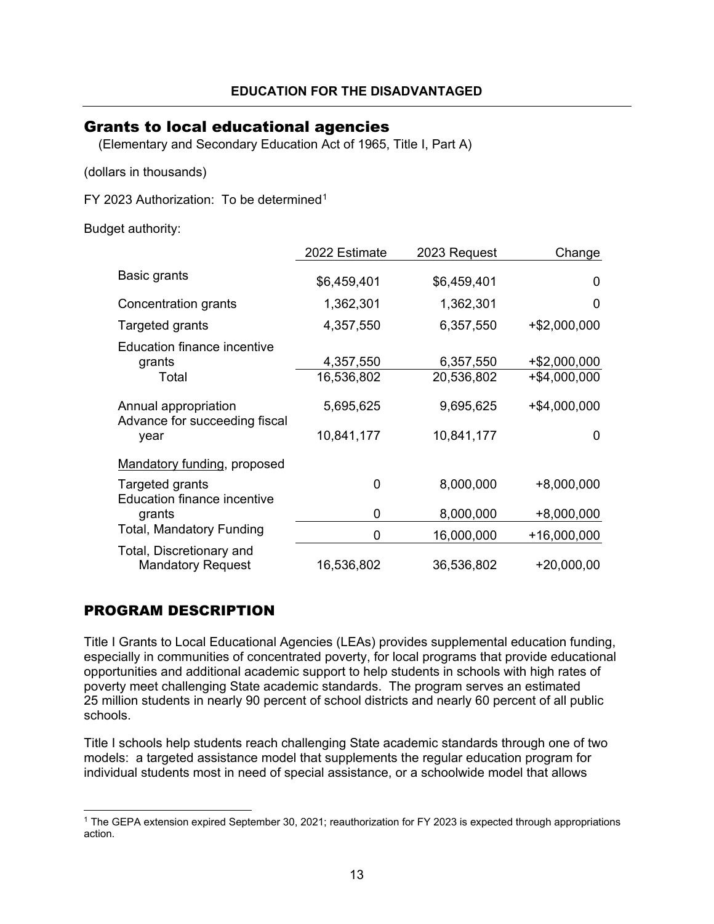## <span id="page-13-0"></span>Grants to local educational agencies

(Elementary and Secondary Education Act of 1965, Title I, Part A)

(dollars in thousands)

FY 2023 Authorization: To be determined<sup>[1](#page-13-1)</sup>

Budget authority:

|                                                               | 2022 Estimate           | 2023 Request            | Change                       |
|---------------------------------------------------------------|-------------------------|-------------------------|------------------------------|
| Basic grants                                                  | \$6,459,401             | \$6,459,401             | 0                            |
| Concentration grants                                          | 1,362,301               | 1,362,301               | 0                            |
| Targeted grants                                               | 4,357,550               | 6,357,550               | +\$2,000,000                 |
| <b>Education finance incentive</b><br>grants<br>Total         | 4,357,550<br>16,536,802 | 6,357,550<br>20,536,802 | +\$2,000,000<br>+\$4,000,000 |
| Annual appropriation<br>Advance for succeeding fiscal<br>year | 5,695,625<br>10,841,177 | 9,695,625<br>10,841,177 | $+$ \$4,000,000<br>0         |
| Mandatory funding, proposed                                   |                         |                         |                              |
| Targeted grants<br><b>Education finance incentive</b>         | 0                       | 8,000,000               | $+8,000,000$                 |
| grants                                                        | 0                       | 8,000,000               | $+8,000,000$                 |
| <b>Total, Mandatory Funding</b>                               | 0                       | 16,000,000              | +16,000,000                  |
| Total, Discretionary and<br><b>Mandatory Request</b>          | 16,536,802              | 36,536,802              | $+20,000,00$                 |

## PROGRAM DESCRIPTION

Title I Grants to Local Educational Agencies (LEAs) provides supplemental education funding, especially in communities of concentrated poverty, for local programs that provide educational opportunities and additional academic support to help students in schools with high rates of poverty meet challenging State academic standards. The program serves an estimated 25 million students in nearly 90 percent of school districts and nearly 60 percent of all public schools.

Title I schools help students reach challenging State academic standards through one of two models: a targeted assistance model that supplements the regular education program for individual students most in need of special assistance, or a schoolwide model that allows

<span id="page-13-1"></span><sup>1</sup> The GEPA extension expired September 30, 2021; reauthorization for FY 2023 is expected through appropriations action.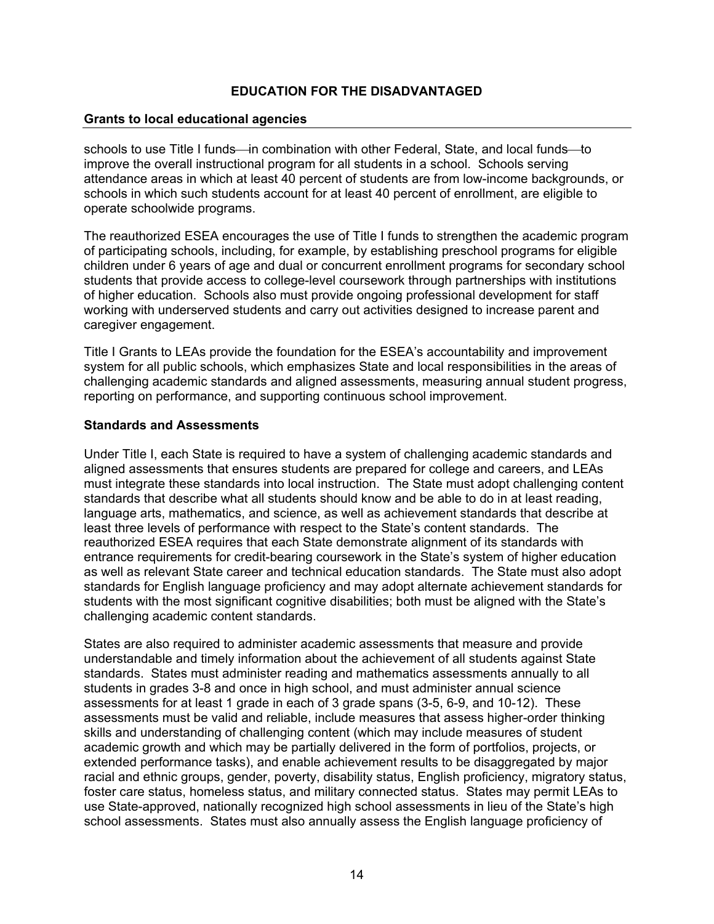### **Grants to local educational agencies**

schools to use Title I funds—in combination with other Federal, State, and local funds—to improve the overall instructional program for all students in a school. Schools serving attendance areas in which at least 40 percent of students are from low-income backgrounds, or schools in which such students account for at least 40 percent of enrollment, are eligible to operate schoolwide programs.

The reauthorized ESEA encourages the use of Title I funds to strengthen the academic program of participating schools, including, for example, by establishing preschool programs for eligible children under 6 years of age and dual or concurrent enrollment programs for secondary school students that provide access to college-level coursework through partnerships with institutions of higher education. Schools also must provide ongoing professional development for staff working with underserved students and carry out activities designed to increase parent and caregiver engagement.

Title I Grants to LEAs provide the foundation for the ESEA's accountability and improvement system for all public schools, which emphasizes State and local responsibilities in the areas of challenging academic standards and aligned assessments, measuring annual student progress, reporting on performance, and supporting continuous school improvement.

#### **Standards and Assessments**

Under Title I, each State is required to have a system of challenging academic standards and aligned assessments that ensures students are prepared for college and careers, and LEAs must integrate these standards into local instruction. The State must adopt challenging content standards that describe what all students should know and be able to do in at least reading, language arts, mathematics, and science, as well as achievement standards that describe at least three levels of performance with respect to the State's content standards. The reauthorized ESEA requires that each State demonstrate alignment of its standards with entrance requirements for credit-bearing coursework in the State's system of higher education as well as relevant State career and technical education standards. The State must also adopt standards for English language proficiency and may adopt alternate achievement standards for students with the most significant cognitive disabilities; both must be aligned with the State's challenging academic content standards.

States are also required to administer academic assessments that measure and provide understandable and timely information about the achievement of all students against State standards. States must administer reading and mathematics assessments annually to all students in grades 3-8 and once in high school, and must administer annual science assessments for at least 1 grade in each of 3 grade spans (3-5, 6-9, and 10-12). These assessments must be valid and reliable, include measures that assess higher-order thinking skills and understanding of challenging content (which may include measures of student academic growth and which may be partially delivered in the form of portfolios, projects, or extended performance tasks), and enable achievement results to be disaggregated by major racial and ethnic groups, gender, poverty, disability status, English proficiency, migratory status, foster care status, homeless status, and military connected status. States may permit LEAs to use State-approved, nationally recognized high school assessments in lieu of the State's high school assessments. States must also annually assess the English language proficiency of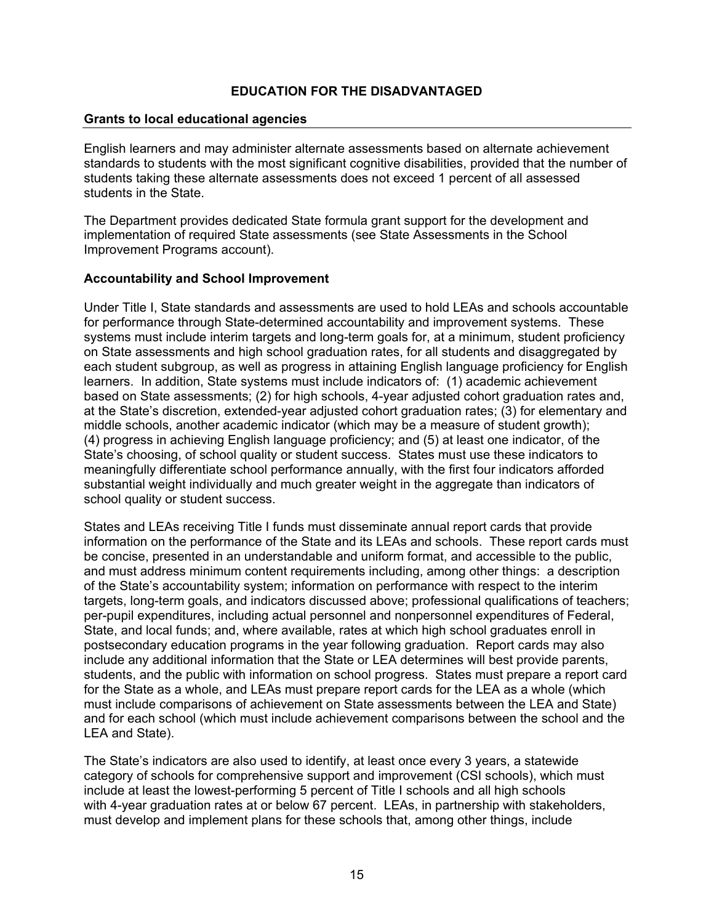### **Grants to local educational agencies**

English learners and may administer alternate assessments based on alternate achievement standards to students with the most significant cognitive disabilities, provided that the number of students taking these alternate assessments does not exceed 1 percent of all assessed students in the State.

The Department provides dedicated State formula grant support for the development and implementation of required State assessments (see State Assessments in the School Improvement Programs account).

#### **Accountability and School Improvement**

Under Title I, State standards and assessments are used to hold LEAs and schools accountable for performance through State-determined accountability and improvement systems. These systems must include interim targets and long-term goals for, at a minimum, student proficiency on State assessments and high school graduation rates, for all students and disaggregated by each student subgroup, as well as progress in attaining English language proficiency for English learners. In addition, State systems must include indicators of: (1) academic achievement based on State assessments; (2) for high schools, 4-year adjusted cohort graduation rates and, at the State's discretion, extended-year adjusted cohort graduation rates; (3) for elementary and middle schools, another academic indicator (which may be a measure of student growth); (4) progress in achieving English language proficiency; and (5) at least one indicator, of the State's choosing, of school quality or student success. States must use these indicators to meaningfully differentiate school performance annually, with the first four indicators afforded substantial weight individually and much greater weight in the aggregate than indicators of school quality or student success.

States and LEAs receiving Title I funds must disseminate annual report cards that provide information on the performance of the State and its LEAs and schools. These report cards must be concise, presented in an understandable and uniform format, and accessible to the public, and must address minimum content requirements including, among other things: a description of the State's accountability system; information on performance with respect to the interim targets, long-term goals, and indicators discussed above; professional qualifications of teachers; per-pupil expenditures, including actual personnel and nonpersonnel expenditures of Federal, State, and local funds; and, where available, rates at which high school graduates enroll in postsecondary education programs in the year following graduation. Report cards may also include any additional information that the State or LEA determines will best provide parents, students, and the public with information on school progress. States must prepare a report card for the State as a whole, and LEAs must prepare report cards for the LEA as a whole (which must include comparisons of achievement on State assessments between the LEA and State) and for each school (which must include achievement comparisons between the school and the LEA and State).

The State's indicators are also used to identify, at least once every 3 years, a statewide category of schools for comprehensive support and improvement (CSI schools), which must include at least the lowest-performing 5 percent of Title I schools and all high schools with 4-year graduation rates at or below 67 percent. LEAs, in partnership with stakeholders, must develop and implement plans for these schools that, among other things, include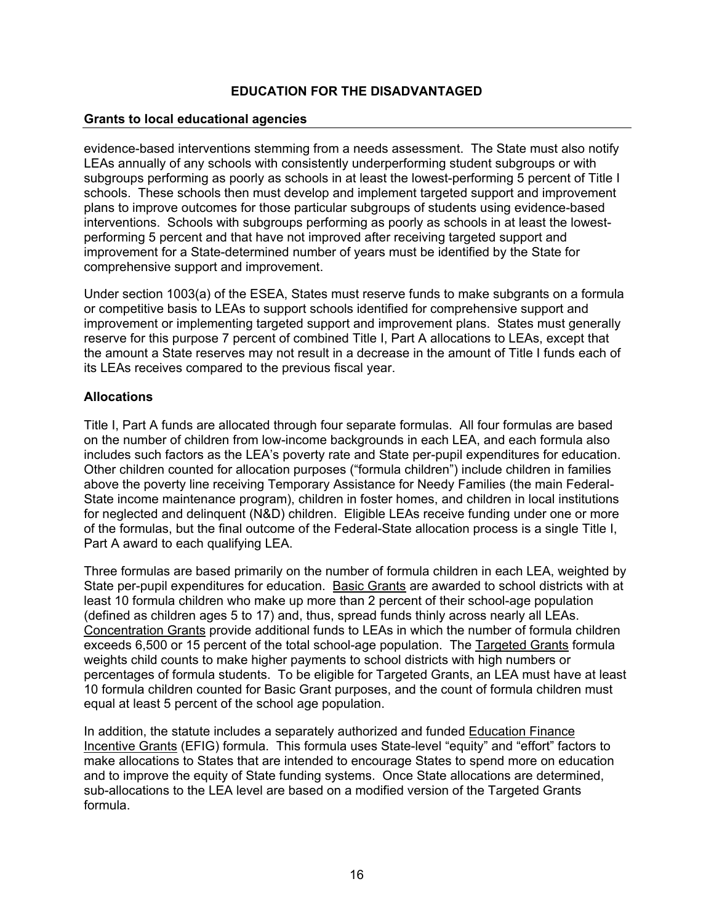### **Grants to local educational agencies**

evidence-based interventions stemming from a needs assessment. The State must also notify LEAs annually of any schools with consistently underperforming student subgroups or with subgroups performing as poorly as schools in at least the lowest-performing 5 percent of Title I schools. These schools then must develop and implement targeted support and improvement plans to improve outcomes for those particular subgroups of students using evidence-based interventions. Schools with subgroups performing as poorly as schools in at least the lowestperforming 5 percent and that have not improved after receiving targeted support and improvement for a State-determined number of years must be identified by the State for comprehensive support and improvement.

Under section 1003(a) of the ESEA, States must reserve funds to make subgrants on a formula or competitive basis to LEAs to support schools identified for comprehensive support and improvement or implementing targeted support and improvement plans. States must generally reserve for this purpose 7 percent of combined Title I, Part A allocations to LEAs, except that the amount a State reserves may not result in a decrease in the amount of Title I funds each of its LEAs receives compared to the previous fiscal year.

#### **Allocations**

Title I, Part A funds are allocated through four separate formulas. All four formulas are based on the number of children from low-income backgrounds in each LEA, and each formula also includes such factors as the LEA's poverty rate and State per-pupil expenditures for education. Other children counted for allocation purposes ("formula children") include children in families above the poverty line receiving Temporary Assistance for Needy Families (the main Federal-State income maintenance program), children in foster homes, and children in local institutions for neglected and delinquent (N&D) children. Eligible LEAs receive funding under one or more of the formulas, but the final outcome of the Federal-State allocation process is a single Title I, Part A award to each qualifying LEA.

Three formulas are based primarily on the number of formula children in each LEA, weighted by State per-pupil expenditures for education. Basic Grants are awarded to school districts with at least 10 formula children who make up more than 2 percent of their school-age population (defined as children ages 5 to 17) and, thus, spread funds thinly across nearly all LEAs. Concentration Grants provide additional funds to LEAs in which the number of formula children exceeds 6,500 or 15 percent of the total school-age population. The Targeted Grants formula weights child counts to make higher payments to school districts with high numbers or percentages of formula students. To be eligible for Targeted Grants, an LEA must have at least 10 formula children counted for Basic Grant purposes, and the count of formula children must equal at least 5 percent of the school age population.

In addition, the statute includes a separately authorized and funded Education Finance Incentive Grants (EFIG) formula. This formula uses State-level "equity" and "effort" factors to make allocations to States that are intended to encourage States to spend more on education and to improve the equity of State funding systems. Once State allocations are determined, sub-allocations to the LEA level are based on a modified version of the Targeted Grants formula.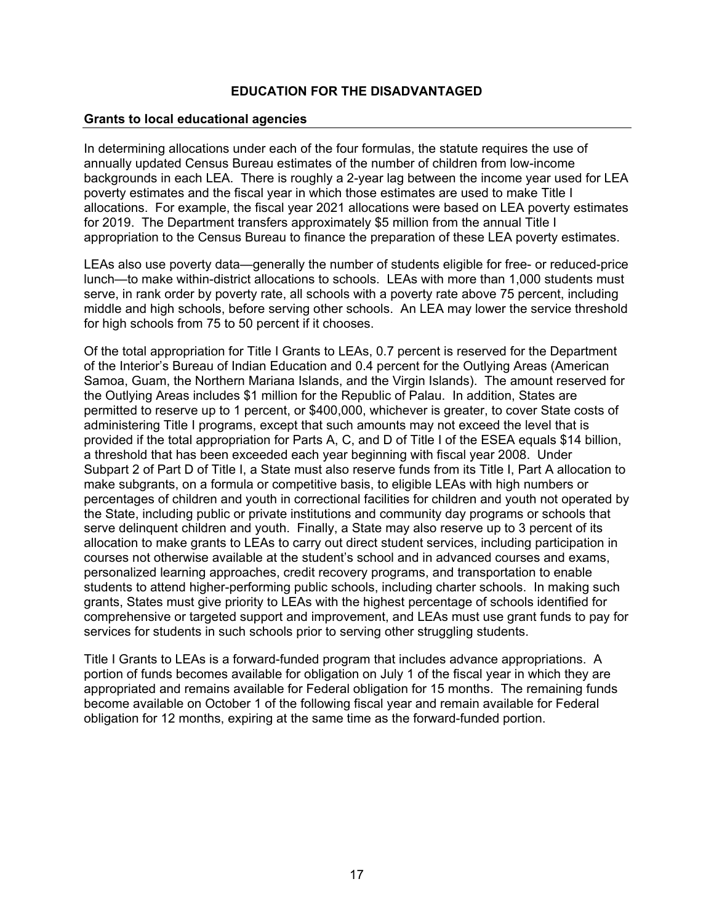### **Grants to local educational agencies**

In determining allocations under each of the four formulas, the statute requires the use of annually updated Census Bureau estimates of the number of children from low-income backgrounds in each LEA. There is roughly a 2-year lag between the income year used for LEA poverty estimates and the fiscal year in which those estimates are used to make Title I allocations. For example, the fiscal year 2021 allocations were based on LEA poverty estimates for 2019. The Department transfers approximately \$5 million from the annual Title I appropriation to the Census Bureau to finance the preparation of these LEA poverty estimates.

LEAs also use poverty data—generally the number of students eligible for free- or reduced-price lunch—to make within-district allocations to schools. LEAs with more than 1,000 students must serve, in rank order by poverty rate, all schools with a poverty rate above 75 percent, including middle and high schools, before serving other schools. An LEA may lower the service threshold for high schools from 75 to 50 percent if it chooses.

Of the total appropriation for Title I Grants to LEAs, 0.7 percent is reserved for the Department of the Interior's Bureau of Indian Education and 0.4 percent for the Outlying Areas (American Samoa, Guam, the Northern Mariana Islands, and the Virgin Islands). The amount reserved for the Outlying Areas includes \$1 million for the Republic of Palau. In addition, States are permitted to reserve up to 1 percent, or \$400,000, whichever is greater, to cover State costs of administering Title I programs, except that such amounts may not exceed the level that is provided if the total appropriation for Parts A, C, and D of Title I of the ESEA equals \$14 billion, a threshold that has been exceeded each year beginning with fiscal year 2008. Under Subpart 2 of Part D of Title I, a State must also reserve funds from its Title I, Part A allocation to make subgrants, on a formula or competitive basis, to eligible LEAs with high numbers or percentages of children and youth in correctional facilities for children and youth not operated by the State, including public or private institutions and community day programs or schools that serve delinquent children and youth. Finally, a State may also reserve up to 3 percent of its allocation to make grants to LEAs to carry out direct student services, including participation in courses not otherwise available at the student's school and in advanced courses and exams, personalized learning approaches, credit recovery programs, and transportation to enable students to attend higher-performing public schools, including charter schools. In making such grants, States must give priority to LEAs with the highest percentage of schools identified for comprehensive or targeted support and improvement, and LEAs must use grant funds to pay for services for students in such schools prior to serving other struggling students.

Title I Grants to LEAs is a forward-funded program that includes advance appropriations. A portion of funds becomes available for obligation on July 1 of the fiscal year in which they are appropriated and remains available for Federal obligation for 15 months. The remaining funds become available on October 1 of the following fiscal year and remain available for Federal obligation for 12 months, expiring at the same time as the forward-funded portion.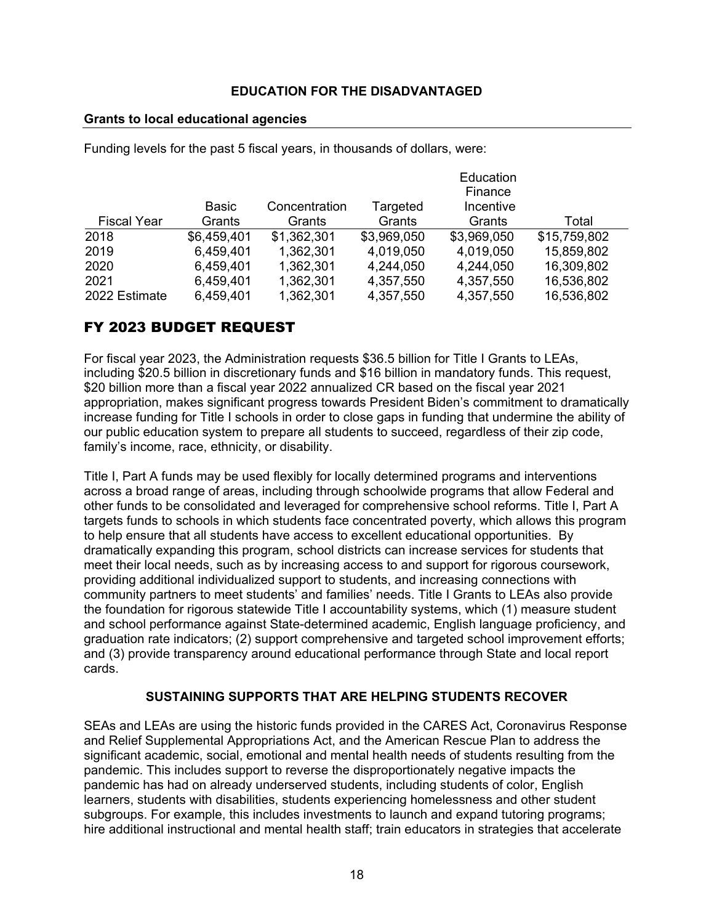### **Grants to local educational agencies**

Funding levels for the past 5 fiscal years, in thousands of dollars, were:

|                    |             |               |             | Education   |              |
|--------------------|-------------|---------------|-------------|-------------|--------------|
|                    |             |               |             | Finance     |              |
|                    | Basic       | Concentration | Targeted    | Incentive   |              |
| <b>Fiscal Year</b> | Grants      | Grants        | Grants      | Grants      | Total        |
| 2018               | \$6,459,401 | \$1,362,301   | \$3,969,050 | \$3,969,050 | \$15,759,802 |
| 2019               | 6,459,401   | 1,362,301     | 4,019,050   | 4,019,050   | 15,859,802   |
| 2020               | 6,459,401   | 1,362,301     | 4,244,050   | 4,244,050   | 16,309,802   |
| 2021               | 6,459,401   | 1,362,301     | 4,357,550   | 4,357,550   | 16,536,802   |
| 2022 Estimate      | 6,459,401   | 1,362,301     | 4,357,550   | 4,357,550   | 16,536,802   |

## FY 2023 BUDGET REQUEST

For fiscal year 2023, the Administration requests \$36.5 billion for Title I Grants to LEAs, including \$20.5 billion in discretionary funds and \$16 billion in mandatory funds. This request, \$20 billion more than a fiscal year 2022 annualized CR based on the fiscal year 2021 appropriation, makes significant progress towards President Biden's commitment to dramatically increase funding for Title I schools in order to close gaps in funding that undermine the ability of our public education system to prepare all students to succeed, regardless of their zip code, family's income, race, ethnicity, or disability.

Title I, Part A funds may be used flexibly for locally determined programs and interventions across a broad range of areas, including through schoolwide programs that allow Federal and other funds to be consolidated and leveraged for comprehensive school reforms. Title I, Part A targets funds to schools in which students face concentrated poverty, which allows this program to help ensure that all students have access to excellent educational opportunities. By dramatically expanding this program, school districts can increase services for students that meet their local needs, such as by increasing access to and support for rigorous coursework, providing additional individualized support to students, and increasing connections with community partners to meet students' and families' needs. Title I Grants to LEAs also provide the foundation for rigorous statewide Title I accountability systems, which (1) measure student and school performance against State-determined academic, English language proficiency, and graduation rate indicators; (2) support comprehensive and targeted school improvement efforts; and (3) provide transparency around educational performance through State and local report cards.

### **SUSTAINING SUPPORTS THAT ARE HELPING STUDENTS RECOVER**

SEAs and LEAs are using the historic funds provided in the CARES Act, Coronavirus Response and Relief Supplemental Appropriations Act, and the American Rescue Plan to address the significant academic, social, emotional and mental health needs of students resulting from the pandemic. This includes support to reverse the disproportionately negative impacts the pandemic has had on already underserved students, including students of color, English learners, students with disabilities, students experiencing homelessness and other student subgroups. For example, this includes investments to launch and expand tutoring programs; hire additional instructional and mental health staff; train educators in strategies that accelerate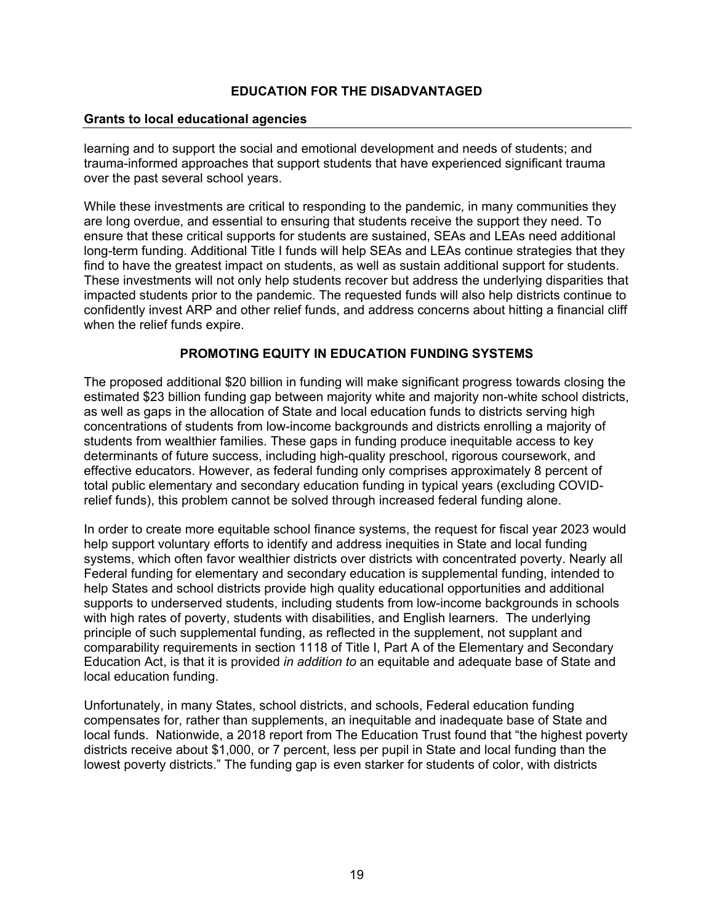### **Grants to local educational agencies**

learning and to support the social and emotional development and needs of students; and trauma-informed approaches that support students that have experienced significant trauma over the past several school years.

While these investments are critical to responding to the pandemic, in many communities they are long overdue, and essential to ensuring that students receive the support they need. To ensure that these critical supports for students are sustained, SEAs and LEAs need additional long-term funding. Additional Title I funds will help SEAs and LEAs continue strategies that they find to have the greatest impact on students, as well as sustain additional support for students. These investments will not only help students recover but address the underlying disparities that impacted students prior to the pandemic. The requested funds will also help districts continue to confidently invest ARP and other relief funds, and address concerns about hitting a financial cliff when the relief funds expire.

### **PROMOTING EQUITY IN EDUCATION FUNDING SYSTEMS**

The proposed additional \$20 billion in funding will make significant progress towards closing the estimated \$23 billion funding gap between majority white and majority non-white school districts, as well as gaps in the allocation of State and local education funds to districts serving high concentrations of students from low-income backgrounds and districts enrolling a majority of students from wealthier families. These gaps in funding produce inequitable access to key determinants of future success, including high-quality preschool, rigorous coursework, and effective educators. However, as federal funding only comprises approximately 8 percent of total public elementary and secondary education funding in typical years (excluding COVIDrelief funds), this problem cannot be solved through increased federal funding alone.

In order to create more equitable school finance systems, the request for fiscal year 2023 would help support voluntary efforts to identify and address inequities in State and local funding systems, which often favor wealthier districts over districts with concentrated poverty. Nearly all Federal funding for elementary and secondary education is supplemental funding, intended to help States and school districts provide high quality educational opportunities and additional supports to underserved students, including students from low-income backgrounds in schools with high rates of poverty, students with disabilities, and English learners. The underlying principle of such supplemental funding, as reflected in the supplement, not supplant and comparability requirements in section 1118 of Title I, Part A of the Elementary and Secondary Education Act, is that it is provided *in addition to* an equitable and adequate base of State and local education funding.

Unfortunately, in many States, school districts, and schools, Federal education funding compensates for, rather than supplements, an inequitable and inadequate base of State and local funds. Nationwide, a 2018 report from The Education Trust found that "the highest poverty districts receive about \$1,000, or 7 percent, less per pupil in State and local funding than the lowest poverty districts." The funding gap is even starker for students of color, with districts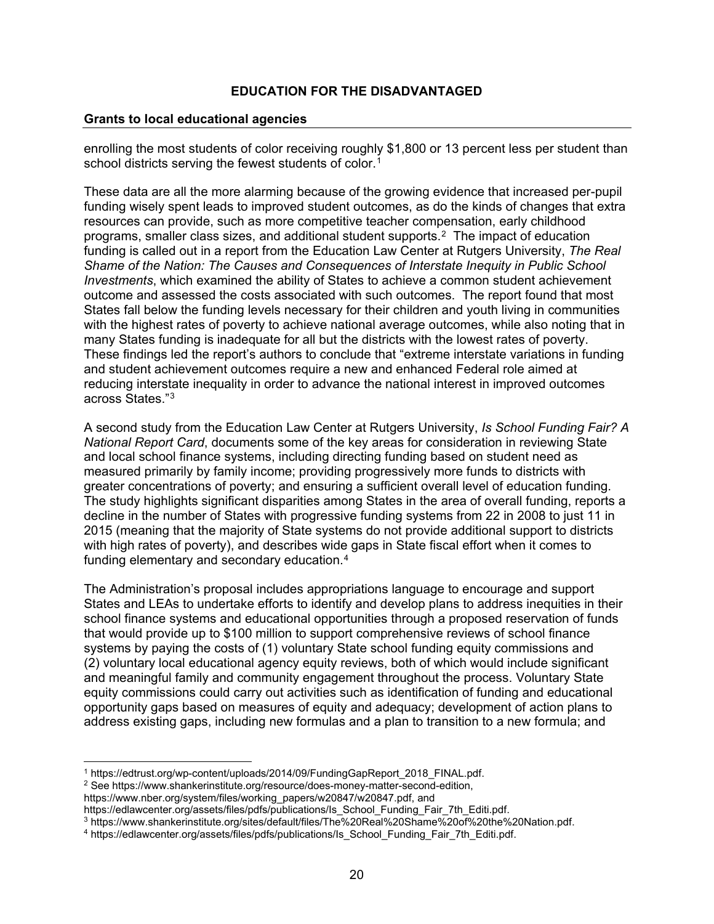### **Grants to local educational agencies**

enrolling the most students of color receiving roughly \$1,800 or 13 percent less per student than school districts serving the fewest students of color.<sup>[1](#page-20-0)</sup>

These data are all the more alarming because of the growing evidence that increased per-pupil funding wisely spent leads to improved student outcomes, as do the kinds of changes that extra resources can provide, such as more competitive teacher compensation, early childhood programs, smaller class sizes, and additional student supports.[2](#page-20-1) The impact of education funding is called out in a report from the Education Law Center at Rutgers University, *The Real Shame of the Nation: The Causes and Consequences of Interstate Inequity in Public School Investments*, which examined the ability of States to achieve a common student achievement outcome and assessed the costs associated with such outcomes. The report found that most States fall below the funding levels necessary for their children and youth living in communities with the highest rates of poverty to achieve national average outcomes, while also noting that in many States funding is inadequate for all but the districts with the lowest rates of poverty. These findings led the report's authors to conclude that "extreme interstate variations in funding and student achievement outcomes require a new and enhanced Federal role aimed at reducing interstate inequality in order to advance the national interest in improved outcomes across States."[3](#page-20-2)

A second study from the Education Law Center at Rutgers University, *Is School Funding Fair? A National Report Card*, documents some of the key areas for consideration in reviewing State and local school finance systems, including directing funding based on student need as measured primarily by family income; providing progressively more funds to districts with greater concentrations of poverty; and ensuring a sufficient overall level of education funding. The study highlights significant disparities among States in the area of overall funding, reports a decline in the number of States with progressive funding systems from 22 in 2008 to just 11 in 2015 (meaning that the majority of State systems do not provide additional support to districts with high rates of poverty), and describes wide gaps in State fiscal effort when it comes to funding elementary and secondary education.<sup>[4](#page-20-3)</sup>

The Administration's proposal includes appropriations language to encourage and support States and LEAs to undertake efforts to identify and develop plans to address inequities in their school finance systems and educational opportunities through a proposed reservation of funds that would provide up to \$100 million to support comprehensive reviews of school finance systems by paying the costs of (1) voluntary State school funding equity commissions and (2) voluntary local educational agency equity reviews, both of which would include significant and meaningful family and community engagement throughout the process. Voluntary State equity commissions could carry out activities such as identification of funding and educational opportunity gaps based on measures of equity and adequacy; development of action plans to address existing gaps, including new formulas and a plan to transition to a new formula; and

<sup>1</sup> [https://edtrust.org/wp-content/uploads/2014/09/FundingGapReport\\_2018\\_FINAL.pdf.](https://edtrust.org/wp-content/uploads/2014/09/FundingGapReport_2018_FINAL.pdf)

<span id="page-20-1"></span><span id="page-20-0"></span><sup>2</sup> See [https://www.shankerinstitute.org/resource/does-money-matter-second-edition,](https://www.shankerinstitute.org/resource/does-money-matter-second-edition) 

[https://www.nber.org/system/files/working\\_papers/w20847/w20847.pdf,](https://www.nber.org/system/files/working_papers/w20847/w20847.pdf) and

[https://edlawcenter.org/assets/files/pdfs/publications/Is\\_School\\_Funding\\_Fair\\_7th\\_Editi.pdf.](https://edlawcenter.org/assets/files/pdfs/publications/Is_School_Funding_Fair_7th_Editi.pdf)<br><sup>3</sup> https://www.shankerinstitute.org/sites/default/files/The%20Real%20Shame%20of%20the%20Nation.pdf.

<span id="page-20-2"></span>

<span id="page-20-3"></span><sup>&</sup>lt;sup>4</sup> https://edlawcenter.org/assets/files/pdfs/publications/Is\_School\_Funding\_Fair\_7th\_Editi.pdf.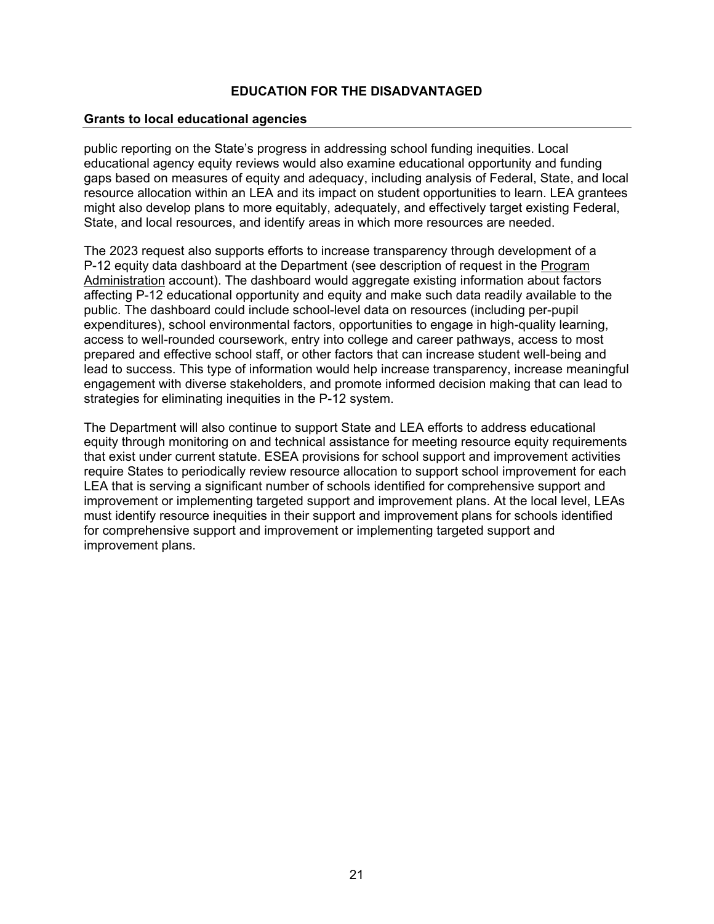### **Grants to local educational agencies**

public reporting on the State's progress in addressing school funding inequities. Local educational agency equity reviews would also examine educational opportunity and funding gaps based on measures of equity and adequacy, including analysis of Federal, State, and local resource allocation within an LEA and its impact on student opportunities to learn. LEA grantees might also develop plans to more equitably, adequately, and effectively target existing Federal, State, and local resources, and identify areas in which more resources are needed.

The 2023 request also supports efforts to increase transparency through development of a P-12 equity data dashboard at the Department (see description of request in the Program Administration account). The dashboard would aggregate existing information about factors affecting P-12 educational opportunity and equity and make such data readily available to the public. The dashboard could include school-level data on resources (including per-pupil expenditures), school environmental factors, opportunities to engage in high-quality learning, access to well-rounded coursework, entry into college and career pathways, access to most prepared and effective school staff, or other factors that can increase student well-being and lead to success. This type of information would help increase transparency, increase meaningful engagement with diverse stakeholders, and promote informed decision making that can lead to strategies for eliminating inequities in the P-12 system.

The Department will also continue to support State and LEA efforts to address educational equity through monitoring on and technical assistance for meeting resource equity requirements that exist under current statute. ESEA provisions for school support and improvement activities require States to periodically review resource allocation to support school improvement for each LEA that is serving a significant number of schools identified for comprehensive support and improvement or implementing targeted support and improvement plans. At the local level, LEAs must identify resource inequities in their support and improvement plans for schools identified for comprehensive support and improvement or implementing targeted support and improvement plans.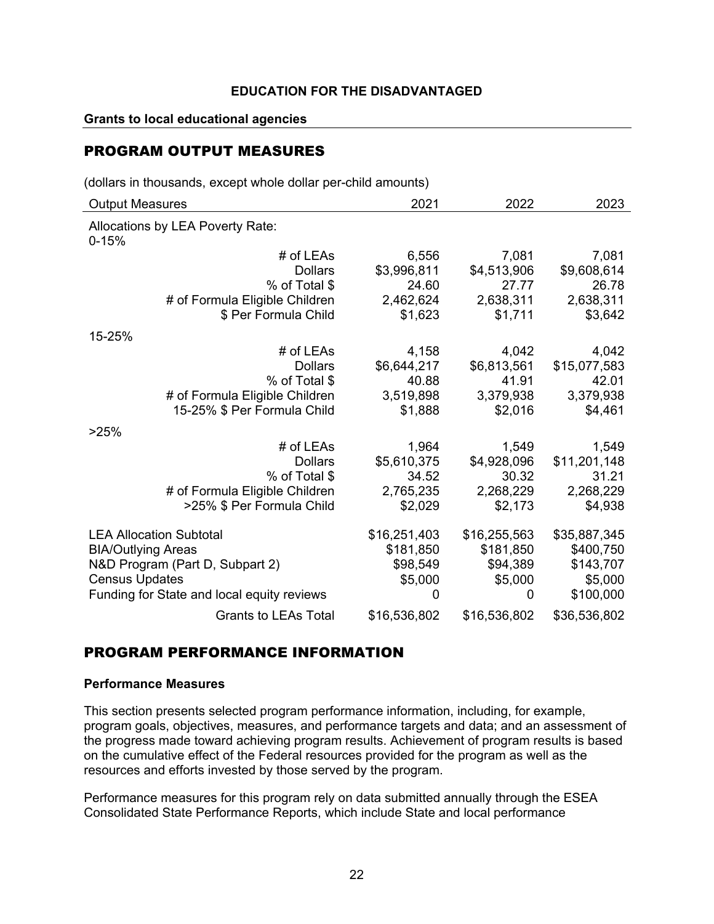### **Grants to local educational agencies**

## PROGRAM OUTPUT MEASURES

(dollars in thousands, except whole dollar per-child amounts)

| <b>Output Measures</b>                        | 2021           | 2022         | 2023         |
|-----------------------------------------------|----------------|--------------|--------------|
| Allocations by LEA Poverty Rate:<br>$0 - 15%$ |                |              |              |
| # of LEAs                                     | 6,556          | 7,081        | 7,081        |
| <b>Dollars</b>                                | \$3,996,811    | \$4,513,906  | \$9,608,614  |
| % of Total \$                                 | 24.60          | 27.77        | 26.78        |
| # of Formula Eligible Children                | 2,462,624      | 2,638,311    | 2,638,311    |
| \$ Per Formula Child                          | \$1,623        | \$1,711      | \$3,642      |
| 15-25%                                        |                |              |              |
| # of LEAs                                     | 4,158          | 4,042        | 4,042        |
| <b>Dollars</b>                                | \$6,644,217    | \$6,813,561  | \$15,077,583 |
| % of Total \$                                 | 40.88          | 41.91        | 42.01        |
| # of Formula Eligible Children                | 3,519,898      | 3,379,938    | 3,379,938    |
| 15-25% \$ Per Formula Child                   | \$1,888        | \$2,016      | \$4,461      |
| >25%                                          |                |              |              |
| # of LEAs                                     | 1,964          | 1,549        | 1,549        |
| <b>Dollars</b>                                | \$5,610,375    | \$4,928,096  | \$11,201,148 |
| % of Total \$                                 | 34.52          | 30.32        | 31.21        |
| # of Formula Eligible Children                | 2,765,235      | 2,268,229    | 2,268,229    |
| >25% \$ Per Formula Child                     | \$2,029        | \$2,173      | \$4,938      |
| <b>LEA Allocation Subtotal</b>                | \$16,251,403   | \$16,255,563 | \$35,887,345 |
| <b>BIA/Outlying Areas</b>                     | \$181,850      | \$181,850    | \$400,750    |
| N&D Program (Part D, Subpart 2)               | \$98,549       | \$94,389     | \$143,707    |
| <b>Census Updates</b>                         | \$5,000        | \$5,000      | \$5,000      |
| Funding for State and local equity reviews    | $\overline{0}$ | 0            | \$100,000    |
| <b>Grants to LEAs Total</b>                   | \$16,536,802   | \$16,536,802 | \$36,536,802 |

## PROGRAM PERFORMANCE INFORMATION

#### **Performance Measures**

This section presents selected program performance information, including, for example, program goals, objectives, measures, and performance targets and data; and an assessment of the progress made toward achieving program results. Achievement of program results is based on the cumulative effect of the Federal resources provided for the program as well as the resources and efforts invested by those served by the program.

Performance measures for this program rely on data submitted annually through the ESEA Consolidated State Performance Reports, which include State and local performance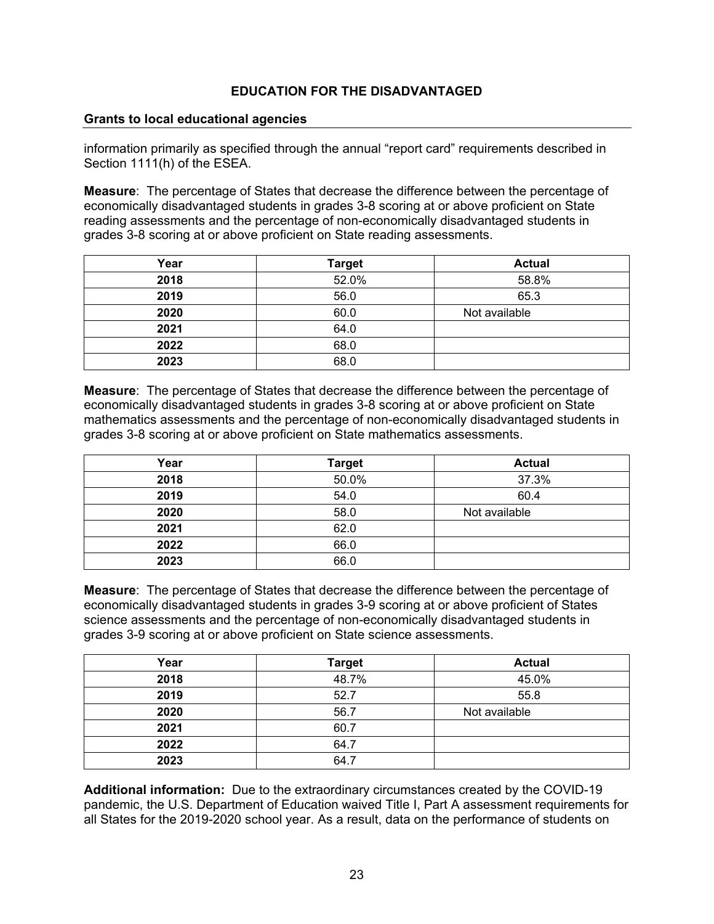#### **Grants to local educational agencies**

information primarily as specified through the annual "report card" requirements described in Section 1111(h) of the ESEA.

**Measure**: The percentage of States that decrease the difference between the percentage of economically disadvantaged students in grades 3-8 scoring at or above proficient on State reading assessments and the percentage of non-economically disadvantaged students in grades 3-8 scoring at or above proficient on State reading assessments.

| Year | <b>Target</b> | <b>Actual</b> |
|------|---------------|---------------|
| 2018 | 52.0%         | 58.8%         |
| 2019 | 56.0          | 65.3          |
| 2020 | 60.0          | Not available |
| 2021 | 64.0          |               |
| 2022 | 68.0          |               |
| 2023 | 68.0          |               |

**Measure**: The percentage of States that decrease the difference between the percentage of economically disadvantaged students in grades 3-8 scoring at or above proficient on State mathematics assessments and the percentage of non-economically disadvantaged students in grades 3-8 scoring at or above proficient on State mathematics assessments.

| Year | <b>Target</b> | <b>Actual</b> |
|------|---------------|---------------|
| 2018 | 50.0%         | 37.3%         |
| 2019 | 54.0          | 60.4          |
| 2020 | 58.0          | Not available |
| 2021 | 62.0          |               |
| 2022 | 66.0          |               |
| 2023 | 66.0          |               |

**Measure**: The percentage of States that decrease the difference between the percentage of economically disadvantaged students in grades 3-9 scoring at or above proficient of States science assessments and the percentage of non-economically disadvantaged students in grades 3-9 scoring at or above proficient on State science assessments.

| Year | <b>Target</b> | <b>Actual</b> |
|------|---------------|---------------|
| 2018 | 48.7%         | 45.0%         |
| 2019 | 52.7          | 55.8          |
| 2020 | 56.7          | Not available |
| 2021 | 60.7          |               |
| 2022 | 64.7          |               |
| 2023 | 64.7          |               |

**Additional information:** Due to the extraordinary circumstances created by the COVID-19 pandemic, the U.S. Department of Education waived Title I, Part A assessment requirements for all States for the 2019-2020 school year. As a result, data on the performance of students on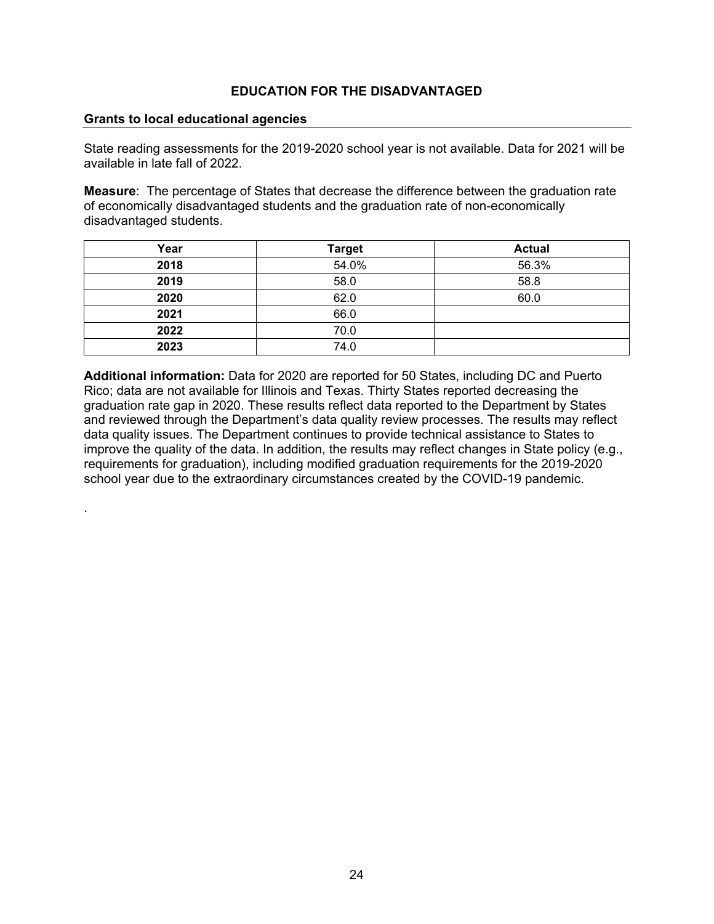#### **Grants to local educational agencies**

.

State reading assessments for the 2019-2020 school year is not available. Data for 2021 will be available in late fall of 2022.

**Measure**: The percentage of States that decrease the difference between the graduation rate of economically disadvantaged students and the graduation rate of non-economically disadvantaged students.

| Year | <b>Target</b> | <b>Actual</b> |
|------|---------------|---------------|
| 2018 | 54.0%         | 56.3%         |
| 2019 | 58.0          | 58.8          |
| 2020 | 62.0          | 60.0          |
| 2021 | 66.0          |               |
| 2022 | 70.0          |               |
| 2023 | 74.0          |               |

**Additional information:** Data for 2020 are reported for 50 States, including DC and Puerto Rico; data are not available for Illinois and Texas. Thirty States reported decreasing the graduation rate gap in 2020. These results reflect data reported to the Department by States and reviewed through the Department's data quality review processes. The results may reflect data quality issues. The Department continues to provide technical assistance to States to improve the quality of the data. In addition, the results may reflect changes in State policy (e.g., requirements for graduation), including modified graduation requirements for the 2019-2020 school year due to the extraordinary circumstances created by the COVID-19 pandemic.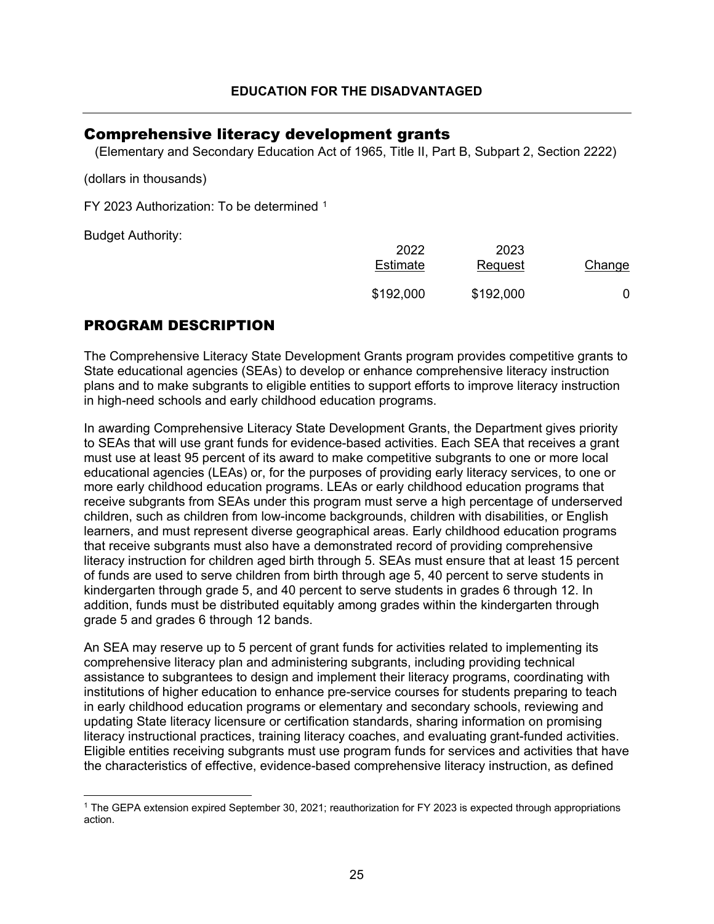## <span id="page-25-0"></span>Comprehensive literacy development grants

(Elementary and Secondary Education Act of 1965, Title II, Part B, Subpart 2, Section 2222)

(dollars in thousands)

FY 2023 Authorization: To be determined [1](#page-25-1)

Budget Authority:

| 2022<br>Estimate | 2023<br>Request | Change |
|------------------|-----------------|--------|
| \$192,000        | \$192,000       |        |

## PROGRAM DESCRIPTION

The Comprehensive Literacy State Development Grants program provides competitive grants to State educational agencies (SEAs) to develop or enhance comprehensive literacy instruction plans and to make subgrants to eligible entities to support efforts to improve literacy instruction in high-need schools and early childhood education programs.

In awarding Comprehensive Literacy State Development Grants, the Department gives priority to SEAs that will use grant funds for evidence-based activities. Each SEA that receives a grant must use at least 95 percent of its award to make competitive subgrants to one or more local educational agencies (LEAs) or, for the purposes of providing early literacy services, to one or more early childhood education programs. LEAs or early childhood education programs that receive subgrants from SEAs under this program must serve a high percentage of underserved children, such as children from low-income backgrounds, children with disabilities, or English learners, and must represent diverse geographical areas. Early childhood education programs that receive subgrants must also have a demonstrated record of providing comprehensive literacy instruction for children aged birth through 5. SEAs must ensure that at least 15 percent of funds are used to serve children from birth through age 5, 40 percent to serve students in kindergarten through grade 5, and 40 percent to serve students in grades 6 through 12. In addition, funds must be distributed equitably among grades within the kindergarten through grade 5 and grades 6 through 12 bands.

An SEA may reserve up to 5 percent of grant funds for activities related to implementing its comprehensive literacy plan and administering subgrants, including providing technical assistance to subgrantees to design and implement their literacy programs, coordinating with institutions of higher education to enhance pre-service courses for students preparing to teach in early childhood education programs or elementary and secondary schools, reviewing and updating State literacy licensure or certification standards, sharing information on promising literacy instructional practices, training literacy coaches, and evaluating grant-funded activities. Eligible entities receiving subgrants must use program funds for services and activities that have the characteristics of effective, evidence-based comprehensive literacy instruction, as defined

<span id="page-25-1"></span><sup>1</sup> The GEPA extension expired September 30, 2021; reauthorization for FY 2023 is expected through appropriations action.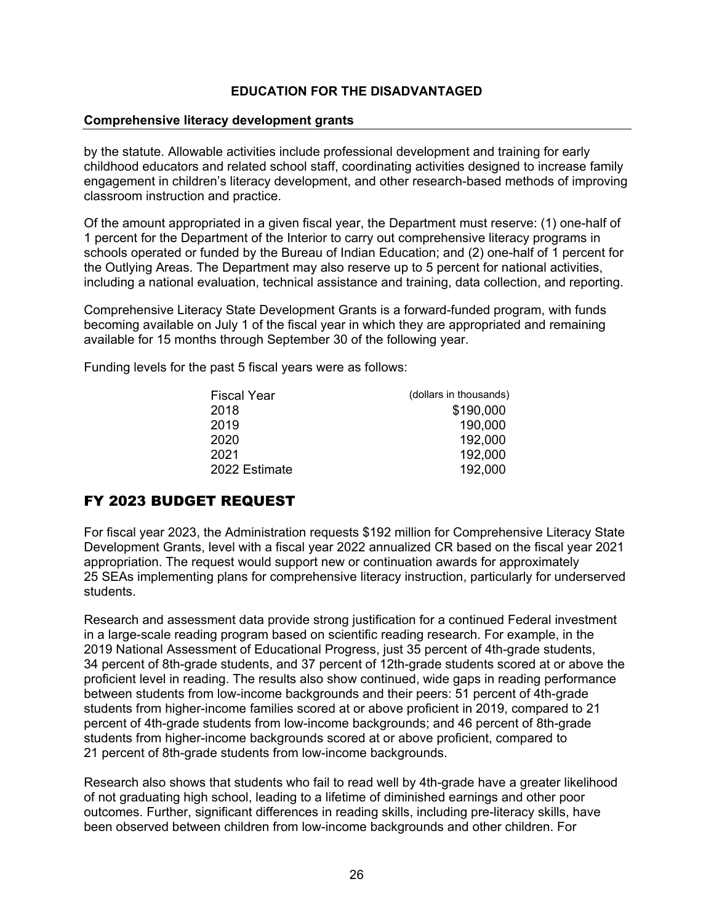#### **Comprehensive literacy development grants**

by the statute. Allowable activities include professional development and training for early childhood educators and related school staff, coordinating activities designed to increase family engagement in children's literacy development, and other research-based methods of improving classroom instruction and practice.

Of the amount appropriated in a given fiscal year, the Department must reserve: (1) one-half of 1 percent for the Department of the Interior to carry out comprehensive literacy programs in schools operated or funded by the Bureau of Indian Education; and (2) one-half of 1 percent for the Outlying Areas. The Department may also reserve up to 5 percent for national activities, including a national evaluation, technical assistance and training, data collection, and reporting.

Comprehensive Literacy State Development Grants is a forward-funded program, with funds becoming available on July 1 of the fiscal year in which they are appropriated and remaining available for 15 months through September 30 of the following year.

Funding levels for the past 5 fiscal years were as follows:

| Fiscal Year   | (dollars in thousands) |
|---------------|------------------------|
| 2018          | \$190,000              |
| 2019          | 190,000                |
| 2020          | 192,000                |
| 2021          | 192,000                |
| 2022 Estimate | 192,000                |
|               |                        |

## FY 2023 BUDGET REQUEST

For fiscal year 2023, the Administration requests \$192 million for Comprehensive Literacy State Development Grants, level with a fiscal year 2022 annualized CR based on the fiscal year 2021 appropriation. The request would support new or continuation awards for approximately 25 SEAs implementing plans for comprehensive literacy instruction, particularly for underserved students.

Research and assessment data provide strong justification for a continued Federal investment in a large-scale reading program based on scientific reading research. For example, in the 2019 National Assessment of Educational Progress, just 35 percent of 4th-grade students, 34 percent of 8th-grade students, and 37 percent of 12th-grade students scored at or above the proficient level in reading. The results also show continued, wide gaps in reading performance between students from low-income backgrounds and their peers: 51 percent of 4th-grade students from higher-income families scored at or above proficient in 2019, compared to 21 percent of 4th-grade students from low-income backgrounds; and 46 percent of 8th-grade students from higher-income backgrounds scored at or above proficient, compared to 21 percent of 8th-grade students from low-income backgrounds.

Research also shows that students who fail to read well by 4th-grade have a greater likelihood of not graduating high school, leading to a lifetime of diminished earnings and other poor outcomes. Further, significant differences in reading skills, including pre-literacy skills, have been observed between children from low-income backgrounds and other children. For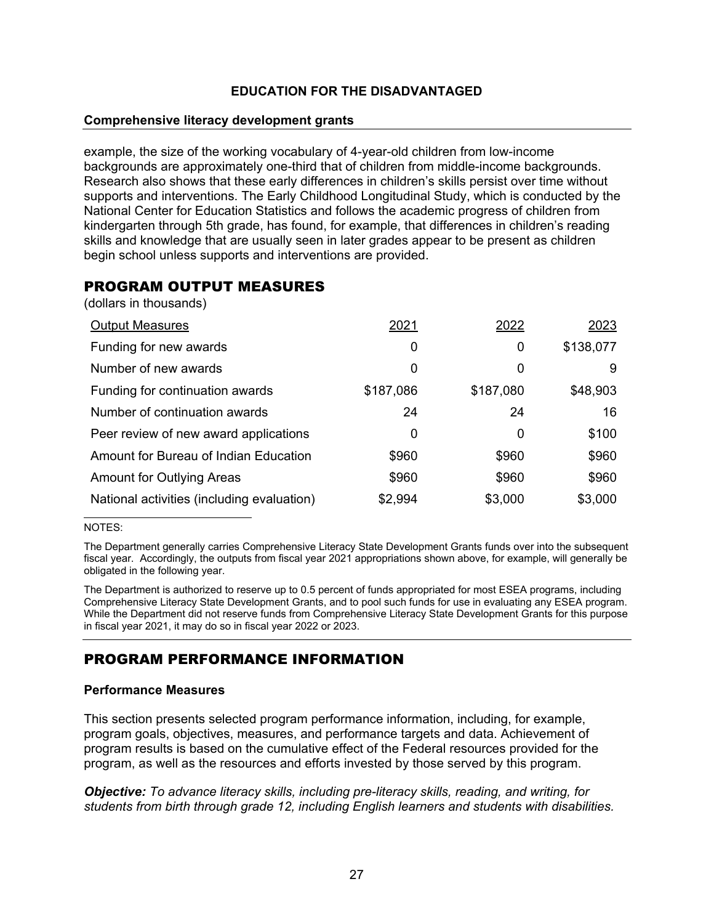#### **Comprehensive literacy development grants**

example, the size of the working vocabulary of 4-year-old children from low-income backgrounds are approximately one-third that of children from middle-income backgrounds. Research also shows that these early differences in children's skills persist over time without supports and interventions. The Early Childhood Longitudinal Study, which is conducted by the National Center for Education Statistics and follows the academic progress of children from kindergarten through 5th grade, has found, for example, that differences in children's reading skills and knowledge that are usually seen in later grades appear to be present as children begin school unless supports and interventions are provided.

## PROGRAM OUTPUT MEASURES

(dollars in thousands)

| <b>Output Measures</b>                     | 2021      | 2022      | 2023      |
|--------------------------------------------|-----------|-----------|-----------|
| Funding for new awards                     | 0         | 0         | \$138,077 |
| Number of new awards                       | 0         | 0         | 9         |
| Funding for continuation awards            | \$187,086 | \$187,080 | \$48,903  |
| Number of continuation awards              | 24        | 24        | 16        |
| Peer review of new award applications      | 0         | 0         | \$100     |
| Amount for Bureau of Indian Education      | \$960     | \$960     | \$960     |
| Amount for Outlying Areas                  | \$960     | \$960     | \$960     |
| National activities (including evaluation) | \$2,994   | \$3,000   | \$3,000   |

#### NOTES:

The Department generally carries Comprehensive Literacy State Development Grants funds over into the subsequent fiscal year. Accordingly, the outputs from fiscal year 2021 appropriations shown above, for example, will generally be obligated in the following year.

The Department is authorized to reserve up to 0.5 percent of funds appropriated for most ESEA programs, including Comprehensive Literacy State Development Grants, and to pool such funds for use in evaluating any ESEA program. While the Department did not reserve funds from Comprehensive Literacy State Development Grants for this purpose in fiscal year 2021, it may do so in fiscal year 2022 or 2023.

# PROGRAM PERFORMANCE INFORMATION

### **Performance Measures**

This section presents selected program performance information, including, for example, program goals, objectives, measures, and performance targets and data. Achievement of program results is based on the cumulative effect of the Federal resources provided for the program, as well as the resources and efforts invested by those served by this program.

*Objective: To advance literacy skills, including pre-literacy skills, reading, and writing, for students from birth through grade 12, including English learners and students with disabilities.*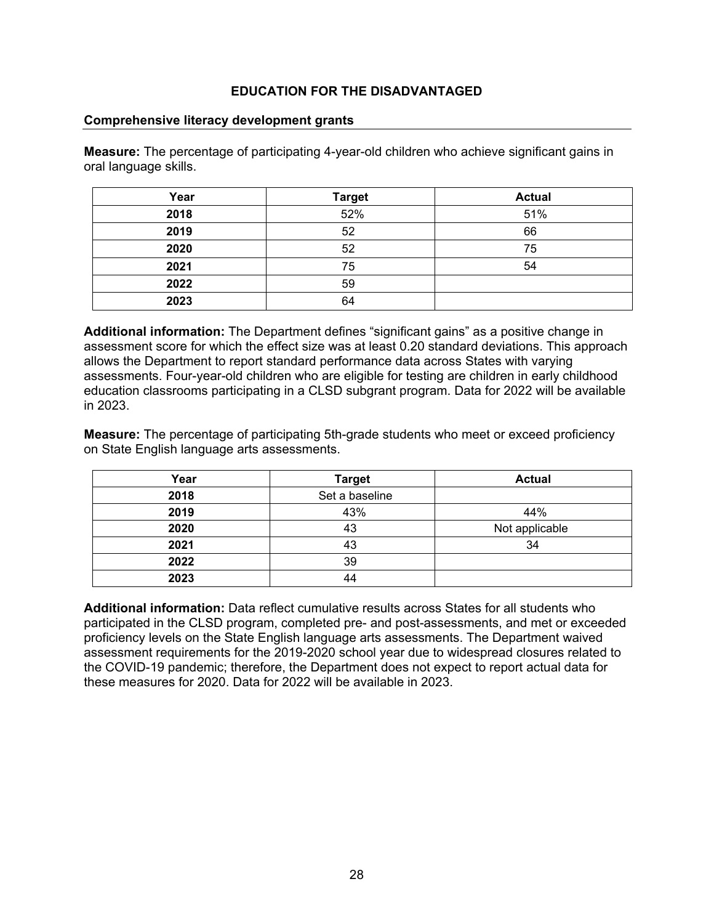#### **Comprehensive literacy development grants**

**Measure:** The percentage of participating 4-year-old children who achieve significant gains in oral language skills.

| Year | <b>Target</b> | <b>Actual</b> |
|------|---------------|---------------|
| 2018 | 52%           | 51%           |
| 2019 | 52            | 66            |
| 2020 | 52            | 75            |
| 2021 | 75            | 54            |
| 2022 | 59            |               |
| 2023 | 64            |               |

**Additional information:** The Department defines "significant gains" as a positive change in assessment score for which the effect size was at least 0.20 standard deviations. This approach allows the Department to report standard performance data across States with varying assessments. Four-year-old children who are eligible for testing are children in early childhood education classrooms participating in a CLSD subgrant program. Data for 2022 will be available in 2023.

**Measure:** The percentage of participating 5th-grade students who meet or exceed proficiency on State English language arts assessments.

| Year | <b>Target</b>  | <b>Actual</b>  |
|------|----------------|----------------|
| 2018 | Set a baseline |                |
| 2019 | 43%            | 44%            |
| 2020 | 43             | Not applicable |
| 2021 | 43             | 34             |
| 2022 | 39             |                |
| 2023 | 44             |                |

**Additional information:** Data reflect cumulative results across States for all students who participated in the CLSD program, completed pre- and post-assessments, and met or exceeded proficiency levels on the State English language arts assessments. The Department waived assessment requirements for the 2019-2020 school year due to widespread closures related to the COVID-19 pandemic; therefore, the Department does not expect to report actual data for these measures for 2020. Data for 2022 will be available in 2023.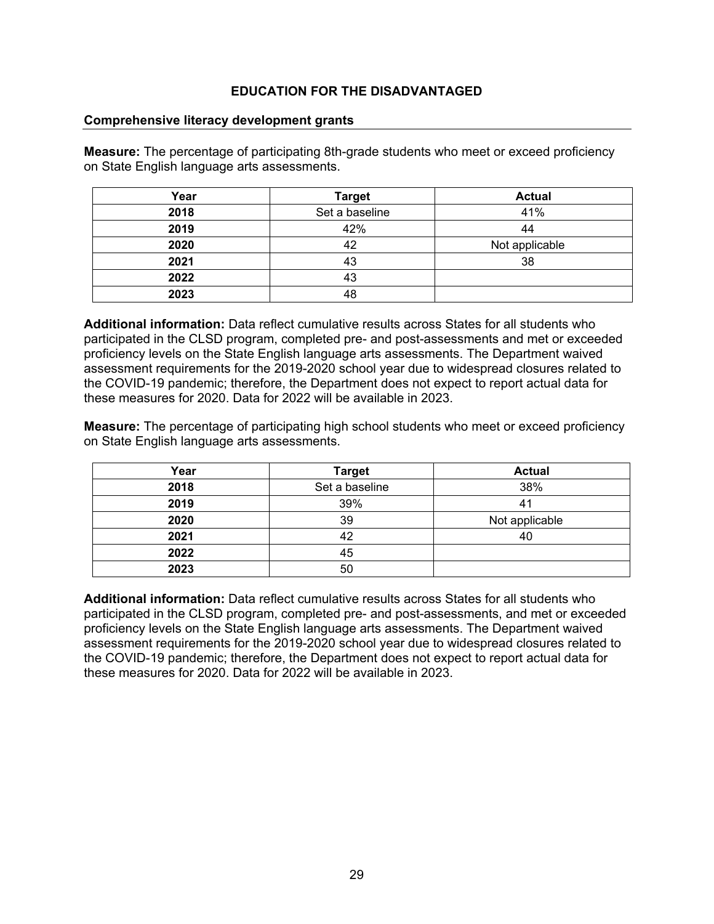#### **Comprehensive literacy development grants**

**Measure:** The percentage of participating 8th-grade students who meet or exceed proficiency on State English language arts assessments.

| Year | <b>Target</b>  | <b>Actual</b>  |
|------|----------------|----------------|
| 2018 | Set a baseline | 41%            |
| 2019 | 42%            | 44             |
| 2020 | 42             | Not applicable |
| 2021 | 43             | 38             |
| 2022 | 43             |                |
| 2023 | 48             |                |

**Additional information:** Data reflect cumulative results across States for all students who participated in the CLSD program, completed pre- and post-assessments and met or exceeded proficiency levels on the State English language arts assessments. The Department waived assessment requirements for the 2019-2020 school year due to widespread closures related to the COVID-19 pandemic; therefore, the Department does not expect to report actual data for these measures for 2020. Data for 2022 will be available in 2023.

**Measure:** The percentage of participating high school students who meet or exceed proficiency on State English language arts assessments.

| Year | <b>Target</b>  | <b>Actual</b>  |
|------|----------------|----------------|
| 2018 | Set a baseline | 38%            |
| 2019 | 39%            | 41             |
| 2020 | 39             | Not applicable |
| 2021 | 42             | 40             |
| 2022 | 45             |                |
| 2023 | 50             |                |

**Additional information:** Data reflect cumulative results across States for all students who participated in the CLSD program, completed pre- and post-assessments, and met or exceeded proficiency levels on the State English language arts assessments. The Department waived assessment requirements for the 2019-2020 school year due to widespread closures related to the COVID-19 pandemic; therefore, the Department does not expect to report actual data for these measures for 2020. Data for 2022 will be available in 2023.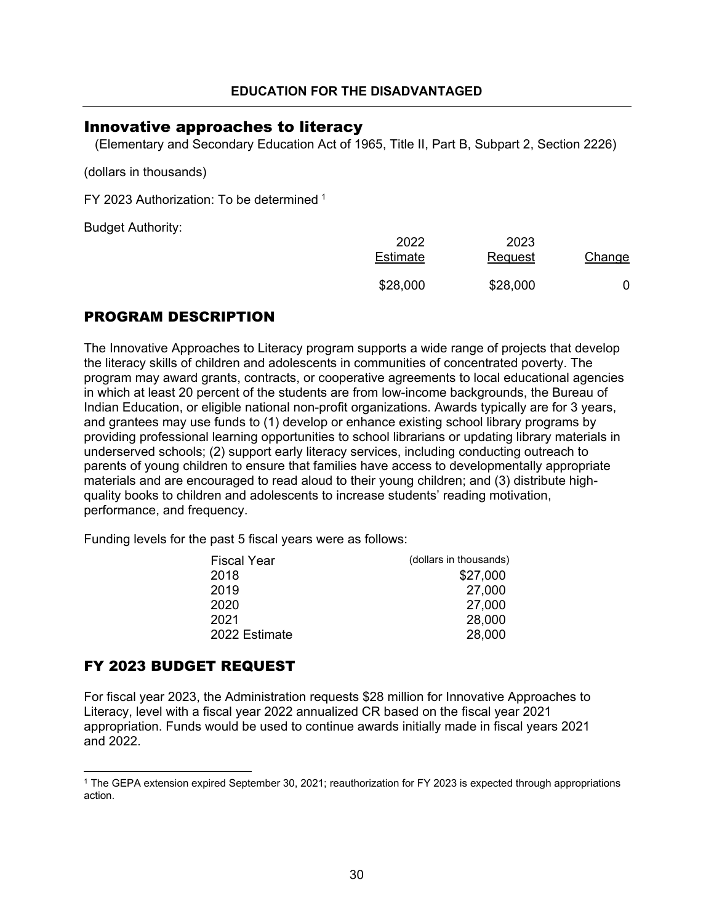## <span id="page-30-0"></span>Innovative approaches to literacy

(Elementary and Secondary Education Act of 1965, Title II, Part B, Subpart 2, Section 2226)

(dollars in thousands)

FY 2023 Authorization: To be determined [1](#page-30-1)

Budget Authority:

| 2022<br>Estimate | 2023<br>Request | Change |
|------------------|-----------------|--------|
| \$28,000         | \$28,000        |        |

## PROGRAM DESCRIPTION

The Innovative Approaches to Literacy program supports a wide range of projects that develop the literacy skills of children and adolescents in communities of concentrated poverty. The program may award grants, contracts, or cooperative agreements to local educational agencies in which at least 20 percent of the students are from low-income backgrounds, the Bureau of Indian Education, or eligible national non-profit organizations. Awards typically are for 3 years, and grantees may use funds to (1) develop or enhance existing school library programs by providing professional learning opportunities to school librarians or updating library materials in underserved schools; (2) support early literacy services, including conducting outreach to parents of young children to ensure that families have access to developmentally appropriate materials and are encouraged to read aloud to their young children; and (3) distribute highquality books to children and adolescents to increase students' reading motivation, performance, and frequency.

Funding levels for the past 5 fiscal years were as follows:

| Fiscal Year   | (dollars in thousands) |
|---------------|------------------------|
| 2018          | \$27,000               |
| 2019          | 27,000                 |
| 2020          | 27,000                 |
| 2021          | 28,000                 |
| 2022 Estimate | 28,000                 |
|               |                        |

## FY 2023 BUDGET REQUEST

For fiscal year 2023, the Administration requests \$28 million for Innovative Approaches to Literacy, level with a fiscal year 2022 annualized CR based on the fiscal year 2021 appropriation. Funds would be used to continue awards initially made in fiscal years 2021 and 2022.

<span id="page-30-1"></span><sup>1</sup> The GEPA extension expired September 30, 2021; reauthorization for FY 2023 is expected through appropriations action.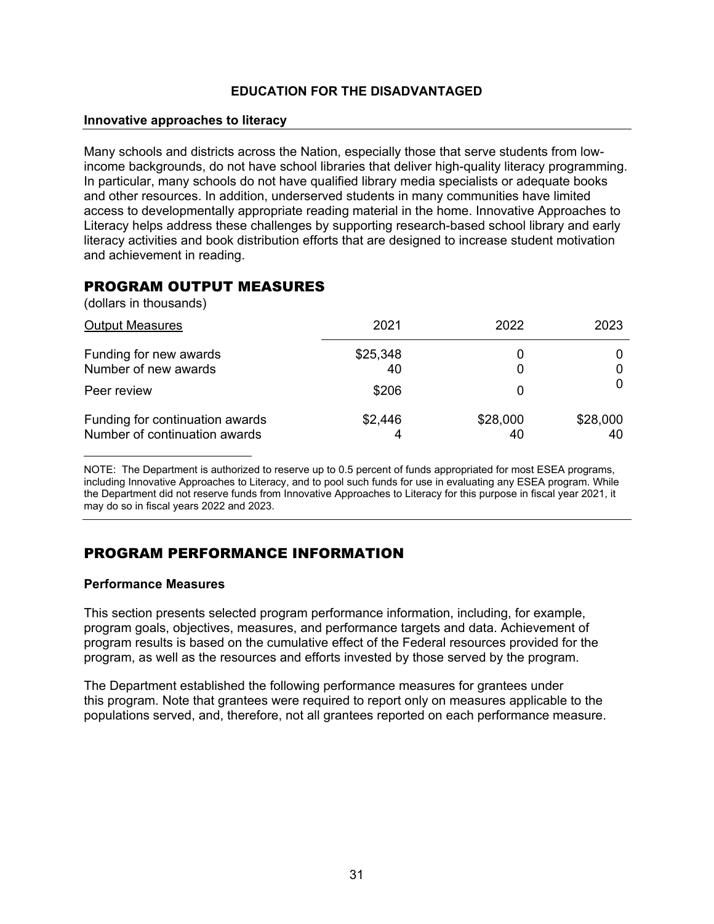#### **Innovative approaches to literacy**

Many schools and districts across the Nation, especially those that serve students from lowincome backgrounds, do not have school libraries that deliver high-quality literacy programming. In particular, many schools do not have qualified library media specialists or adequate books and other resources. In addition, underserved students in many communities have limited access to developmentally appropriate reading material in the home. Innovative Approaches to Literacy helps address these challenges by supporting research-based school library and early literacy activities and book distribution efforts that are designed to increase student motivation and achievement in reading.

## PROGRAM OUTPUT MEASURES

(dollars in thousands)

| <b>Output Measures</b>                                           | 2021           | 2022     | 2023           |
|------------------------------------------------------------------|----------------|----------|----------------|
| Funding for new awards<br>Number of new awards                   | \$25,348<br>40 |          |                |
| Peer review                                                      | \$206          |          |                |
| Funding for continuation awards<br>Number of continuation awards | \$2,446        | \$28,000 | \$28,000<br>40 |

NOTE: The Department is authorized to reserve up to 0.5 percent of funds appropriated for most ESEA programs, including Innovative Approaches to Literacy, and to pool such funds for use in evaluating any ESEA program. While the Department did not reserve funds from Innovative Approaches to Literacy for this purpose in fiscal year 2021, it may do so in fiscal years 2022 and 2023.

## PROGRAM PERFORMANCE INFORMATION

#### **Performance Measures**

This section presents selected program performance information, including, for example, program goals, objectives, measures, and performance targets and data. Achievement of program results is based on the cumulative effect of the Federal resources provided for the program, as well as the resources and efforts invested by those served by the program.

The Department established the following performance measures for grantees under this program. Note that grantees were required to report only on measures applicable to the populations served, and, therefore, not all grantees reported on each performance measure.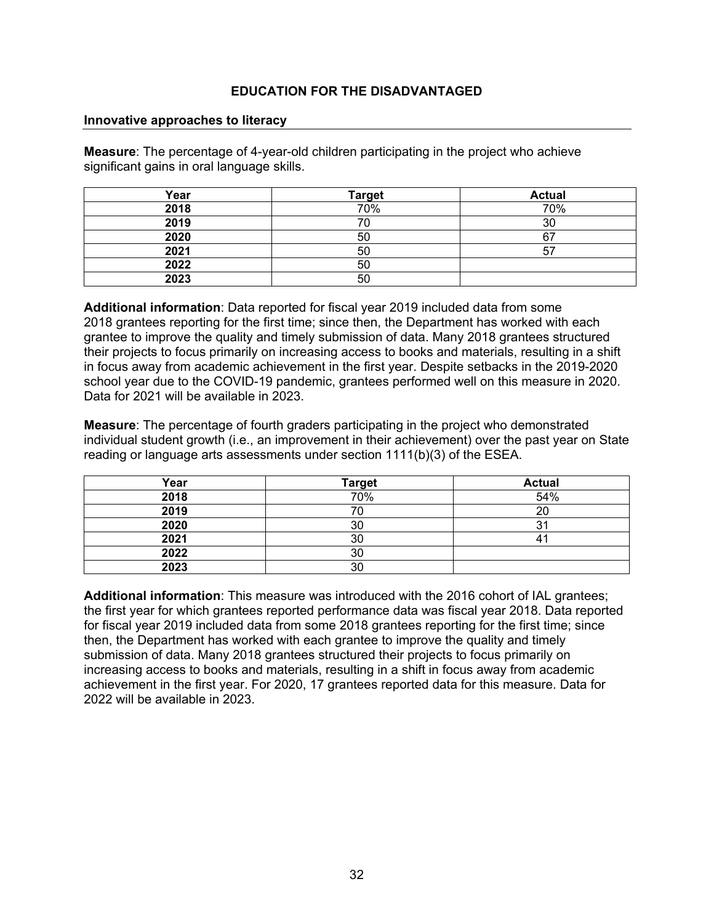#### **Innovative approaches to literacy**

**Measure**: The percentage of 4-year-old children participating in the project who achieve significant gains in oral language skills.

| Year | <b>Target</b> | <b>Actual</b> |
|------|---------------|---------------|
| 2018 | 70%           | 70%           |
| 2019 |               | 30            |
| 2020 | 50            | ຂະ            |
| 2021 | 50            | 57            |
| 2022 | 50            |               |
| 2023 | 50            |               |

**Additional information**: Data reported for fiscal year 2019 included data from some 2018 grantees reporting for the first time; since then, the Department has worked with each grantee to improve the quality and timely submission of data. Many 2018 grantees structured their projects to focus primarily on increasing access to books and materials, resulting in a shift in focus away from academic achievement in the first year. Despite setbacks in the 2019-2020 school year due to the COVID-19 pandemic, grantees performed well on this measure in 2020. Data for 2021 will be available in 2023.

**Measure**: The percentage of fourth graders participating in the project who demonstrated individual student growth (i.e., an improvement in their achievement) over the past year on State reading or language arts assessments under section 1111(b)(3) of the ESEA.

| Year | <b>Target</b> | <b>Actual</b> |
|------|---------------|---------------|
| 2018 | 70%           | 54%           |
| 2019 |               | 20            |
| 2020 | 30            | 31            |
| 2021 | 30            | 4             |
| 2022 | 30            |               |
| 2023 | 30            |               |

**Additional information**: This measure was introduced with the 2016 cohort of IAL grantees; the first year for which grantees reported performance data was fiscal year 2018. Data reported for fiscal year 2019 included data from some 2018 grantees reporting for the first time; since then, the Department has worked with each grantee to improve the quality and timely submission of data. Many 2018 grantees structured their projects to focus primarily on increasing access to books and materials, resulting in a shift in focus away from academic achievement in the first year. For 2020, 17 grantees reported data for this measure. Data for 2022 will be available in 2023.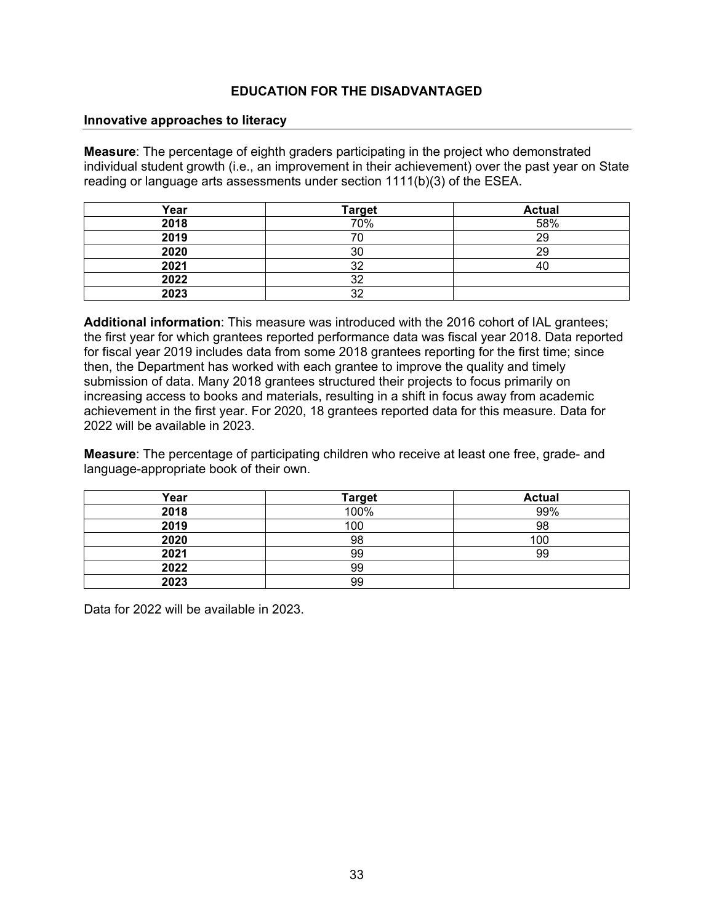#### **Innovative approaches to literacy**

**Measure**: The percentage of eighth graders participating in the project who demonstrated individual student growth (i.e., an improvement in their achievement) over the past year on State reading or language arts assessments under section 1111(b)(3) of the ESEA.

| Year | <b>Target</b> | <b>Actual</b> |
|------|---------------|---------------|
| 2018 | 70%           | 58%           |
| 2019 |               | 29            |
| 2020 | 30            | 29            |
| 2021 | רמ            | 40            |
| 2022 | つ             |               |
| 2023 | າາ            |               |

**Additional information**: This measure was introduced with the 2016 cohort of IAL grantees; the first year for which grantees reported performance data was fiscal year 2018. Data reported for fiscal year 2019 includes data from some 2018 grantees reporting for the first time; since then, the Department has worked with each grantee to improve the quality and timely submission of data. Many 2018 grantees structured their projects to focus primarily on increasing access to books and materials, resulting in a shift in focus away from academic achievement in the first year. For 2020, 18 grantees reported data for this measure. Data for 2022 will be available in 2023.

**Measure**: The percentage of participating children who receive at least one free, grade- and language-appropriate book of their own.

| Year | <b>Target</b> | <b>Actual</b> |
|------|---------------|---------------|
| 2018 | 100%          | 99%           |
| 2019 | 100           | 98            |
| 2020 | 98            | 100           |
| 2021 | 99            | 99            |
| 2022 | 99            |               |
| 2023 | 99            |               |

Data for 2022 will be available in 2023.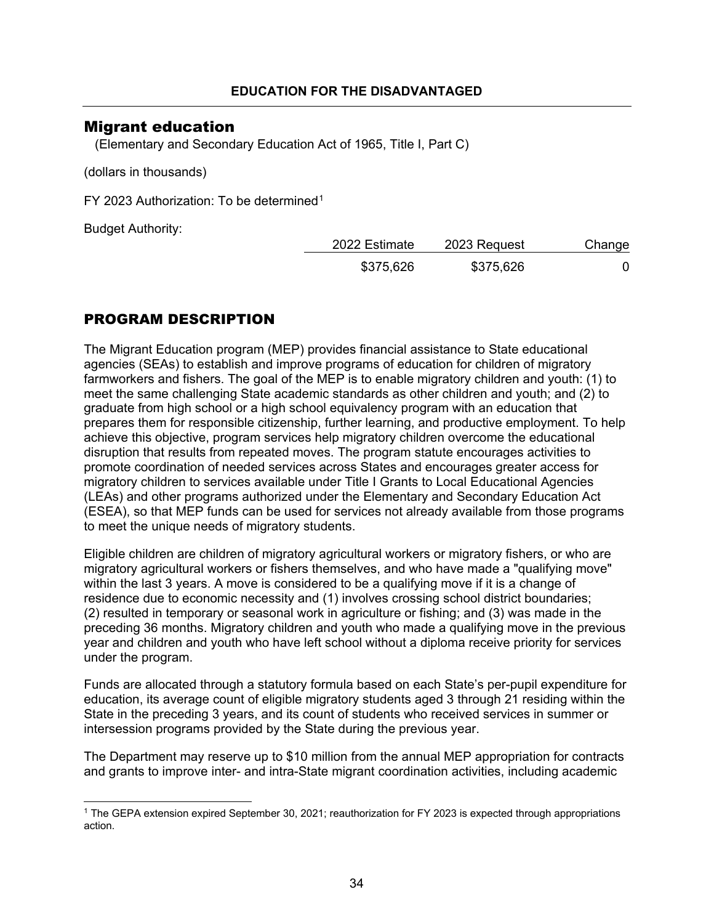## <span id="page-34-0"></span>Migrant education

(Elementary and Secondary Education Act of 1965, Title I, Part C)

(dollars in thousands)

FY 2023 Authorization: To be determined[1](#page-34-1)

Budget Authority:

| 2022 Estimate | 2023 Request | Change |
|---------------|--------------|--------|
| \$375,626     | \$375,626    |        |

## PROGRAM DESCRIPTION

The Migrant Education program (MEP) provides financial assistance to State educational agencies (SEAs) to establish and improve programs of education for children of migratory farmworkers and fishers. The goal of the MEP is to enable migratory children and youth: (1) to meet the same challenging State academic standards as other children and youth; and (2) to graduate from high school or a high school equivalency program with an education that prepares them for responsible citizenship, further learning, and productive employment. To help achieve this objective, program services help migratory children overcome the educational disruption that results from repeated moves. The program statute encourages activities to promote coordination of needed services across States and encourages greater access for migratory children to services available under Title I Grants to Local Educational Agencies (LEAs) and other programs authorized under the Elementary and Secondary Education Act (ESEA), so that MEP funds can be used for services not already available from those programs to meet the unique needs of migratory students.

Eligible children are children of migratory agricultural workers or migratory fishers, or who are migratory agricultural workers or fishers themselves, and who have made a "qualifying move" within the last 3 years. A move is considered to be a qualifying move if it is a change of residence due to economic necessity and (1) involves crossing school district boundaries; (2) resulted in temporary or seasonal work in agriculture or fishing; and (3) was made in the preceding 36 months. Migratory children and youth who made a qualifying move in the previous year and children and youth who have left school without a diploma receive priority for services under the program.

Funds are allocated through a statutory formula based on each State's per-pupil expenditure for education, its average count of eligible migratory students aged 3 through 21 residing within the State in the preceding 3 years, and its count of students who received services in summer or intersession programs provided by the State during the previous year.

The Department may reserve up to \$10 million from the annual MEP appropriation for contracts and grants to improve inter- and intra-State migrant coordination activities, including academic

<span id="page-34-1"></span><sup>1</sup> The GEPA extension expired September 30, 2021; reauthorization for FY 2023 is expected through appropriations action.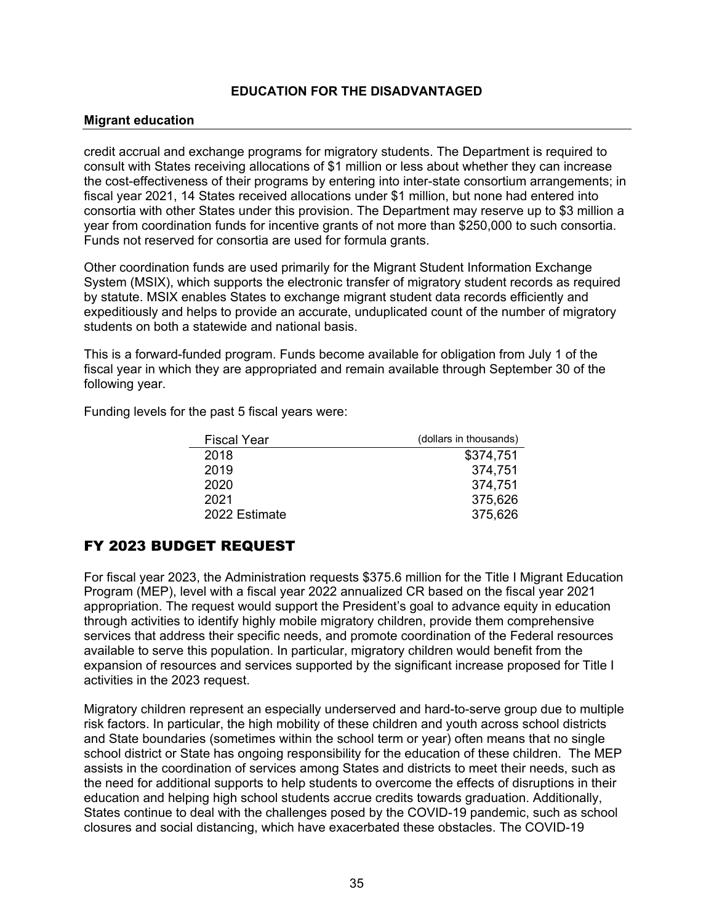#### **Migrant education**

credit accrual and exchange programs for migratory students. The Department is required to consult with States receiving allocations of \$1 million or less about whether they can increase the cost-effectiveness of their programs by entering into inter-state consortium arrangements; in fiscal year 2021, 14 States received allocations under \$1 million, but none had entered into consortia with other States under this provision. The Department may reserve up to \$3 million a year from coordination funds for incentive grants of not more than \$250,000 to such consortia. Funds not reserved for consortia are used for formula grants.

Other coordination funds are used primarily for the Migrant Student Information Exchange System (MSIX), which supports the electronic transfer of migratory student records as required by statute. MSIX enables States to exchange migrant student data records efficiently and expeditiously and helps to provide an accurate, unduplicated count of the number of migratory students on both a statewide and national basis.

This is a forward-funded program. Funds become available for obligation from July 1 of the fiscal year in which they are appropriated and remain available through September 30 of the following year.

Funding levels for the past 5 fiscal years were:

| Fiscal Year   | (dollars in thousands) |
|---------------|------------------------|
| 2018          | \$374,751              |
| 2019          | 374,751                |
| 2020          | 374,751                |
| 2021          | 375,626                |
| 2022 Estimate | 375,626                |

## FY 2023 BUDGET REQUEST

For fiscal year 2023, the Administration requests \$375.6 million for the Title I Migrant Education Program (MEP), level with a fiscal year 2022 annualized CR based on the fiscal year 2021 appropriation. The request would support the President's goal to advance equity in education through activities to identify highly mobile migratory children, provide them comprehensive services that address their specific needs, and promote coordination of the Federal resources available to serve this population. In particular, migratory children would benefit from the expansion of resources and services supported by the significant increase proposed for Title I activities in the 2023 request.

Migratory children represent an especially underserved and hard-to-serve group due to multiple risk factors. In particular, the high mobility of these children and youth across school districts and State boundaries (sometimes within the school term or year) often means that no single school district or State has ongoing responsibility for the education of these children. The MEP assists in the coordination of services among States and districts to meet their needs, such as the need for additional supports to help students to overcome the effects of disruptions in their education and helping high school students accrue credits towards graduation. Additionally, States continue to deal with the challenges posed by the COVID-19 pandemic, such as school closures and social distancing, which have exacerbated these obstacles. The COVID-19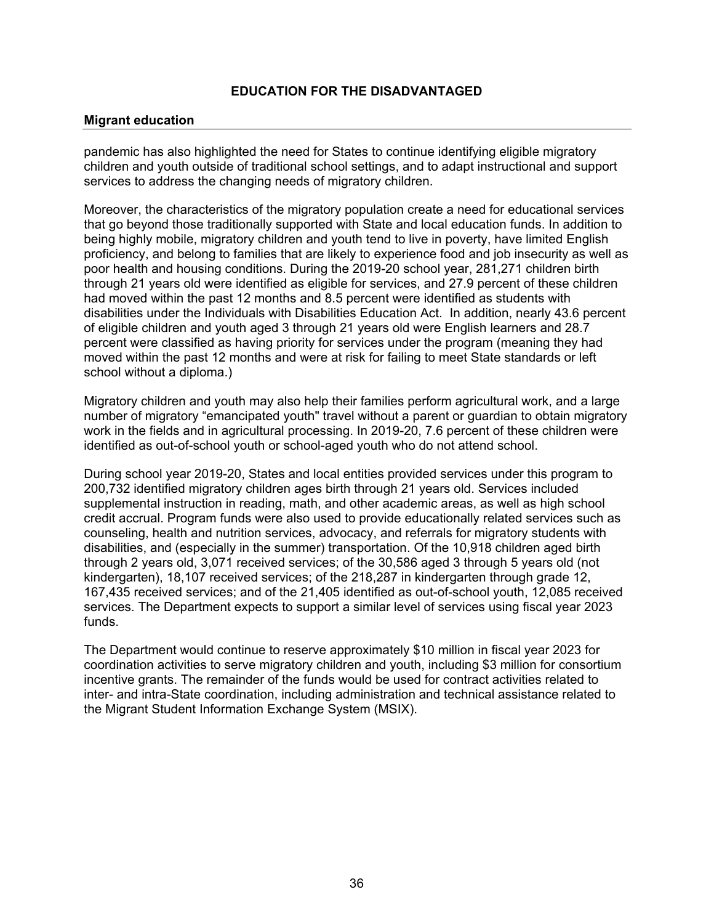#### **Migrant education**

pandemic has also highlighted the need for States to continue identifying eligible migratory children and youth outside of traditional school settings, and to adapt instructional and support services to address the changing needs of migratory children.

Moreover, the characteristics of the migratory population create a need for educational services that go beyond those traditionally supported with State and local education funds. In addition to being highly mobile, migratory children and youth tend to live in poverty, have limited English proficiency, and belong to families that are likely to experience food and job insecurity as well as poor health and housing conditions. During the 2019-20 school year, 281,271 children birth through 21 years old were identified as eligible for services, and 27.9 percent of these children had moved within the past 12 months and 8.5 percent were identified as students with disabilities under the Individuals with Disabilities Education Act. In addition, nearly 43.6 percent of eligible children and youth aged 3 through 21 years old were English learners and 28.7 percent were classified as having priority for services under the program (meaning they had moved within the past 12 months and were at risk for failing to meet State standards or left school without a diploma.)

Migratory children and youth may also help their families perform agricultural work, and a large number of migratory "emancipated youth" travel without a parent or guardian to obtain migratory work in the fields and in agricultural processing. In 2019-20, 7.6 percent of these children were identified as out-of-school youth or school-aged youth who do not attend school.

During school year 2019-20, States and local entities provided services under this program to 200,732 identified migratory children ages birth through 21 years old. Services included supplemental instruction in reading, math, and other academic areas, as well as high school credit accrual. Program funds were also used to provide educationally related services such as counseling, health and nutrition services, advocacy, and referrals for migratory students with disabilities, and (especially in the summer) transportation. Of the 10,918 children aged birth through 2 years old, 3,071 received services; of the 30,586 aged 3 through 5 years old (not kindergarten), 18,107 received services; of the 218,287 in kindergarten through grade 12, 167,435 received services; and of the 21,405 identified as out-of-school youth, 12,085 received services. The Department expects to support a similar level of services using fiscal year 2023 funds.

The Department would continue to reserve approximately \$10 million in fiscal year 2023 for coordination activities to serve migratory children and youth, including \$3 million for consortium incentive grants. The remainder of the funds would be used for contract activities related to inter- and intra-State coordination, including administration and technical assistance related to the Migrant Student Information Exchange System (MSIX).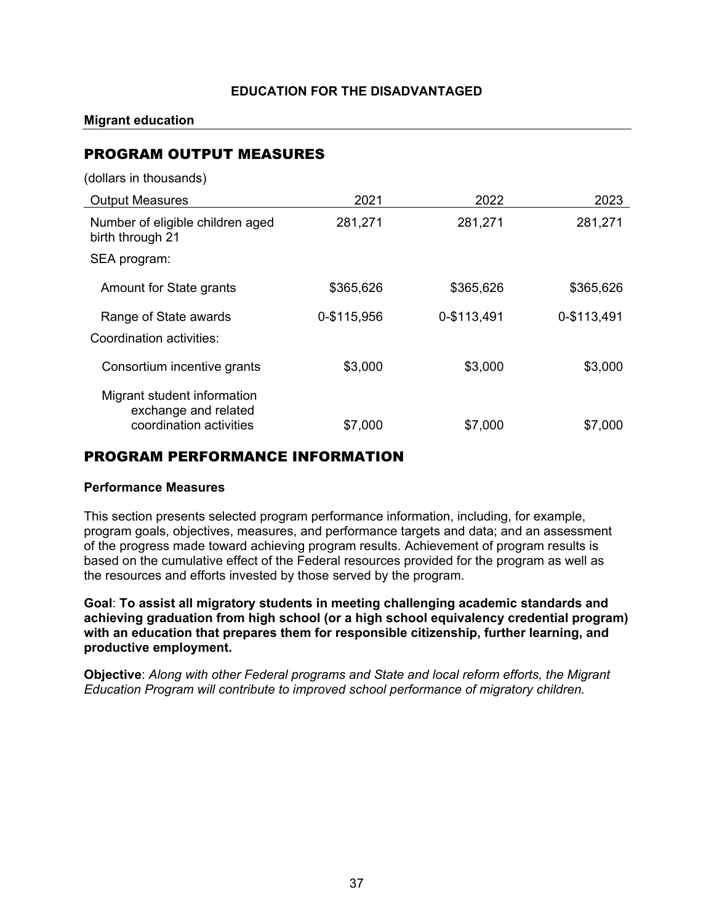**Migrant education**

## PROGRAM OUTPUT MEASURES

(dollars in thousands)

| <b>Output Measures</b>                                                         | 2021        | 2022        | 2023        |
|--------------------------------------------------------------------------------|-------------|-------------|-------------|
| Number of eligible children aged<br>birth through 21                           | 281,271     | 281,271     | 281,271     |
| SEA program:                                                                   |             |             |             |
| Amount for State grants                                                        | \$365,626   | \$365,626   | \$365,626   |
| Range of State awards<br>Coordination activities:                              | 0-\$115,956 | 0-\$113,491 | 0-\$113,491 |
| Consortium incentive grants                                                    | \$3,000     | \$3,000     | \$3,000     |
| Migrant student information<br>exchange and related<br>coordination activities | \$7,000     | \$7,000     | \$7,000     |

## PROGRAM PERFORMANCE INFORMATION

#### **Performance Measures**

This section presents selected program performance information, including, for example, program goals, objectives, measures, and performance targets and data; and an assessment of the progress made toward achieving program results. Achievement of program results is based on the cumulative effect of the Federal resources provided for the program as well as the resources and efforts invested by those served by the program.

**Goal**: **To assist all migratory students in meeting challenging academic standards and achieving graduation from high school (or a high school equivalency credential program) with an education that prepares them for responsible citizenship, further learning, and productive employment.**

**Objective**: *Along with other Federal programs and State and local reform efforts, the Migrant Education Program will contribute to improved school performance of migratory children.*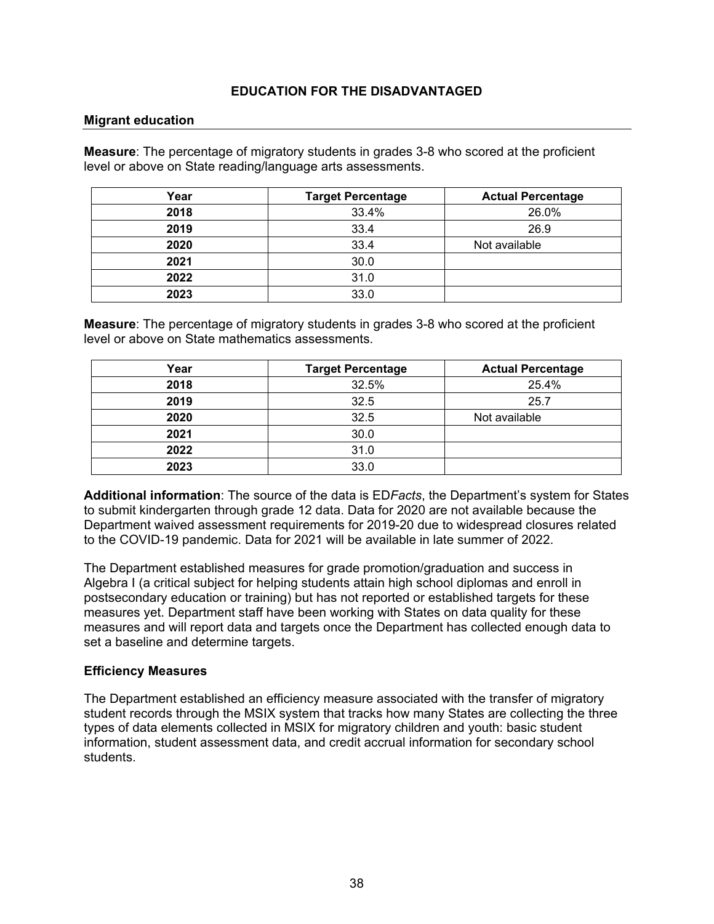#### **Migrant education**

**Measure**: The percentage of migratory students in grades 3-8 who scored at the proficient level or above on State reading/language arts assessments.

| Year | <b>Target Percentage</b> | <b>Actual Percentage</b> |
|------|--------------------------|--------------------------|
| 2018 | 33.4%                    | 26.0%                    |
| 2019 | 33.4                     | 26.9                     |
| 2020 | 33.4                     | Not available            |
| 2021 | 30.0                     |                          |
| 2022 | 31.0                     |                          |
| 2023 | 33.0                     |                          |

**Measure**: The percentage of migratory students in grades 3-8 who scored at the proficient level or above on State mathematics assessments.

| Year | <b>Target Percentage</b> | <b>Actual Percentage</b> |
|------|--------------------------|--------------------------|
| 2018 | 32.5%                    | 25.4%                    |
| 2019 | 32.5                     | 25.7                     |
| 2020 | 32.5                     | Not available            |
| 2021 | 30.0                     |                          |
| 2022 | 31.0                     |                          |
| 2023 | 33.0                     |                          |

**Additional information**: The source of the data is ED*Facts*, the Department's system for States to submit kindergarten through grade 12 data. Data for 2020 are not available because the Department waived assessment requirements for 2019-20 due to widespread closures related to the COVID-19 pandemic. Data for 2021 will be available in late summer of 2022.

The Department established measures for grade promotion/graduation and success in Algebra I (a critical subject for helping students attain high school diplomas and enroll in postsecondary education or training) but has not reported or established targets for these measures yet. Department staff have been working with States on data quality for these measures and will report data and targets once the Department has collected enough data to set a baseline and determine targets.

#### **Efficiency Measures**

The Department established an efficiency measure associated with the transfer of migratory student records through the MSIX system that tracks how many States are collecting the three types of data elements collected in MSIX for migratory children and youth: basic student information, student assessment data, and credit accrual information for secondary school students.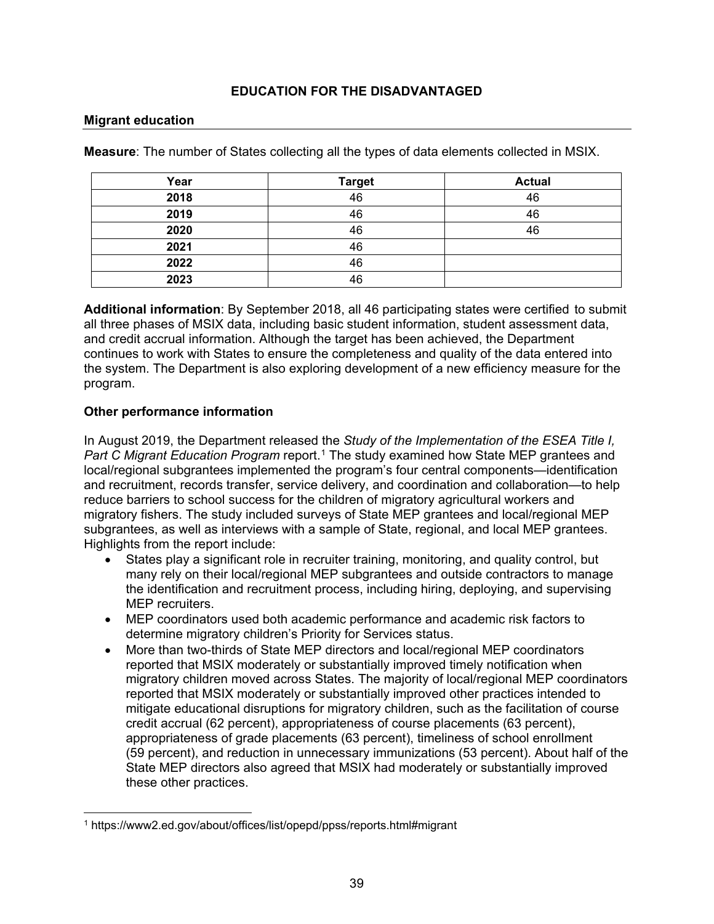#### **Migrant education**

**Measure**: The number of States collecting all the types of data elements collected in MSIX.

| Year | <b>Target</b> | <b>Actual</b> |
|------|---------------|---------------|
| 2018 | 46            | 46            |
| 2019 | 46            | 46            |
| 2020 | 46            | 46            |
| 2021 | 46            |               |
| 2022 | 46            |               |
| 2023 | 46            |               |

**Additional information**: By September 2018, all 46 participating states were certified to submit all three phases of MSIX data, including basic student information, student assessment data, and credit accrual information. Although the target has been achieved, the Department continues to work with States to ensure the completeness and quality of the data entered into the system. The Department is also exploring development of a new efficiency measure for the program.

### **Other performance information**

In August 2019, the Department released the *Study of the Implementation of the ESEA Title I, Part C Migrant Education Program* report.<sup>[1](#page-39-0)</sup> The study examined how State MEP grantees and local/regional subgrantees implemented the program's four central components—identification and recruitment, records transfer, service delivery, and coordination and collaboration—to help reduce barriers to school success for the children of migratory agricultural workers and migratory fishers. The study included surveys of State MEP grantees and local/regional MEP subgrantees, as well as interviews with a sample of State, regional, and local MEP grantees. Highlights from the report include:

- States play a significant role in recruiter training, monitoring, and quality control, but many rely on their local/regional MEP subgrantees and outside contractors to manage the identification and recruitment process, including hiring, deploying, and supervising MEP recruiters.
- MEP coordinators used both academic performance and academic risk factors to determine migratory children's Priority for Services status.
- More than two-thirds of State MEP directors and local/regional MEP coordinators reported that MSIX moderately or substantially improved timely notification when migratory children moved across States. The majority of local/regional MEP coordinators reported that MSIX moderately or substantially improved other practices intended to mitigate educational disruptions for migratory children, such as the facilitation of course credit accrual (62 percent), appropriateness of course placements (63 percent), appropriateness of grade placements (63 percent), timeliness of school enrollment (59 percent), and reduction in unnecessary immunizations (53 percent). About half of the State MEP directors also agreed that MSIX had moderately or substantially improved these other practices.

<span id="page-39-0"></span><sup>1</sup> https://www2.ed.gov/about/offices/list/opepd/ppss/reports.html#migrant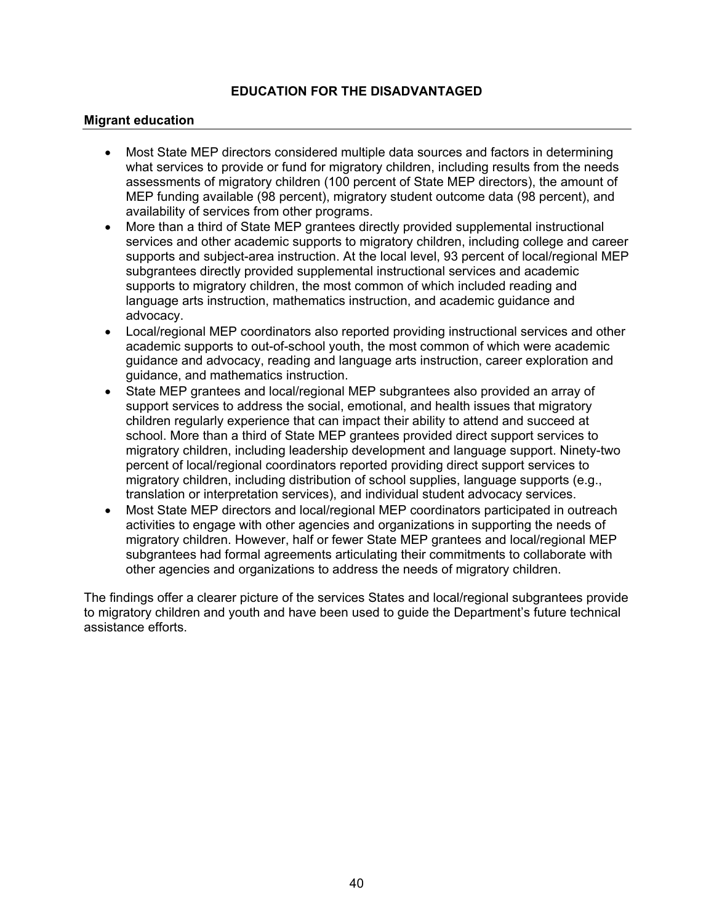#### **Migrant education**

- Most State MEP directors considered multiple data sources and factors in determining what services to provide or fund for migratory children, including results from the needs assessments of migratory children (100 percent of State MEP directors), the amount of MEP funding available (98 percent), migratory student outcome data (98 percent), and availability of services from other programs.
- More than a third of State MEP grantees directly provided supplemental instructional services and other academic supports to migratory children, including college and career supports and subject-area instruction. At the local level, 93 percent of local/regional MEP subgrantees directly provided supplemental instructional services and academic supports to migratory children, the most common of which included reading and language arts instruction, mathematics instruction, and academic guidance and advocacy.
- Local/regional MEP coordinators also reported providing instructional services and other academic supports to out-of-school youth, the most common of which were academic guidance and advocacy, reading and language arts instruction, career exploration and guidance, and mathematics instruction.
- State MEP grantees and local/regional MEP subgrantees also provided an array of support services to address the social, emotional, and health issues that migratory children regularly experience that can impact their ability to attend and succeed at school. More than a third of State MEP grantees provided direct support services to migratory children, including leadership development and language support. Ninety-two percent of local/regional coordinators reported providing direct support services to migratory children, including distribution of school supplies, language supports (e.g., translation or interpretation services), and individual student advocacy services.
- Most State MEP directors and local/regional MEP coordinators participated in outreach activities to engage with other agencies and organizations in supporting the needs of migratory children. However, half or fewer State MEP grantees and local/regional MEP subgrantees had formal agreements articulating their commitments to collaborate with other agencies and organizations to address the needs of migratory children.

The findings offer a clearer picture of the services States and local/regional subgrantees provide to migratory children and youth and have been used to guide the Department's future technical assistance efforts.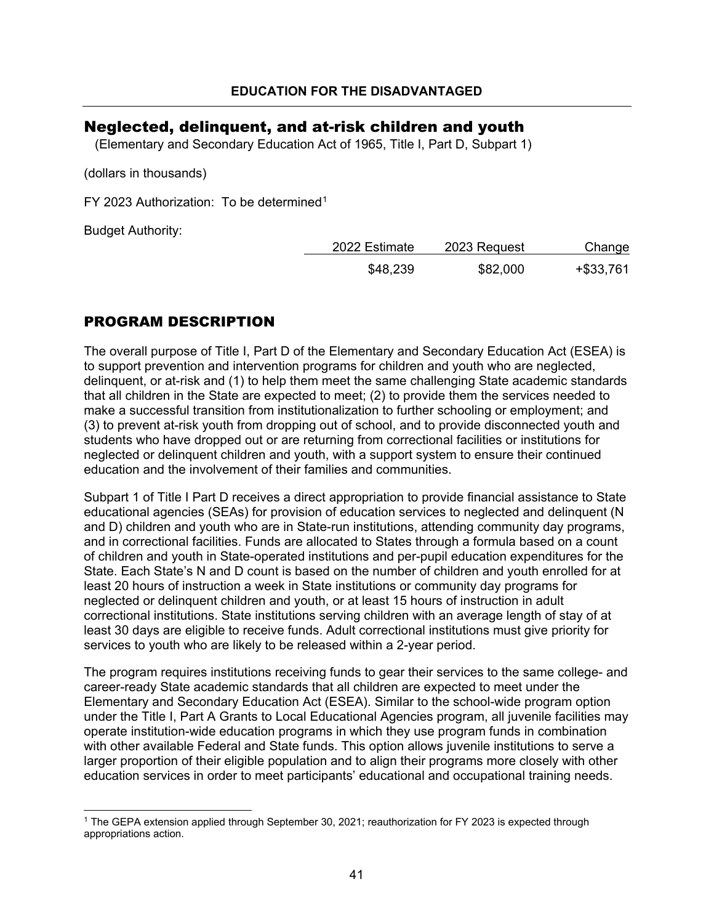## <span id="page-41-0"></span>Neglected, delinquent, and at-risk children and youth

(Elementary and Secondary Education Act of 1965, Title I, Part D, Subpart 1)

(dollars in thousands)

FY 2023 Authorization: To be determined<sup>[1](#page-41-1)</sup>

Budget Authority:

| 2022 Estimate | 2023 Request | Change       |
|---------------|--------------|--------------|
| \$48,239      | \$82,000     | $+$ \$33,761 |

## PROGRAM DESCRIPTION

The overall purpose of Title I, Part D of the Elementary and Secondary Education Act (ESEA) is to support prevention and intervention programs for children and youth who are neglected, delinquent, or at-risk and (1) to help them meet the same challenging State academic standards that all children in the State are expected to meet; (2) to provide them the services needed to make a successful transition from institutionalization to further schooling or employment; and (3) to prevent at-risk youth from dropping out of school, and to provide disconnected youth and students who have dropped out or are returning from correctional facilities or institutions for neglected or delinquent children and youth, with a support system to ensure their continued education and the involvement of their families and communities.

Subpart 1 of Title I Part D receives a direct appropriation to provide financial assistance to State educational agencies (SEAs) for provision of education services to neglected and delinquent (N and D) children and youth who are in State-run institutions, attending community day programs, and in correctional facilities. Funds are allocated to States through a formula based on a count of children and youth in State-operated institutions and per-pupil education expenditures for the State. Each State's N and D count is based on the number of children and youth enrolled for at least 20 hours of instruction a week in State institutions or community day programs for neglected or delinquent children and youth, or at least 15 hours of instruction in adult correctional institutions. State institutions serving children with an average length of stay of at least 30 days are eligible to receive funds. Adult correctional institutions must give priority for services to youth who are likely to be released within a 2-year period.

The program requires institutions receiving funds to gear their services to the same college- and career-ready State academic standards that all children are expected to meet under the Elementary and Secondary Education Act (ESEA). Similar to the school-wide program option under the Title I, Part A Grants to Local Educational Agencies program, all juvenile facilities may operate institution-wide education programs in which they use program funds in combination with other available Federal and State funds. This option allows juvenile institutions to serve a larger proportion of their eligible population and to align their programs more closely with other education services in order to meet participants' educational and occupational training needs.

<span id="page-41-1"></span><sup>1</sup> The GEPA extension applied through September 30, 2021; reauthorization for FY 2023 is expected through appropriations action.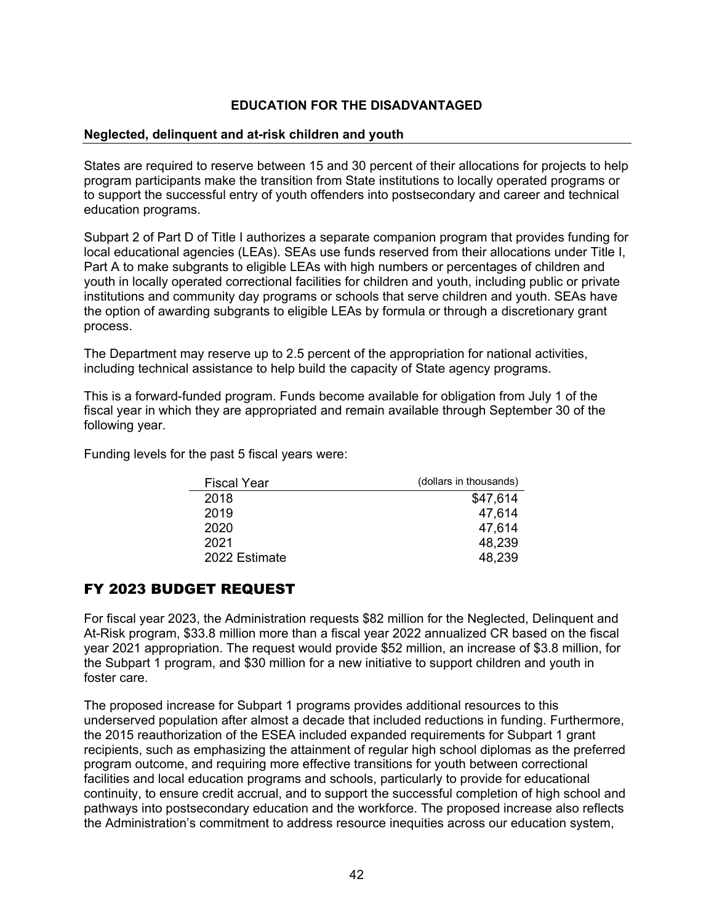#### **Neglected, delinquent and at-risk children and youth**

States are required to reserve between 15 and 30 percent of their allocations for projects to help program participants make the transition from State institutions to locally operated programs or to support the successful entry of youth offenders into postsecondary and career and technical education programs.

Subpart 2 of Part D of Title I authorizes a separate companion program that provides funding for local educational agencies (LEAs). SEAs use funds reserved from their allocations under Title I, Part A to make subgrants to eligible LEAs with high numbers or percentages of children and youth in locally operated correctional facilities for children and youth, including public or private institutions and community day programs or schools that serve children and youth. SEAs have the option of awarding subgrants to eligible LEAs by formula or through a discretionary grant process.

The Department may reserve up to 2.5 percent of the appropriation for national activities, including technical assistance to help build the capacity of State agency programs.

This is a forward-funded program. Funds become available for obligation from July 1 of the fiscal year in which they are appropriated and remain available through September 30 of the following year.

Funding levels for the past 5 fiscal years were:

| <b>Fiscal Year</b> | (dollars in thousands) |
|--------------------|------------------------|
| 2018               | \$47,614               |
| 2019               | 47,614                 |
| 2020               | 47,614                 |
| 2021               | 48,239                 |
| 2022 Estimate      | 48.239                 |

## FY 2023 BUDGET REQUEST

For fiscal year 2023, the Administration requests \$82 million for the Neglected, Delinquent and At-Risk program, \$33.8 million more than a fiscal year 2022 annualized CR based on the fiscal year 2021 appropriation. The request would provide \$52 million, an increase of \$3.8 million, for the Subpart 1 program, and \$30 million for a new initiative to support children and youth in foster care.

The proposed increase for Subpart 1 programs provides additional resources to this underserved population after almost a decade that included reductions in funding. Furthermore, the 2015 reauthorization of the ESEA included expanded requirements for Subpart 1 grant recipients, such as emphasizing the attainment of regular high school diplomas as the preferred program outcome, and requiring more effective transitions for youth between correctional facilities and local education programs and schools, particularly to provide for educational continuity, to ensure credit accrual, and to support the successful completion of high school and pathways into postsecondary education and the workforce. The proposed increase also reflects the Administration's commitment to address resource inequities across our education system,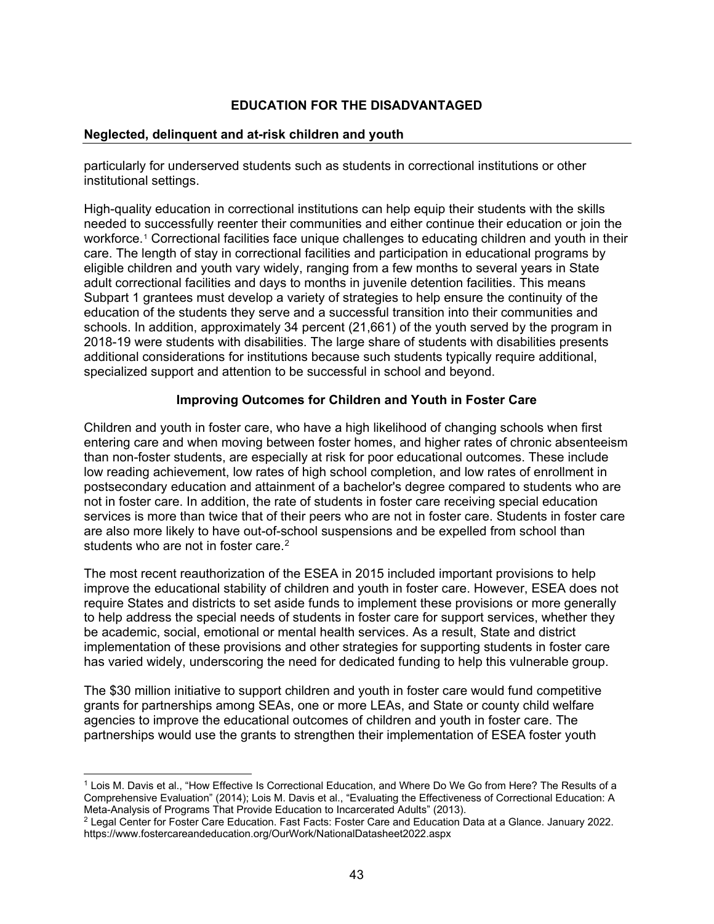#### **Neglected, delinquent and at-risk children and youth**

particularly for underserved students such as students in correctional institutions or other institutional settings.

High-quality education in correctional institutions can help equip their students with the skills needed to successfully reenter their communities and either continue their education or join the workforce.[1](#page-43-0) Correctional facilities face unique challenges to educating children and youth in their care. The length of stay in correctional facilities and participation in educational programs by eligible children and youth vary widely, ranging from a few months to several years in State adult correctional facilities and days to months in juvenile detention facilities. This means Subpart 1 grantees must develop a variety of strategies to help ensure the continuity of the education of the students they serve and a successful transition into their communities and schools. In addition, approximately 34 percent (21,661) of the youth served by the program in 2018-19 were students with disabilities. The large share of students with disabilities presents additional considerations for institutions because such students typically require additional, specialized support and attention to be successful in school and beyond.

### **Improving Outcomes for Children and Youth in Foster Care**

Children and youth in foster care, who have a high likelihood of changing schools when first entering care and when moving between foster homes, and higher rates of chronic absenteeism than non-foster students, are especially at risk for poor educational outcomes. These include low reading achievement, low rates of high school completion, and low rates of enrollment in postsecondary education and attainment of a bachelor's degree compared to students who are not in foster care. In addition, the rate of students in foster care receiving special education services is more than twice that of their peers who are not in foster care. Students in foster care are also more likely to have out-of-school suspensions and be expelled from school than students who are not in foster care.<sup>[2](#page-43-1)</sup>

The most recent reauthorization of the ESEA in 2015 included important provisions to help improve the educational stability of children and youth in foster care. However, ESEA does not require States and districts to set aside funds to implement these provisions or more generally to help address the special needs of students in foster care for support services, whether they be academic, social, emotional or mental health services. As a result, State and district implementation of these provisions and other strategies for supporting students in foster care has varied widely, underscoring the need for dedicated funding to help this vulnerable group.

The \$30 million initiative to support children and youth in foster care would fund competitive grants for partnerships among SEAs, one or more LEAs, and State or county child welfare agencies to improve the educational outcomes of children and youth in foster care. The partnerships would use the grants to strengthen their implementation of ESEA foster youth

<span id="page-43-0"></span><sup>1</sup> Lois M. Davis et al., "How Effective Is Correctional Education, and Where Do We Go from Here? The Results of a Comprehensive Evaluation" (2014); Lois M. Davis et al., "Evaluating the Effectiveness of Correctional Education: A Meta-Analysis of Programs That Provide Education to Incarcerated Adults" (2013).

<span id="page-43-1"></span><sup>2</sup> Legal Center for Foster Care Education. Fast Facts: Foster Care and Education Data at a Glance. January 2022. https://www.fostercareandeducation.org/OurWork/NationalDatasheet2022.aspx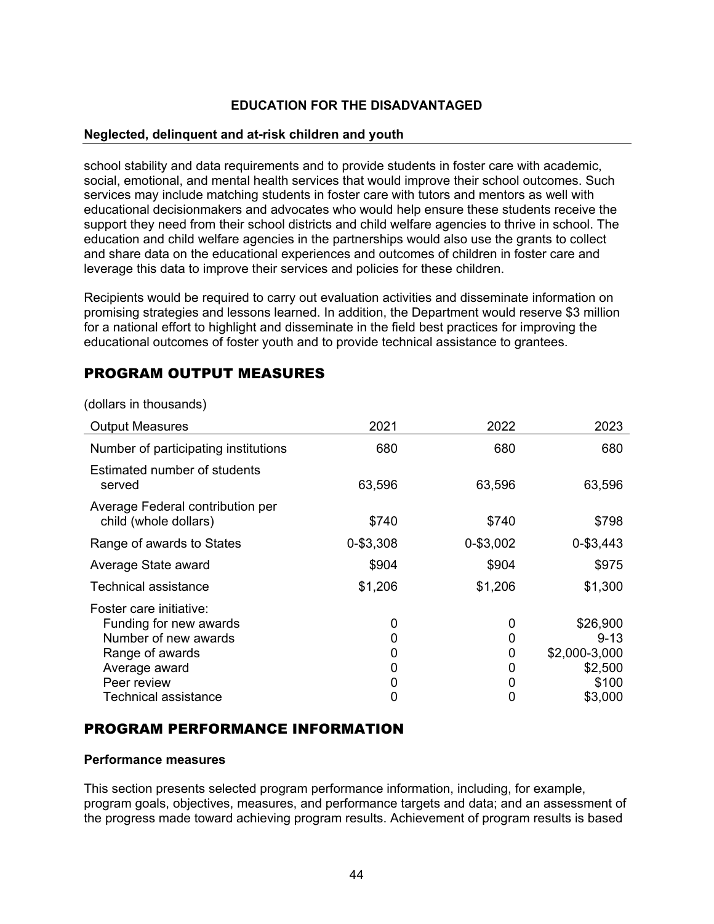#### **Neglected, delinquent and at-risk children and youth**

school stability and data requirements and to provide students in foster care with academic, social, emotional, and mental health services that would improve their school outcomes. Such services may include matching students in foster care with tutors and mentors as well with educational decisionmakers and advocates who would help ensure these students receive the support they need from their school districts and child welfare agencies to thrive in school. The education and child welfare agencies in the partnerships would also use the grants to collect and share data on the educational experiences and outcomes of children in foster care and leverage this data to improve their services and policies for these children.

Recipients would be required to carry out evaluation activities and disseminate information on promising strategies and lessons learned. In addition, the Department would reserve \$3 million for a national effort to highlight and disseminate in the field best practices for improving the educational outcomes of foster youth and to provide technical assistance to grantees.

## PROGRAM OUTPUT MEASURES

| <b>Output Measures</b>                                    | 2021      | 2022      | 2023          |
|-----------------------------------------------------------|-----------|-----------|---------------|
| Number of participating institutions                      | 680       | 680       | 680           |
| Estimated number of students<br>served                    | 63,596    | 63,596    | 63,596        |
| Average Federal contribution per<br>child (whole dollars) | \$740     | \$740     | \$798         |
| Range of awards to States                                 | 0-\$3,308 | 0-\$3,002 | 0-\$3,443     |
| Average State award                                       | \$904     | \$904     | \$975         |
| Technical assistance                                      | \$1,206   | \$1,206   | \$1,300       |
| Foster care initiative:                                   |           |           |               |
| Funding for new awards                                    | 0         | 0         | \$26,900      |
| Number of new awards                                      | 0         | 0         | $9 - 13$      |
| Range of awards                                           | 0         | 0         | \$2,000-3,000 |
| Average award                                             | 0         | 0         | \$2,500       |
| Peer review                                               | 0         | 0         | \$100         |
| Technical assistance                                      | 0         | 0         | \$3,000       |

(dollars in thousands)

## PROGRAM PERFORMANCE INFORMATION

#### **Performance measures**

This section presents selected program performance information, including, for example, program goals, objectives, measures, and performance targets and data; and an assessment of the progress made toward achieving program results. Achievement of program results is based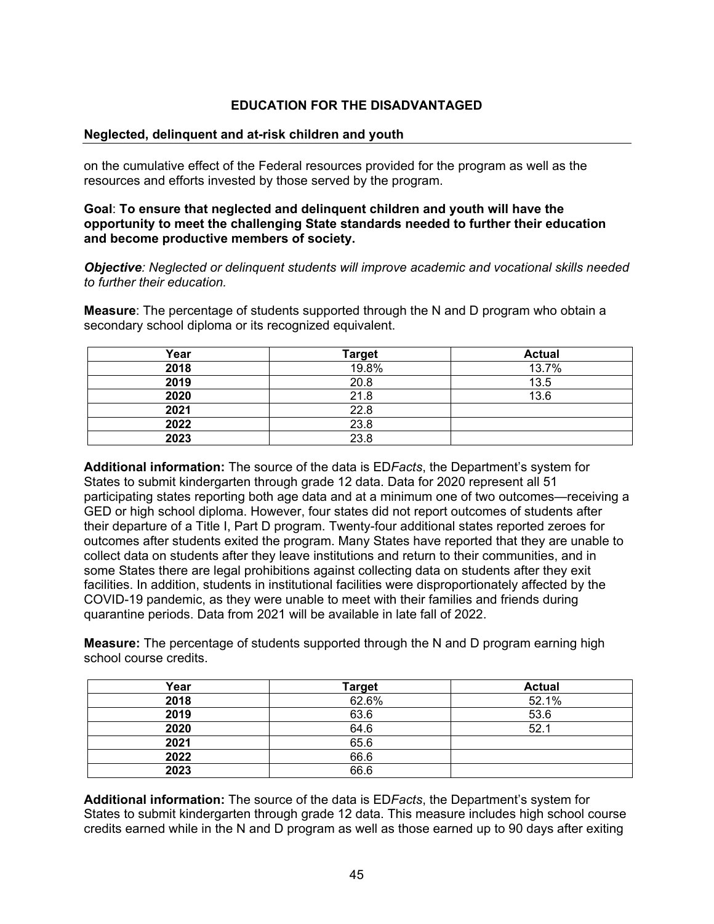#### **Neglected, delinquent and at-risk children and youth**

on the cumulative effect of the Federal resources provided for the program as well as the resources and efforts invested by those served by the program.

**Goal**: **To ensure that neglected and delinquent children and youth will have the opportunity to meet the challenging State standards needed to further their education and become productive members of society.**

*Objective: Neglected or delinquent students will improve academic and vocational skills needed to further their education.*

**Measure**: The percentage of students supported through the N and D program who obtain a secondary school diploma or its recognized equivalent.

| Year | <b>Target</b> | <b>Actual</b> |
|------|---------------|---------------|
| 2018 | 19.8%         | 13.7%         |
| 2019 | 20.8          | 13.5          |
| 2020 | 21.8          | 13.6          |
| 2021 | 22.8          |               |
| 2022 | 23.8          |               |
| 2023 | 23.8          |               |

**Additional information:** The source of the data is ED*Facts*, the Department's system for States to submit kindergarten through grade 12 data. Data for 2020 represent all 51 participating states reporting both age data and at a minimum one of two outcomes—receiving a GED or high school diploma. However, four states did not report outcomes of students after their departure of a Title I, Part D program. Twenty-four additional states reported zeroes for outcomes after students exited the program. Many States have reported that they are unable to collect data on students after they leave institutions and return to their communities, and in some States there are legal prohibitions against collecting data on students after they exit facilities. In addition, students in institutional facilities were disproportionately affected by the COVID-19 pandemic, as they were unable to meet with their families and friends during quarantine periods. Data from 2021 will be available in late fall of 2022.

**Measure:** The percentage of students supported through the N and D program earning high school course credits.

| Year | <b>Target</b> | <b>Actual</b> |
|------|---------------|---------------|
| 2018 | 62.6%         | 52.1%         |
| 2019 | 63.6          | 53.6          |
| 2020 | 64.6          | 52.1          |
| 2021 | 65.6          |               |
| 2022 | 66.6          |               |
| 2023 | 66.6          |               |

**Additional information:** The source of the data is ED*Facts*, the Department's system for States to submit kindergarten through grade 12 data. This measure includes high school course credits earned while in the N and D program as well as those earned up to 90 days after exiting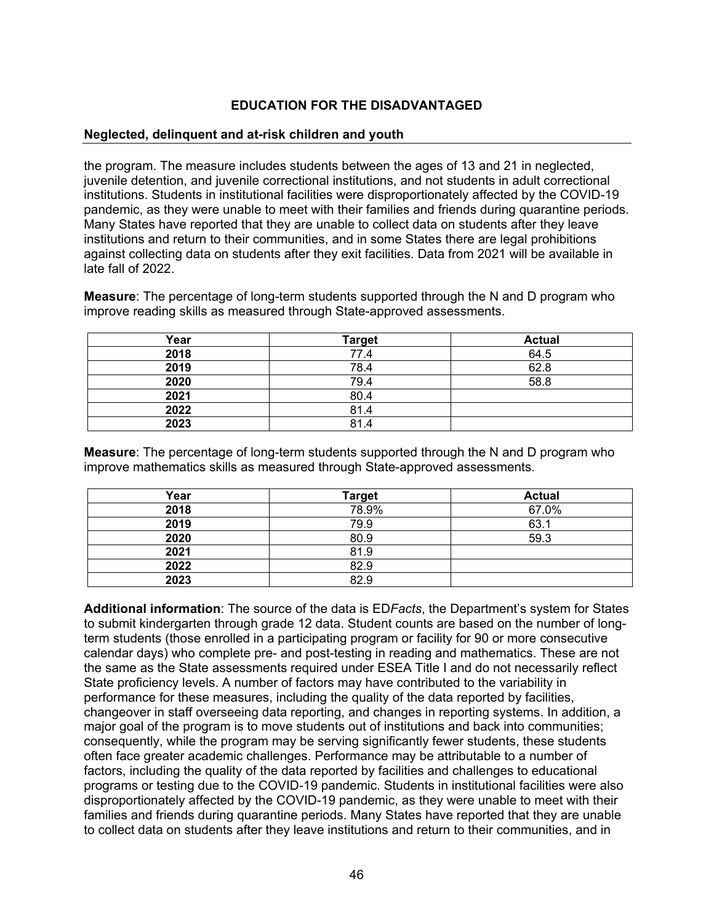#### **Neglected, delinquent and at-risk children and youth**

the program. The measure includes students between the ages of 13 and 21 in neglected, juvenile detention, and juvenile correctional institutions, and not students in adult correctional institutions. Students in institutional facilities were disproportionately affected by the COVID-19 pandemic, as they were unable to meet with their families and friends during quarantine periods. Many States have reported that they are unable to collect data on students after they leave institutions and return to their communities, and in some States there are legal prohibitions against collecting data on students after they exit facilities. Data from 2021 will be available in late fall of 2022.

**Measure**: The percentage of long-term students supported through the N and D program who improve reading skills as measured through State-approved assessments.

| Year | <b>Target</b> | <b>Actual</b> |
|------|---------------|---------------|
| 2018 | 77.4          | 64.5          |
| 2019 | 78.4          | 62.8          |
| 2020 | 79.4          | 58.8          |
| 2021 | 80.4          |               |
| 2022 | 81.4          |               |
| 2023 | 81.4          |               |

**Measure**: The percentage of long-term students supported through the N and D program who improve mathematics skills as measured through State-approved assessments.

| Year | <b>Target</b> | <b>Actual</b> |
|------|---------------|---------------|
| 2018 | 78.9%         | 67.0%         |
| 2019 | 79.9          | 63.1          |
| 2020 | 80.9          | 59.3          |
| 2021 | 81.9          |               |
| 2022 | 82.9          |               |
| 2023 | 82.9          |               |

**Additional information**: The source of the data is ED*Facts*, the Department's system for States to submit kindergarten through grade 12 data. Student counts are based on the number of longterm students (those enrolled in a participating program or facility for 90 or more consecutive calendar days) who complete pre- and post-testing in reading and mathematics. These are not the same as the State assessments required under ESEA Title I and do not necessarily reflect State proficiency levels. A number of factors may have contributed to the variability in performance for these measures, including the quality of the data reported by facilities, changeover in staff overseeing data reporting, and changes in reporting systems. In addition, a major goal of the program is to move students out of institutions and back into communities; consequently, while the program may be serving significantly fewer students, these students often face greater academic challenges. Performance may be attributable to a number of factors, including the quality of the data reported by facilities and challenges to educational programs or testing due to the COVID-19 pandemic. Students in institutional facilities were also disproportionately affected by the COVID-19 pandemic, as they were unable to meet with their families and friends during quarantine periods. Many States have reported that they are unable to collect data on students after they leave institutions and return to their communities, and in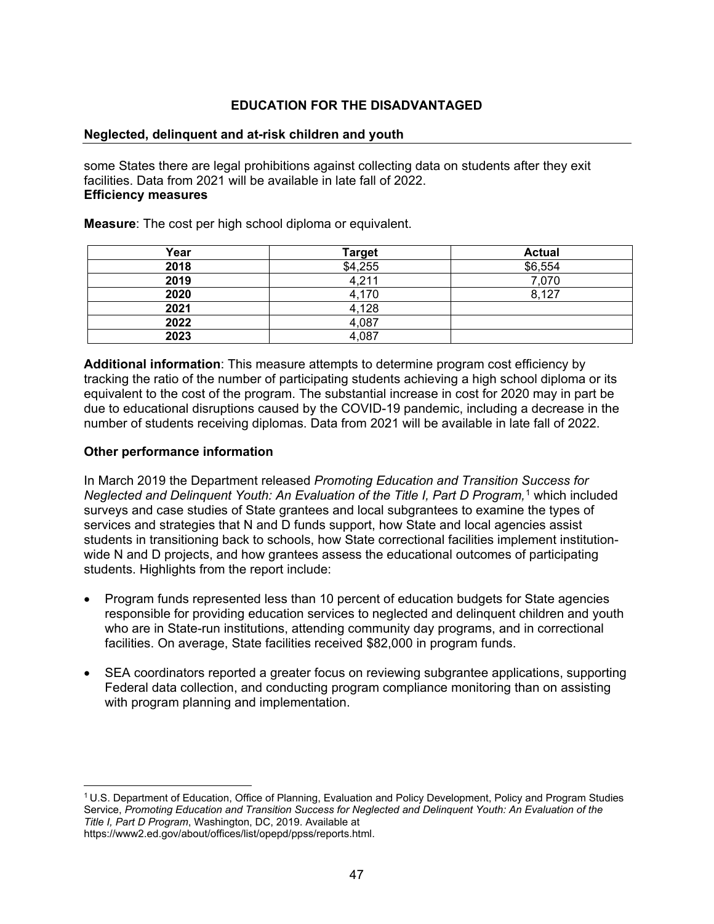#### **Neglected, delinquent and at-risk children and youth**

some States there are legal prohibitions against collecting data on students after they exit facilities. Data from 2021 will be available in late fall of 2022. **Efficiency measures**

**Measure**: The cost per high school diploma or equivalent.

| Year | <b>Target</b> | <b>Actual</b> |
|------|---------------|---------------|
| 2018 | \$4,255       | \$6,554       |
| 2019 | 4,211         | 7,070         |
| 2020 | 4,170         | 8.127         |
| 2021 | 4,128         |               |
| 2022 | 4,087         |               |
| 2023 | 4,087         |               |

**Additional information**: This measure attempts to determine program cost efficiency by tracking the ratio of the number of participating students achieving a high school diploma or its equivalent to the cost of the program. The substantial increase in cost for 2020 may in part be due to educational disruptions caused by the COVID-19 pandemic, including a decrease in the number of students receiving diplomas. Data from 2021 will be available in late fall of 2022.

#### **Other performance information**

In March 2019 the Department released *Promoting Education and Transition Success for Neglected and Delinquent Youth: An Evaluation of the Title I, Part D Program,*[1](#page-47-0) which included surveys and case studies of State grantees and local subgrantees to examine the types of services and strategies that N and D funds support, how State and local agencies assist students in transitioning back to schools, how State correctional facilities implement institutionwide N and D projects, and how grantees assess the educational outcomes of participating students. Highlights from the report include:

- Program funds represented less than 10 percent of education budgets for State agencies responsible for providing education services to neglected and delinquent children and youth who are in State-run institutions, attending community day programs, and in correctional facilities. On average, State facilities received \$82,000 in program funds.
- SEA coordinators reported a greater focus on reviewing subgrantee applications, supporting Federal data collection, and conducting program compliance monitoring than on assisting with program planning and implementation.

<span id="page-47-0"></span><sup>1</sup> U.S. Department of Education, Office of Planning, Evaluation and Policy Development, Policy and Program Studies Service, *Promoting Education and Transition Success for Neglected and Delinquent Youth: An Evaluation of the Title I, Part D Program*, Washington, DC, 2019. Available at [https://www2.ed.gov/about/offices/list/opepd/ppss/reports.html.](https://www2.ed.gov/about/offices/list/opepd/ppss/reports.html)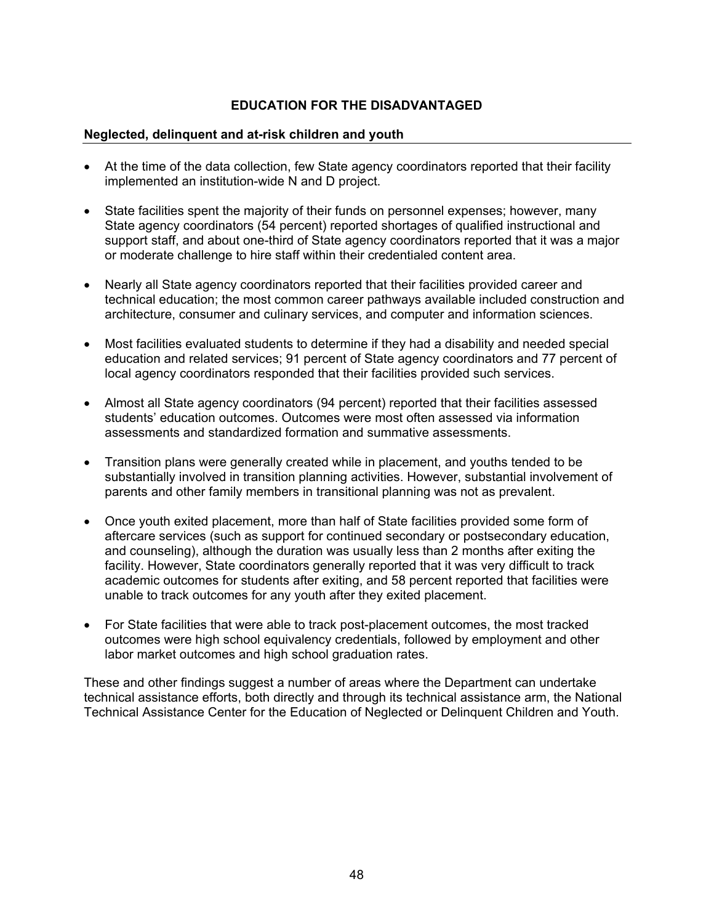#### **Neglected, delinquent and at-risk children and youth**

- At the time of the data collection, few State agency coordinators reported that their facility implemented an institution-wide N and D project.
- State facilities spent the majority of their funds on personnel expenses; however, many State agency coordinators (54 percent) reported shortages of qualified instructional and support staff, and about one-third of State agency coordinators reported that it was a major or moderate challenge to hire staff within their credentialed content area.
- Nearly all State agency coordinators reported that their facilities provided career and technical education; the most common career pathways available included construction and architecture, consumer and culinary services, and computer and information sciences.
- Most facilities evaluated students to determine if they had a disability and needed special education and related services; 91 percent of State agency coordinators and 77 percent of local agency coordinators responded that their facilities provided such services.
- Almost all State agency coordinators (94 percent) reported that their facilities assessed students' education outcomes. Outcomes were most often assessed via information assessments and standardized formation and summative assessments.
- Transition plans were generally created while in placement, and youths tended to be substantially involved in transition planning activities. However, substantial involvement of parents and other family members in transitional planning was not as prevalent.
- Once youth exited placement, more than half of State facilities provided some form of aftercare services (such as support for continued secondary or postsecondary education, and counseling), although the duration was usually less than 2 months after exiting the facility. However, State coordinators generally reported that it was very difficult to track academic outcomes for students after exiting, and 58 percent reported that facilities were unable to track outcomes for any youth after they exited placement.
- For State facilities that were able to track post-placement outcomes, the most tracked outcomes were high school equivalency credentials, followed by employment and other labor market outcomes and high school graduation rates.

These and other findings suggest a number of areas where the Department can undertake technical assistance efforts, both directly and through its technical assistance arm, the National Technical Assistance Center for the Education of Neglected or Delinquent Children and Youth.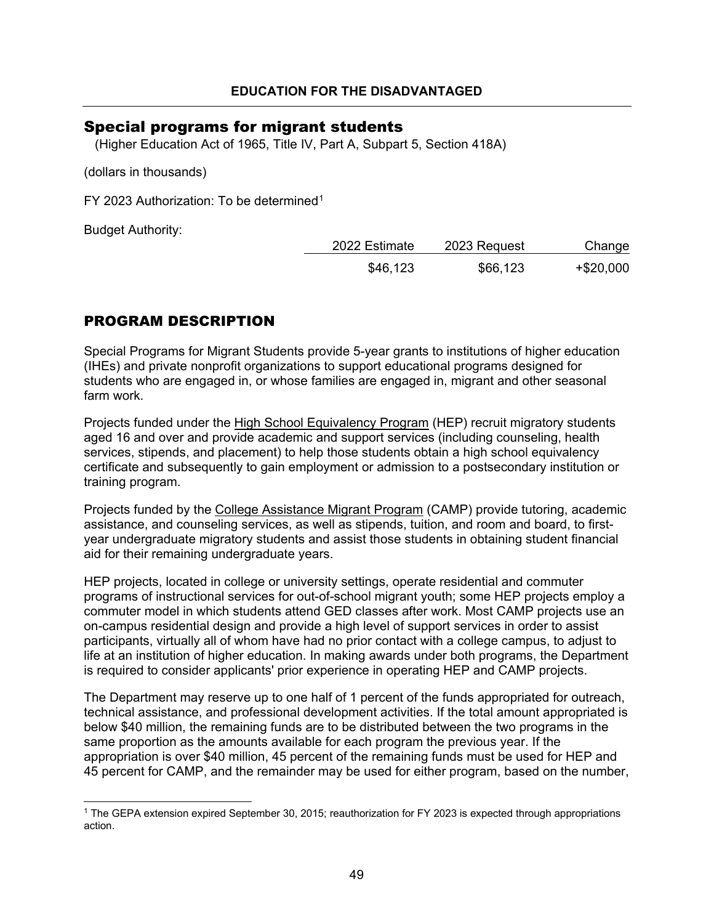## <span id="page-49-0"></span>Special programs for migrant students

(Higher Education Act of 1965, Title IV, Part A, Subpart 5, Section 418A)

(dollars in thousands)

FY 2023 Authorization: To be determined[1](#page-49-1)

Budget Authority:

| 2022 Estimate | 2023 Request | Change    |
|---------------|--------------|-----------|
| \$46,123      | \$66,123     | +\$20,000 |

## PROGRAM DESCRIPTION

Special Programs for Migrant Students provide 5-year grants to institutions of higher education (IHEs) and private nonprofit organizations to support educational programs designed for students who are engaged in, or whose families are engaged in, migrant and other seasonal farm work.

Projects funded under the High School Equivalency Program (HEP) recruit migratory students aged 16 and over and provide academic and support services (including counseling, health services, stipends, and placement) to help those students obtain a high school equivalency certificate and subsequently to gain employment or admission to a postsecondary institution or training program.

Projects funded by the College Assistance Migrant Program (CAMP) provide tutoring, academic assistance, and counseling services, as well as stipends, tuition, and room and board, to firstyear undergraduate migratory students and assist those students in obtaining student financial aid for their remaining undergraduate years.

HEP projects, located in college or university settings, operate residential and commuter programs of instructional services for out-of-school migrant youth; some HEP projects employ a commuter model in which students attend GED classes after work. Most CAMP projects use an on-campus residential design and provide a high level of support services in order to assist participants, virtually all of whom have had no prior contact with a college campus, to adjust to life at an institution of higher education. In making awards under both programs, the Department is required to consider applicants' prior experience in operating HEP and CAMP projects.

The Department may reserve up to one half of 1 percent of the funds appropriated for outreach, technical assistance, and professional development activities. If the total amount appropriated is below \$40 million, the remaining funds are to be distributed between the two programs in the same proportion as the amounts available for each program the previous year. If the appropriation is over \$40 million, 45 percent of the remaining funds must be used for HEP and 45 percent for CAMP, and the remainder may be used for either program, based on the number,

<span id="page-49-1"></span><sup>1</sup> The GEPA extension expired September 30, 2015; reauthorization for FY 2023 is expected through appropriations action.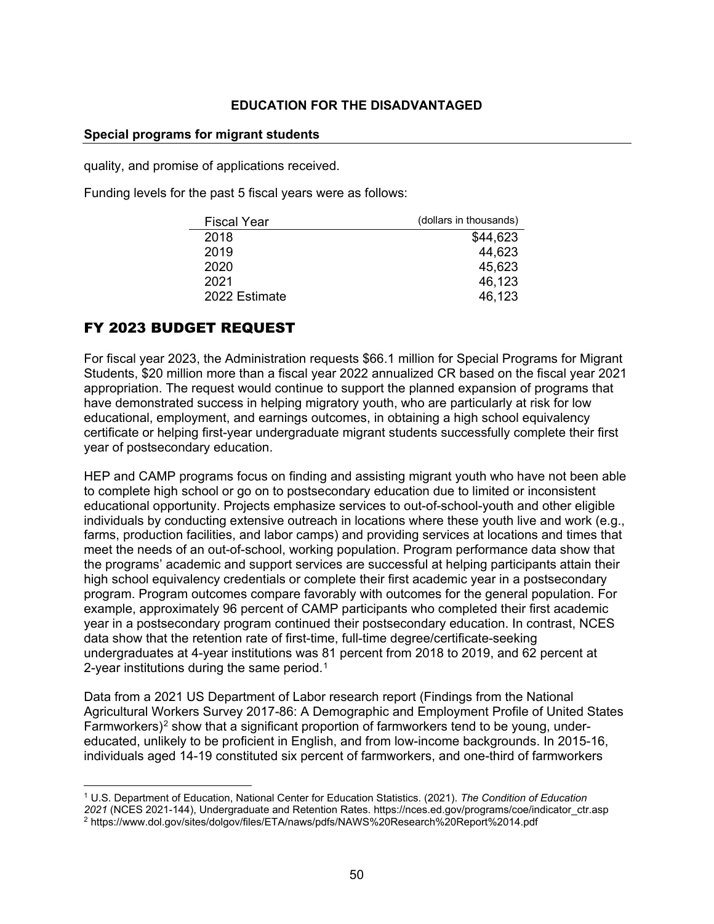#### **Special programs for migrant students**

quality, and promise of applications received.

Funding levels for the past 5 fiscal years were as follows:

| <b>Fiscal Year</b> | (dollars in thousands) |
|--------------------|------------------------|
| 2018               | \$44,623               |
| 2019               | 44,623                 |
| 2020               | 45,623                 |
| 2021               | 46,123                 |
| 2022 Estimate      | 46,123                 |

## FY 2023 BUDGET REQUEST

For fiscal year 2023, the Administration requests \$66.1 million for Special Programs for Migrant Students, \$20 million more than a fiscal year 2022 annualized CR based on the fiscal year 2021 appropriation. The request would continue to support the planned expansion of programs that have demonstrated success in helping migratory youth, who are particularly at risk for low educational, employment, and earnings outcomes, in obtaining a high school equivalency certificate or helping first-year undergraduate migrant students successfully complete their first year of postsecondary education.

HEP and CAMP programs focus on finding and assisting migrant youth who have not been able to complete high school or go on to postsecondary education due to limited or inconsistent educational opportunity. Projects emphasize services to out-of-school-youth and other eligible individuals by conducting extensive outreach in locations where these youth live and work (e.g., farms, production facilities, and labor camps) and providing services at locations and times that meet the needs of an out-of-school, working population. Program performance data show that the programs' academic and support services are successful at helping participants attain their high school equivalency credentials or complete their first academic year in a postsecondary program. Program outcomes compare favorably with outcomes for the general population. For example, approximately 96 percent of CAMP participants who completed their first academic year in a postsecondary program continued their postsecondary education. In contrast, NCES data show that the retention rate of first-time, full-time degree/certificate-seeking undergraduates at 4-year institutions was 81 percent from 2018 to 2019, and 62 percent at 2-year institutions during the same period.<sup>[1](#page-50-0)</sup>

Data from a 2021 US Department of Labor research report (Findings from the National Agricultural Workers Survey 2017-86: A Demographic and Employment Profile of United States Farmworkers)<sup>[2](#page-50-1)</sup> show that a significant proportion of farmworkers tend to be young, undereducated, unlikely to be proficient in English, and from low-income backgrounds. In 2015-16, individuals aged 14-19 constituted six percent of farmworkers, and one-third of farmworkers

<span id="page-50-1"></span><span id="page-50-0"></span><sup>1</sup> U.S. Department of Education, National Center for Education Statistics. (2021). *The Condition of Education 2021* (NCES 2021-144), Undergraduate and Retention Rates. https://nces.ed.gov/programs/coe/indicator\_ctr.asp <sup>2</sup> https://www.dol.gov/sites/dolgov/files/ETA/naws/pdfs/NAWS%20Research%20Report%2014.pdf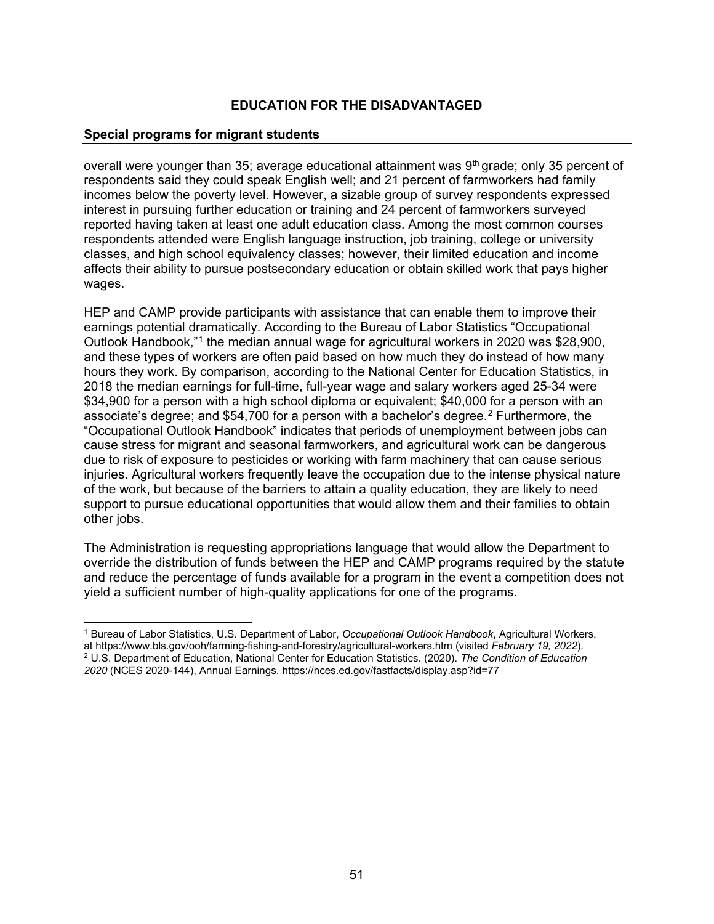#### **Special programs for migrant students**

overall were younger than 35; average educational attainment was 9<sup>th</sup> grade; only 35 percent of respondents said they could speak English well; and 21 percent of farmworkers had family incomes below the poverty level. However, a sizable group of survey respondents expressed interest in pursuing further education or training and 24 percent of farmworkers surveyed reported having taken at least one adult education class. Among the most common courses respondents attended were English language instruction, job training, college or university classes, and high school equivalency classes; however, their limited education and income affects their ability to pursue postsecondary education or obtain skilled work that pays higher wages.

HEP and CAMP provide participants with assistance that can enable them to improve their earnings potential dramatically. According to the Bureau of Labor Statistics "Occupational Outlook Handbook,"[1](#page-51-0) the median annual wage for agricultural workers in 2020 was \$28,900, and these types of workers are often paid based on how much they do instead of how many hours they work. By comparison, according to the National Center for Education Statistics, in 2018 the median earnings for full-time, full-year wage and salary workers aged 25-34 were \$34,900 for a person with a high school diploma or equivalent; \$40,000 for a person with an associate's degree; and \$54,700 for a person with a bachelor's degree.[2](#page-51-1) Furthermore, the "Occupational Outlook Handbook" indicates that periods of unemployment between jobs can cause stress for migrant and seasonal farmworkers, and agricultural work can be dangerous due to risk of exposure to pesticides or working with farm machinery that can cause serious injuries. Agricultural workers frequently leave the occupation due to the intense physical nature of the work, but because of the barriers to attain a quality education, they are likely to need support to pursue educational opportunities that would allow them and their families to obtain other jobs.

The Administration is requesting appropriations language that would allow the Department to override the distribution of funds between the HEP and CAMP programs required by the statute and reduce the percentage of funds available for a program in the event a competition does not yield a sufficient number of high-quality applications for one of the programs.

<span id="page-51-1"></span><span id="page-51-0"></span><sup>1</sup> Bureau of Labor Statistics, U.S. Department of Labor, *Occupational Outlook Handbook*, Agricultural Workers, at <https://www.bls.gov/ooh/farming-fishing-and-forestry/agricultural-workers.htm> (visited *February 19, 2022*). <sup>2</sup> U.S. Department of Education, National Center for Education Statistics. (2020). *The Condition of Education 2020* (NCES 2020-144), [Annual Earnings.](https://nces.ed.gov/programs/coe/indicator_cba.asp) https://nces.ed.gov/fastfacts/display.asp?id=77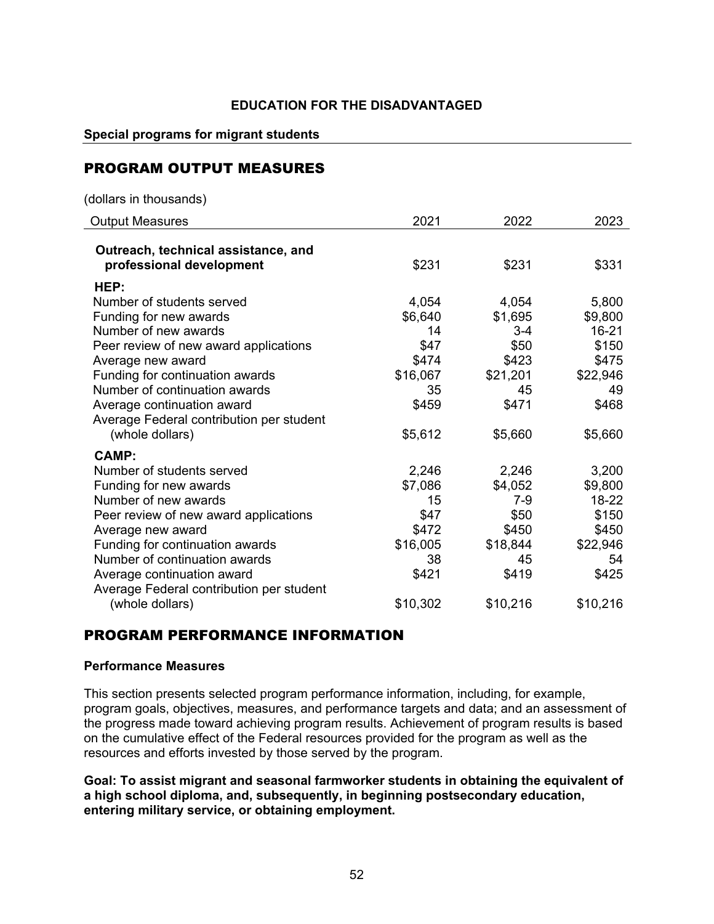#### **Special programs for migrant students**

## PROGRAM OUTPUT MEASURES

(dollars in thousands)

| <b>Output Measures</b>                                          | 2021     | 2022     | 2023     |
|-----------------------------------------------------------------|----------|----------|----------|
| Outreach, technical assistance, and<br>professional development | \$231    | \$231    | \$331    |
| HEP:                                                            |          |          |          |
| Number of students served                                       | 4,054    | 4,054    | 5,800    |
| Funding for new awards                                          | \$6,640  | \$1,695  | \$9,800  |
| Number of new awards                                            | 14       | $3-4$    | 16-21    |
| Peer review of new award applications                           | \$47     | \$50     | \$150    |
| Average new award                                               | \$474    | \$423    | \$475    |
| Funding for continuation awards                                 | \$16,067 | \$21,201 | \$22,946 |
| Number of continuation awards                                   | 35       | 45       | 49       |
| Average continuation award                                      | \$459    | \$471    | \$468    |
| Average Federal contribution per student                        |          |          |          |
| (whole dollars)                                                 | \$5,612  | \$5,660  | \$5,660  |
| <b>CAMP:</b>                                                    |          |          |          |
| Number of students served                                       | 2,246    | 2,246    | 3,200    |
| Funding for new awards                                          | \$7,086  | \$4,052  | \$9,800  |
| Number of new awards                                            | 15       | 7-9      | 18-22    |
| Peer review of new award applications                           | \$47     | \$50     | \$150    |
| Average new award                                               | \$472    | \$450    | \$450    |
| Funding for continuation awards                                 | \$16,005 | \$18,844 | \$22,946 |
| Number of continuation awards                                   | 38       | 45       | 54       |
| Average continuation award                                      | \$421    | \$419    | \$425    |
| Average Federal contribution per student                        |          |          |          |
| (whole dollars)                                                 | \$10,302 | \$10,216 | \$10,216 |

## PROGRAM PERFORMANCE INFORMATION

#### **Performance Measures**

This section presents selected program performance information, including, for example, program goals, objectives, measures, and performance targets and data; and an assessment of the progress made toward achieving program results. Achievement of program results is based on the cumulative effect of the Federal resources provided for the program as well as the resources and efforts invested by those served by the program.

**Goal: To assist migrant and seasonal farmworker students in obtaining the equivalent of a high school diploma, and, subsequently, in beginning postsecondary education, entering military service, or obtaining employment.**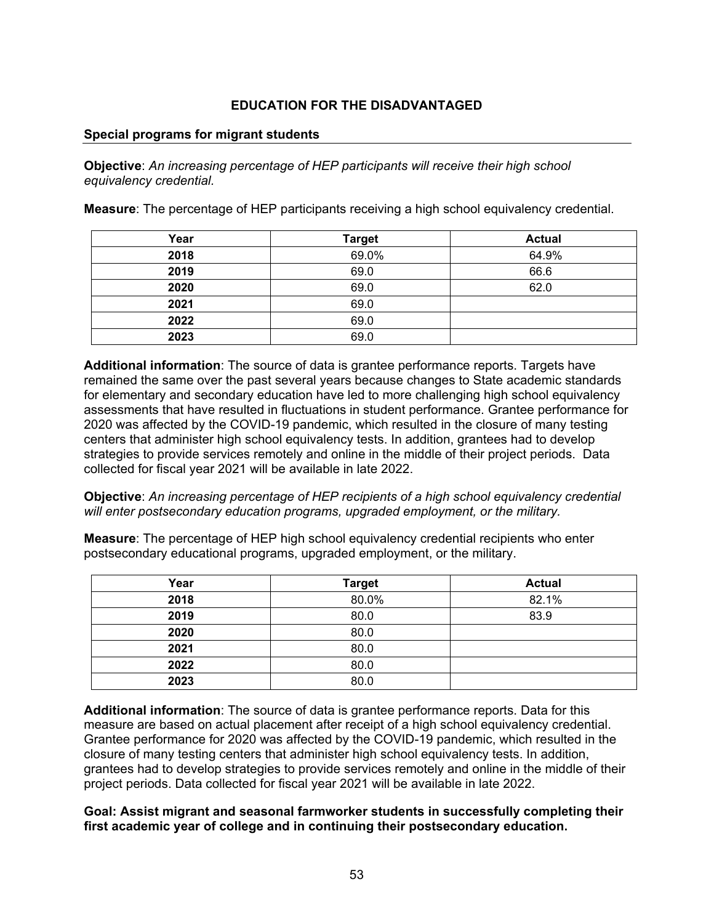#### **Special programs for migrant students**

**Objective**: *An increasing percentage of HEP participants will receive their high school equivalency credential.*

**Measure**: The percentage of HEP participants receiving a high school equivalency credential.

| Year | <b>Target</b> | <b>Actual</b> |
|------|---------------|---------------|
| 2018 | 69.0%         | 64.9%         |
| 2019 | 69.0          | 66.6          |
| 2020 | 69.0          | 62.0          |
| 2021 | 69.0          |               |
| 2022 | 69.0          |               |
| 2023 | 69.0          |               |

**Additional information**: The source of data is grantee performance reports. Targets have remained the same over the past several years because changes to State academic standards for elementary and secondary education have led to more challenging high school equivalency assessments that have resulted in fluctuations in student performance. Grantee performance for 2020 was affected by the COVID-19 pandemic, which resulted in the closure of many testing centers that administer high school equivalency tests. In addition, grantees had to develop strategies to provide services remotely and online in the middle of their project periods. Data collected for fiscal year 2021 will be available in late 2022.

**Objective**: *An increasing percentage of HEP recipients of a high school equivalency credential will enter postsecondary education programs, upgraded employment, or the military.*

**Measure**: The percentage of HEP high school equivalency credential recipients who enter postsecondary educational programs, upgraded employment, or the military.

| Year | <b>Target</b> | <b>Actual</b> |
|------|---------------|---------------|
| 2018 | 80.0%         | 82.1%         |
| 2019 | 80.0          | 83.9          |
| 2020 | 80.0          |               |
| 2021 | 80.0          |               |
| 2022 | 80.0          |               |
| 2023 | 80.0          |               |

**Additional information**: The source of data is grantee performance reports. Data for this measure are based on actual placement after receipt of a high school equivalency credential. Grantee performance for 2020 was affected by the COVID-19 pandemic, which resulted in the closure of many testing centers that administer high school equivalency tests. In addition, grantees had to develop strategies to provide services remotely and online in the middle of their project periods. Data collected for fiscal year 2021 will be available in late 2022.

**Goal: Assist migrant and seasonal farmworker students in successfully completing their first academic year of college and in continuing their postsecondary education.**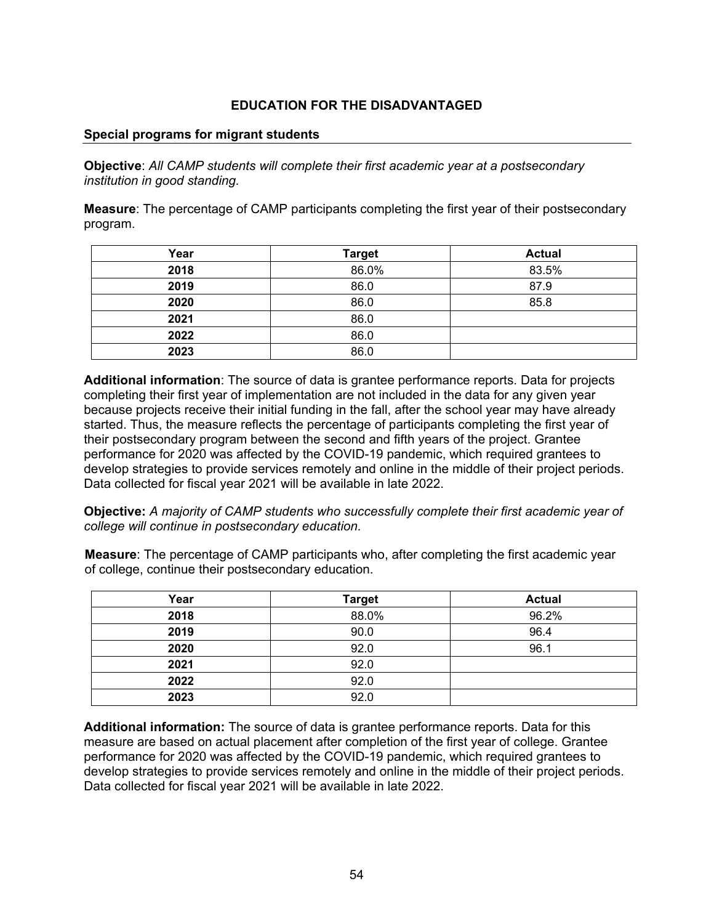#### **Special programs for migrant students**

**Objective**: *All CAMP students will complete their first academic year at a postsecondary institution in good standing.*

**Measure**: The percentage of CAMP participants completing the first year of their postsecondary program.

| Year | <b>Target</b> | <b>Actual</b> |
|------|---------------|---------------|
| 2018 | 86.0%         | 83.5%         |
| 2019 | 86.0          | 87.9          |
| 2020 | 86.0          | 85.8          |
| 2021 | 86.0          |               |
| 2022 | 86.0          |               |
| 2023 | 86.0          |               |

**Additional information**: The source of data is grantee performance reports. Data for projects completing their first year of implementation are not included in the data for any given year because projects receive their initial funding in the fall, after the school year may have already started. Thus, the measure reflects the percentage of participants completing the first year of their postsecondary program between the second and fifth years of the project. Grantee performance for 2020 was affected by the COVID-19 pandemic, which required grantees to develop strategies to provide services remotely and online in the middle of their project periods. Data collected for fiscal year 2021 will be available in late 2022.

**Objective:** *A majority of CAMP students who successfully complete their first academic year of college will continue in postsecondary education.*

**Measure**: The percentage of CAMP participants who, after completing the first academic year of college, continue their postsecondary education.

| Year | <b>Target</b> | <b>Actual</b> |
|------|---------------|---------------|
| 2018 | 88.0%         | 96.2%         |
| 2019 | 90.0          | 96.4          |
| 2020 | 92.0          | 96.1          |
| 2021 | 92.0          |               |
| 2022 | 92.0          |               |
| 2023 | 92.0          |               |

**Additional information:** The source of data is grantee performance reports. Data for this measure are based on actual placement after completion of the first year of college. Grantee performance for 2020 was affected by the COVID-19 pandemic, which required grantees to develop strategies to provide services remotely and online in the middle of their project periods. Data collected for fiscal year 2021 will be available in late 2022.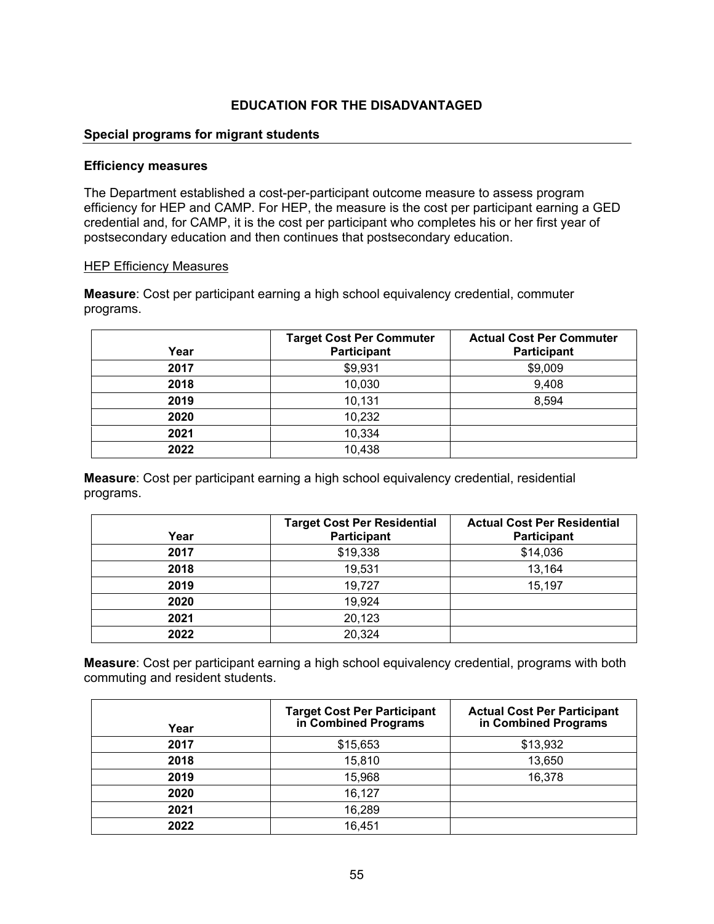### **Special programs for migrant students**

#### **Efficiency measures**

The Department established a cost-per-participant outcome measure to assess program efficiency for HEP and CAMP. For HEP, the measure is the cost per participant earning a GED credential and, for CAMP, it is the cost per participant who completes his or her first year of postsecondary education and then continues that postsecondary education.

#### HEP Efficiency Measures

**Measure**: Cost per participant earning a high school equivalency credential, commuter programs.

| Year | <b>Target Cost Per Commuter</b><br>Participant | <b>Actual Cost Per Commuter</b><br>Participant |
|------|------------------------------------------------|------------------------------------------------|
| 2017 | \$9,931                                        | \$9,009                                        |
| 2018 | 10,030                                         | 9,408                                          |
| 2019 | 10,131                                         | 8,594                                          |
| 2020 | 10,232                                         |                                                |
| 2021 | 10,334                                         |                                                |
| 2022 | 10,438                                         |                                                |

**Measure**: Cost per participant earning a high school equivalency credential, residential programs.

| Year | <b>Target Cost Per Residential</b><br>Participant | <b>Actual Cost Per Residential</b><br>Participant |
|------|---------------------------------------------------|---------------------------------------------------|
| 2017 | \$19,338                                          | \$14,036                                          |
| 2018 | 19,531                                            | 13,164                                            |
| 2019 | 19,727                                            | 15,197                                            |
| 2020 | 19,924                                            |                                                   |
| 2021 | 20,123                                            |                                                   |
| 2022 | 20,324                                            |                                                   |

**Measure**: Cost per participant earning a high school equivalency credential, programs with both commuting and resident students.

| Year | <b>Target Cost Per Participant<br/>in Combined Programs</b> | <b>Actual Cost Per Participant<br/>in Combined Programs</b> |
|------|-------------------------------------------------------------|-------------------------------------------------------------|
| 2017 | \$15,653                                                    | \$13,932                                                    |
| 2018 | 15,810                                                      | 13,650                                                      |
| 2019 | 15,968                                                      | 16,378                                                      |
| 2020 | 16,127                                                      |                                                             |
| 2021 | 16,289                                                      |                                                             |
| 2022 | 16,451                                                      |                                                             |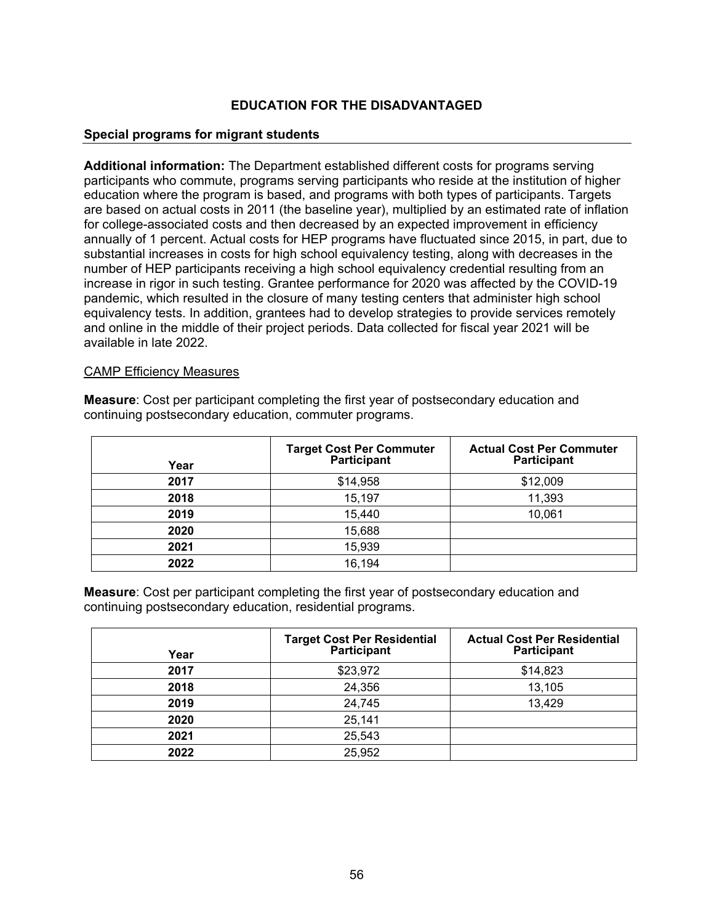#### **Special programs for migrant students**

**Additional information:** The Department established different costs for programs serving participants who commute, programs serving participants who reside at the institution of higher education where the program is based, and programs with both types of participants. Targets are based on actual costs in 2011 (the baseline year), multiplied by an estimated rate of inflation for college-associated costs and then decreased by an expected improvement in efficiency annually of 1 percent. Actual costs for HEP programs have fluctuated since 2015, in part, due to substantial increases in costs for high school equivalency testing, along with decreases in the number of HEP participants receiving a high school equivalency credential resulting from an increase in rigor in such testing. Grantee performance for 2020 was affected by the COVID-19 pandemic, which resulted in the closure of many testing centers that administer high school equivalency tests. In addition, grantees had to develop strategies to provide services remotely and online in the middle of their project periods. Data collected for fiscal year 2021 will be available in late 2022.

#### CAMP Efficiency Measures

**Measure**: Cost per participant completing the first year of postsecondary education and continuing postsecondary education, commuter programs.

| Year | Target Cost Per Commuter<br>Participant | <b>Actual Cost Per Commuter</b><br>Participant |
|------|-----------------------------------------|------------------------------------------------|
| 2017 | \$14,958                                | \$12,009                                       |
| 2018 | 15,197                                  | 11,393                                         |
| 2019 | 15,440                                  | 10,061                                         |
| 2020 | 15,688                                  |                                                |
| 2021 | 15,939                                  |                                                |
| 2022 | 16,194                                  |                                                |

**Measure**: Cost per participant completing the first year of postsecondary education and continuing postsecondary education, residential programs.

| Year | <b>Target Cost Per Residential</b><br>Participant | <b>Actual Cost Per Residential</b><br>Participant |
|------|---------------------------------------------------|---------------------------------------------------|
| 2017 | \$23,972                                          | \$14,823                                          |
| 2018 | 24,356                                            | 13,105                                            |
| 2019 | 24,745                                            | 13,429                                            |
| 2020 | 25,141                                            |                                                   |
| 2021 | 25,543                                            |                                                   |
| 2022 | 25,952                                            |                                                   |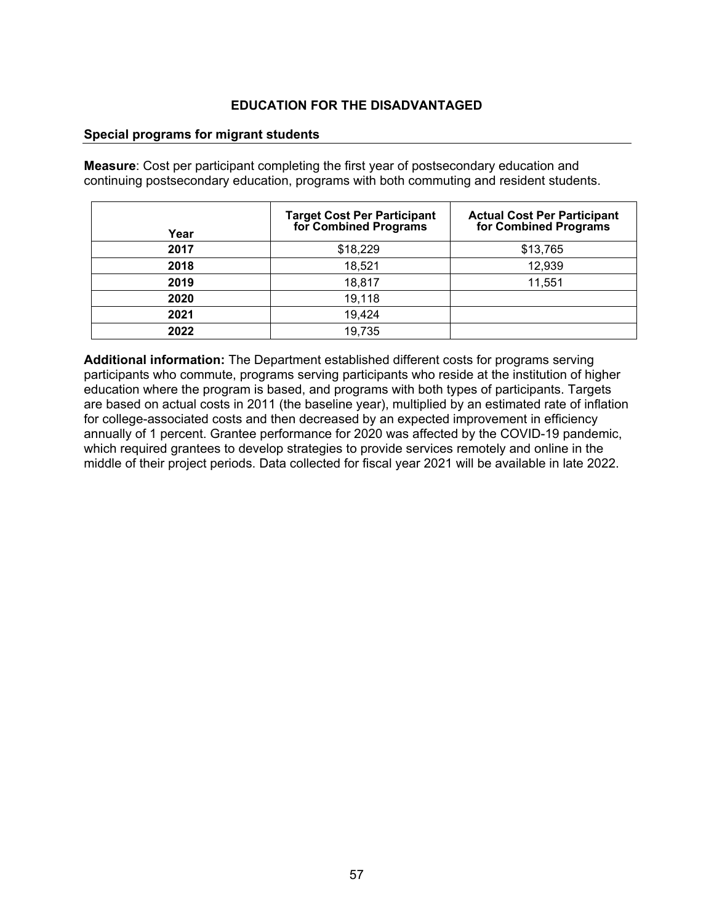#### **Special programs for migrant students**

**Measure**: Cost per participant completing the first year of postsecondary education and continuing postsecondary education, programs with both commuting and resident students.

| Year | <b>Target Cost Per Participant<br/>for Combined Programs</b> | <b>Actual Cost Per Participant<br/>for Combined Programs</b> |
|------|--------------------------------------------------------------|--------------------------------------------------------------|
| 2017 | \$18,229                                                     | \$13,765                                                     |
| 2018 | 18,521                                                       | 12,939                                                       |
| 2019 | 18,817                                                       | 11,551                                                       |
| 2020 | 19,118                                                       |                                                              |
| 2021 | 19,424                                                       |                                                              |
| 2022 | 19,735                                                       |                                                              |

**Additional information:** The Department established different costs for programs serving participants who commute, programs serving participants who reside at the institution of higher education where the program is based, and programs with both types of participants. Targets are based on actual costs in 2011 (the baseline year), multiplied by an estimated rate of inflation for college-associated costs and then decreased by an expected improvement in efficiency annually of 1 percent. Grantee performance for 2020 was affected by the COVID-19 pandemic, which required grantees to develop strategies to provide services remotely and online in the middle of their project periods. Data collected for fiscal year 2021 will be available in late 2022.